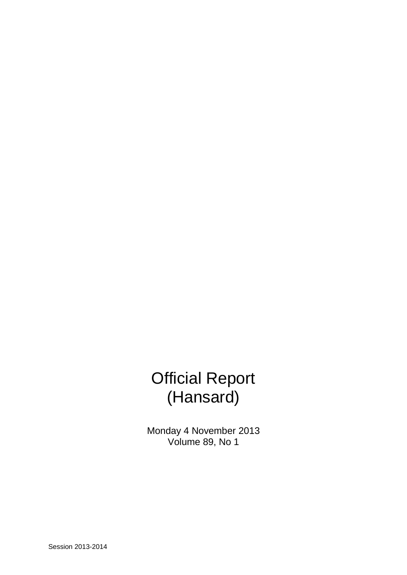# Official Report (Hansard)

Monday 4 November 2013 Volume 89, No 1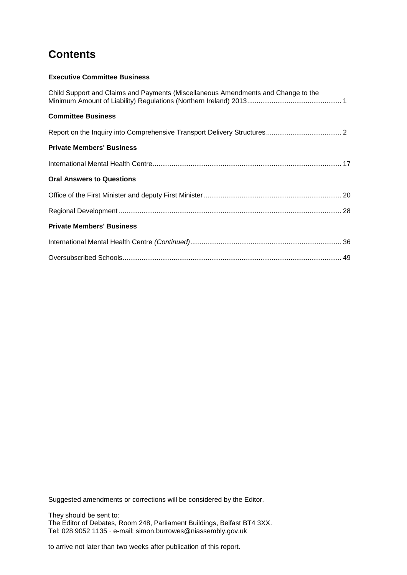## **Contents**

## **Executive Committee Business**

| Child Support and Claims and Payments (Miscellaneous Amendments and Change to the |  |
|-----------------------------------------------------------------------------------|--|
| <b>Committee Business</b>                                                         |  |
|                                                                                   |  |
| <b>Private Members' Business</b>                                                  |  |
|                                                                                   |  |
| <b>Oral Answers to Questions</b>                                                  |  |
|                                                                                   |  |
|                                                                                   |  |
| <b>Private Members' Business</b>                                                  |  |
|                                                                                   |  |
|                                                                                   |  |

Suggested amendments or corrections will be considered by the Editor.

They should be sent to: The Editor of Debates, Room 248, Parliament Buildings, Belfast BT4 3XX. Tel: 028 9052 1135 · e-mail: simon.burrowes@niassembly.gov.uk

to arrive not later than two weeks after publication of this report.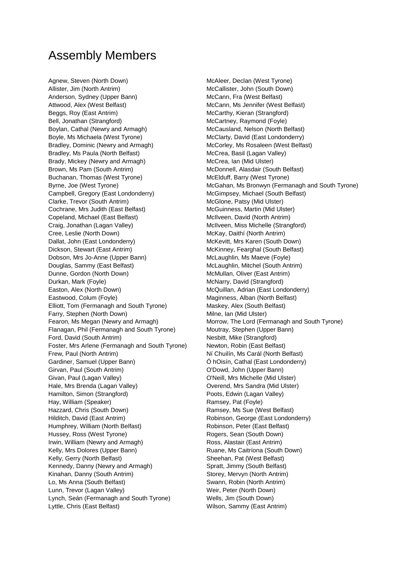## Assembly Members

Agnew, Steven (North Down) McAleer, Declan (West Tyrone) Allister, Jim (North Antrim) and McCallister, John (South Down) Anderson, Sydney (Upper Bann) McCann, Fra (West Belfast) Attwood, Alex (West Belfast) McCann, Ms Jennifer (West Belfast) Beggs, Roy (East Antrim) McCarthy, Kieran (Strangford) Bell, Jonathan (Strangford) and McCartney, Raymond (Foyle) Boylan, Cathal (Newry and Armagh) McCausland, Nelson (North Belfast) Boyle, Ms Michaela (West Tyrone) McClarty, David (East Londonderry) Bradley, Dominic (Newry and Armagh) McCorley, Ms Rosaleen (West Belfast) Bradley, Ms Paula (North Belfast) McCrea, Basil (Lagan Valley) Brady, Mickey (Newry and Armagh) McCrea, Ian (Mid Ulster) Brown, Ms Pam (South Antrim) and McDonnell, Alasdair (South Belfast) Buchanan, Thomas (West Tyrone) McElduff, Barry (West Tyrone) Campbell, Gregory (East Londonderry) McGimpsey, Michael (South Belfast) Clarke, Trevor (South Antrim) and McGlone, Patsy (Mid Ulster) Cochrane, Mrs Judith (East Belfast) McGuinness, Martin (Mid Ulster) Copeland, Michael (East Belfast) McIlveen, David (North Antrim) Craig, Jonathan (Lagan Valley) McIlveen, Miss Michelle (Strangford) Cree, Leslie (North Down) McKay, Daithí (North Antrim) Dallat, John (East Londonderry) McKevitt, Mrs Karen (South Down) Dickson, Stewart (East Antrim) McKinney, Fearghal (South Belfast) Dobson, Mrs Jo-Anne (Upper Bann) McLaughlin, Ms Maeve (Foyle) Douglas, Sammy (East Belfast) McLaughlin, Mitchel (South Antrim) Dunne, Gordon (North Down) McMullan, Oliver (East Antrim) Durkan, Mark (Foyle) **McNarry, David (Strangford)** McNarry, David (Strangford) Easton, Alex (North Down) The McQuillan, Adrian (East Londonderry) Eastwood, Colum (Foyle) **Maginness, Alban (North Belfast)** Maginness, Alban (North Belfast) Elliott, Tom (Fermanagh and South Tyrone) Maskey, Alex (South Belfast) Farry, Stephen (North Down) Milne, Ian (Mid Ulster) Flanagan, Phil (Fermanagh and South Tyrone) Moutray, Stephen (Upper Bann) Ford, David (South Antrim) Nesbitt, Mike (Strangford) Foster, Mrs Arlene (Fermanagh and South Tyrone) Newton, Robin (East Belfast) Frew, Paul (North Antrim) Ní Chuilín, Ms Carál (North Belfast) Gardiner, Samuel (Upper Bann) Ó hOisín, Cathal (East Londonderry) Girvan, Paul (South Antrim) C'Dowd, John (Upper Bann) Givan, Paul (Lagan Valley) **O'Neill, Mrs Michelle (Mid Ulster)** O'Neill, Mrs Michelle (Mid Ulster) Hale, Mrs Brenda (Lagan Valley) Overend, Mrs Sandra (Mid Ulster) Hamilton, Simon (Strangford) entitled and the Poots, Edwin (Lagan Valley) Hay, William (Speaker) Ramsey, Pat (Foyle) Hazzard, Chris (South Down) Ramsey, Ms Sue (West Belfast) Hilditch, David (East Antrim) and Robinson, George (East Londonderry) Humphrey, William (North Belfast) Robinson, Peter (East Belfast) Hussey, Ross (West Tyrone) **Rogers**, Sean (South Down) Irwin, William (Newry and Armagh) Ross, Alastair (East Antrim) Kelly, Mrs Dolores (Upper Bann) Ruane, Ms Caitríona (South Down) Kelly, Gerry (North Belfast) Sheehan, Pat (West Belfast) Kennedy, Danny (Newry and Armagh) Spratt, Jimmy (South Belfast) Kinahan, Danny (South Antrim) Storey, Mervyn (North Antrim) Lo, Ms Anna (South Belfast) **Swann, Robin (North Antrim)** Swann, Robin (North Antrim) Lunn, Trevor (Lagan Valley) Weir, Peter (North Down) Lynch, Seán (Fermanagh and South Tyrone) Wells, Jim (South Down) Lyttle, Chris (East Belfast) **Wilson, Sammy (East Antrim)** 

Byrne, Joe (West Tyrone) The McGahan, Ms Bronwyn (Fermanagh and South Tyrone) Fearon, Ms Megan (Newry and Armagh) Morrow, The Lord (Fermanagh and South Tyrone)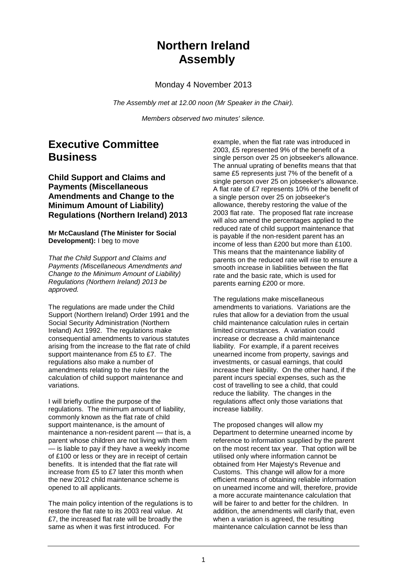## **Northern Ireland Assembly**

Monday 4 November 2013

*The Assembly met at 12.00 noon (Mr Speaker in the Chair).*

*Members observed two minutes' silence.*

## **Executive Committee Business**

## **Child Support and Claims and Payments (Miscellaneous Amendments and Change to the Minimum Amount of Liability) Regulations (Northern Ireland) 2013**

**Mr McCausland (The Minister for Social Development):** I beg to move

*That the Child Support and Claims and Payments (Miscellaneous Amendments and Change to the Minimum Amount of Liability) Regulations (Northern Ireland) 2013 be approved.*

The regulations are made under the Child Support (Northern Ireland) Order 1991 and the Social Security Administration (Northern Ireland) Act 1992. The regulations make consequential amendments to various statutes arising from the increase to the flat rate of child support maintenance from £5 to £7. The regulations also make a number of amendments relating to the rules for the calculation of child support maintenance and variations.

I will briefly outline the purpose of the regulations. The minimum amount of liability, commonly known as the flat rate of child support maintenance, is the amount of maintenance a non-resident parent — that is, a parent whose children are not living with them — is liable to pay if they have a weekly income of £100 or less or they are in receipt of certain benefits. It is intended that the flat rate will increase from £5 to £7 later this month when the new 2012 child maintenance scheme is opened to all applicants.

The main policy intention of the regulations is to restore the flat rate to its 2003 real value. At £7, the increased flat rate will be broadly the same as when it was first introduced. For

example, when the flat rate was introduced in 2003, £5 represented 9% of the benefit of a single person over 25 on jobseeker's allowance. The annual uprating of benefits means that that same £5 represents just 7% of the benefit of a single person over 25 on jobseeker's allowance. A flat rate of £7 represents 10% of the benefit of a single person over 25 on jobseeker's allowance, thereby restoring the value of the 2003 flat rate. The proposed flat rate increase will also amend the percentages applied to the reduced rate of child support maintenance that is payable if the non-resident parent has an income of less than £200 but more than £100. This means that the maintenance liability of parents on the reduced rate will rise to ensure a smooth increase in liabilities between the flat rate and the basic rate, which is used for parents earning £200 or more.

The regulations make miscellaneous amendments to variations. Variations are the rules that allow for a deviation from the usual child maintenance calculation rules in certain limited circumstances. A variation could increase or decrease a child maintenance liability. For example, if a parent receives unearned income from property, savings and investments, or casual earnings, that could increase their liability. On the other hand, if the parent incurs special expenses, such as the cost of travelling to see a child, that could reduce the liability. The changes in the regulations affect only those variations that increase liability.

The proposed changes will allow my Department to determine unearned income by reference to information supplied by the parent on the most recent tax year. That option will be utilised only where information cannot be obtained from Her Majesty's Revenue and Customs. This change will allow for a more efficient means of obtaining reliable information on unearned income and will, therefore, provide a more accurate maintenance calculation that will be fairer to and better for the children. In addition, the amendments will clarify that, even when a variation is agreed, the resulting maintenance calculation cannot be less than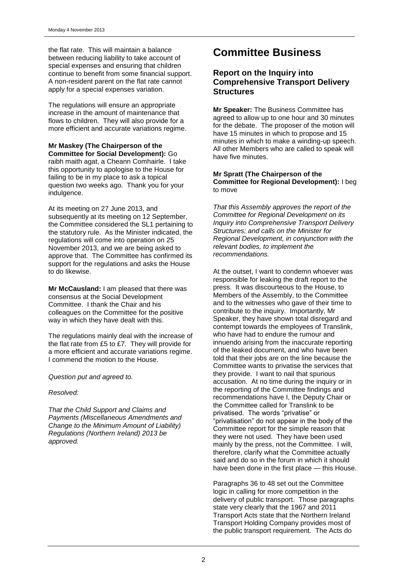the flat rate. This will maintain a balance between reducing liability to take account of special expenses and ensuring that children continue to benefit from some financial support. A non-resident parent on the flat rate cannot apply for a special expenses variation.

The regulations will ensure an appropriate increase in the amount of maintenance that flows to children. They will also provide for a more efficient and accurate variations regime.

#### **Mr Maskey (The Chairperson of the Committee for Social Development):** Go raibh maith agat, a Cheann Comhairle. I take this opportunity to apologise to the House for failing to be in my place to ask a topical question two weeks ago. Thank you for your indulgence.

At its meeting on 27 June 2013, and subsequently at its meeting on 12 September, the Committee considered the SL1 pertaining to the statutory rule. As the Minister indicated, the regulations will come into operation on 25 November 2013, and we are being asked to approve that. The Committee has confirmed its support for the regulations and asks the House to do likewise.

**Mr McCausland:** I am pleased that there was consensus at the Social Development Committee. I thank the Chair and his colleagues on the Committee for the positive way in which they have dealt with this.

The regulations mainly deal with the increase of the flat rate from £5 to £7. They will provide for a more efficient and accurate variations regime. I commend the motion to the House.

*Question put and agreed to.*

### *Resolved:*

*That the Child Support and Claims and Payments (Miscellaneous Amendments and Change to the Minimum Amount of Liability) Regulations (Northern Ireland) 2013 be approved.*

## **Committee Business**

## **Report on the Inquiry into Comprehensive Transport Delivery Structures**

**Mr Speaker:** The Business Committee has agreed to allow up to one hour and 30 minutes for the debate. The proposer of the motion will have 15 minutes in which to propose and 15 minutes in which to make a winding-up speech. All other Members who are called to speak will have five minutes.

#### **Mr Spratt (The Chairperson of the Committee for Regional Development):** I beg to move

*That this Assembly approves the report of the Committee for Regional Development on its Inquiry into Comprehensive Transport Delivery Structures; and calls on the Minister for Regional Development, in conjunction with the relevant bodies, to implement the recommendations.*

At the outset, I want to condemn whoever was responsible for leaking the draft report to the press. It was discourteous to the House, to Members of the Assembly, to the Committee and to the witnesses who gave of their time to contribute to the inquiry. Importantly, Mr Speaker, they have shown total disregard and contempt towards the employees of Translink, who have had to endure the rumour and innuendo arising from the inaccurate reporting of the leaked document, and who have been told that their jobs are on the line because the Committee wants to privatise the services that they provide. I want to nail that spurious accusation. At no time during the inquiry or in the reporting of the Committee findings and recommendations have I, the Deputy Chair or the Committee called for Translink to be privatised. The words "privatise" or "privatisation" do not appear in the body of the Committee report for the simple reason that they were not used. They have been used mainly by the press, not the Committee. I will, therefore, clarify what the Committee actually said and do so in the forum in which it should have been done in the first place — this House.

Paragraphs 36 to 48 set out the Committee logic in calling for more competition in the delivery of public transport. Those paragraphs state very clearly that the 1967 and 2011 Transport Acts state that the Northern Ireland Transport Holding Company provides most of the public transport requirement. The Acts do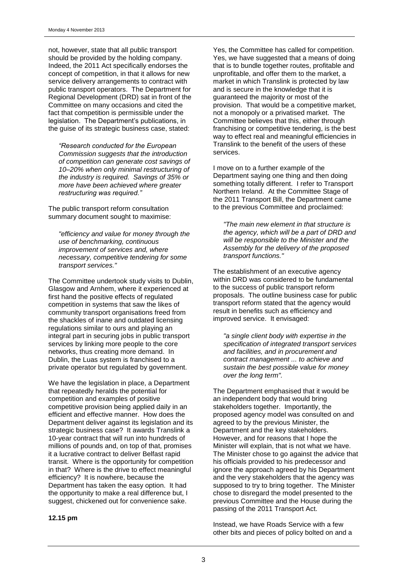not, however, state that all public transport should be provided by the holding company. Indeed, the 2011 Act specifically endorses the concept of competition, in that it allows for new service delivery arrangements to contract with public transport operators. The Department for Regional Development (DRD) sat in front of the Committee on many occasions and cited the fact that competition is permissible under the legislation. The Department's publications, in the guise of its strategic business case, stated:

*―Research conducted for the European Commission suggests that the introduction of competition can generate cost savings of 10–20% when only minimal restructuring of the industry is required. Savings of 35% or more have been achieved where greater restructuring was required.‖*

The public transport reform consultation summary document sought to maximise:

*"efficiency and value for money through the use of benchmarking, continuous improvement of services and, where necessary, competitive tendering for some transport services."*

The Committee undertook study visits to Dublin, Glasgow and Arnhem, where it experienced at first hand the positive effects of regulated competition in systems that saw the likes of community transport organisations freed from the shackles of inane and outdated licensing regulations similar to ours and playing an integral part in securing jobs in public transport services by linking more people to the core networks, thus creating more demand. In Dublin, the Luas system is franchised to a private operator but regulated by government.

We have the legislation in place, a Department that repeatedly heralds the potential for competition and examples of positive competitive provision being applied daily in an efficient and effective manner. How does the Department deliver against its legislation and its strategic business case? It awards Translink a 10-year contract that will run into hundreds of millions of pounds and, on top of that, promises it a lucrative contract to deliver Belfast rapid transit. Where is the opportunity for competition in that? Where is the drive to effect meaningful efficiency? It is nowhere, because the Department has taken the easy option. It had the opportunity to make a real difference but, I suggest, chickened out for convenience sake.

**12.15 pm**

Yes, the Committee has called for competition. Yes, we have suggested that a means of doing that is to bundle together routes, profitable and unprofitable, and offer them to the market, a market in which Translink is protected by law and is secure in the knowledge that it is guaranteed the majority or most of the provision. That would be a competitive market, not a monopoly or a privatised market. The Committee believes that this, either through franchising or competitive tendering, is the best way to effect real and meaningful efficiencies in Translink to the benefit of the users of these services.

I move on to a further example of the Department saying one thing and then doing something totally different. I refer to Transport Northern Ireland. At the Committee Stage of the 2011 Transport Bill, the Department came to the previous Committee and proclaimed:

*"The main new element in that structure is the agency, which will be a part of DRD and will be responsible to the Minister and the Assembly for the delivery of the proposed transport functions."*

The establishment of an executive agency within DRD was considered to be fundamental to the success of public transport reform proposals. The outline business case for public transport reform stated that the agency would result in benefits such as efficiency and improved service. It envisaged:

*"a single client body with expertise in the specification of integrated transport services and facilities, and in procurement and contract management ... to achieve and sustain the best possible value for money over the long term".*

The Department emphasised that it would be an independent body that would bring stakeholders together. Importantly, the proposed agency model was consulted on and agreed to by the previous Minister, the Department and the key stakeholders. However, and for reasons that I hope the Minister will explain, that is not what we have. The Minister chose to go against the advice that his officials provided to his predecessor and ignore the approach agreed by his Department and the very stakeholders that the agency was supposed to try to bring together. The Minister chose to disregard the model presented to the previous Committee and the House during the passing of the 2011 Transport Act.

Instead, we have Roads Service with a few other bits and pieces of policy bolted on and a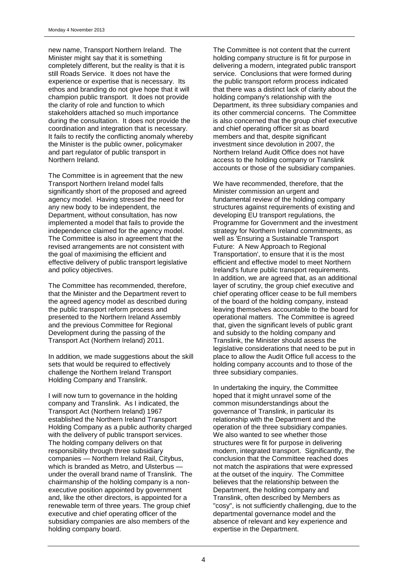new name, Transport Northern Ireland. The Minister might say that it is something completely different, but the reality is that it is still Roads Service. It does not have the experience or expertise that is necessary. Its ethos and branding do not give hope that it will champion public transport. It does not provide the clarity of role and function to which stakeholders attached so much importance during the consultation. It does not provide the coordination and integration that is necessary. It fails to rectify the conflicting anomaly whereby the Minister is the public owner, policymaker and part regulator of public transport in Northern Ireland.

The Committee is in agreement that the new Transport Northern Ireland model falls significantly short of the proposed and agreed agency model. Having stressed the need for any new body to be independent, the Department, without consultation, has now implemented a model that fails to provide the independence claimed for the agency model. The Committee is also in agreement that the revised arrangements are not consistent with the goal of maximising the efficient and effective delivery of public transport legislative and policy objectives.

The Committee has recommended, therefore, that the Minister and the Department revert to the agreed agency model as described during the public transport reform process and presented to the Northern Ireland Assembly and the previous Committee for Regional Development during the passing of the Transport Act (Northern Ireland) 2011.

In addition, we made suggestions about the skill sets that would be required to effectively challenge the Northern Ireland Transport Holding Company and Translink.

I will now turn to governance in the holding company and Translink. As I indicated, the Transport Act (Northern Ireland) 1967 established the Northern Ireland Transport Holding Company as a public authority charged with the delivery of public transport services. The holding company delivers on that responsibility through three subsidiary companies — Northern Ireland Rail, Citybus, which is branded as Metro, and Ulsterbus under the overall brand name of Translink. The chairmanship of the holding company is a nonexecutive position appointed by government and, like the other directors, is appointed for a renewable term of three years. The group chief executive and chief operating officer of the subsidiary companies are also members of the holding company board.

The Committee is not content that the current holding company structure is fit for purpose in delivering a modern, integrated public transport service. Conclusions that were formed during the public transport reform process indicated that there was a distinct lack of clarity about the holding company's relationship with the Department, its three subsidiary companies and its other commercial concerns. The Committee is also concerned that the group chief executive and chief operating officer sit as board members and that, despite significant investment since devolution in 2007, the Northern Ireland Audit Office does not have access to the holding company or Translink accounts or those of the subsidiary companies.

We have recommended, therefore, that the Minister commission an urgent and fundamental review of the holding company structures against requirements of existing and developing EU transport regulations, the Programme for Government and the investment strategy for Northern Ireland commitments, as well as 'Ensuring a Sustainable Transport Future: A New Approach to Regional Transportation', to ensure that it is the most efficient and effective model to meet Northern Ireland's future public transport requirements. In addition, we are agreed that, as an additional layer of scrutiny, the group chief executive and chief operating officer cease to be full members of the board of the holding company, instead leaving themselves accountable to the board for operational matters. The Committee is agreed that, given the significant levels of public grant and subsidy to the holding company and Translink, the Minister should assess the legislative considerations that need to be put in place to allow the Audit Office full access to the holding company accounts and to those of the three subsidiary companies.

In undertaking the inquiry, the Committee hoped that it might unravel some of the common misunderstandings about the governance of Translink, in particular its relationship with the Department and the operation of the three subsidiary companies. We also wanted to see whether those structures were fit for purpose in delivering modern, integrated transport. Significantly, the conclusion that the Committee reached does not match the aspirations that were expressed at the outset of the inquiry. The Committee believes that the relationship between the Department, the holding company and Translink, often described by Members as "cosy", is not sufficiently challenging, due to the departmental governance model and the absence of relevant and key experience and expertise in the Department.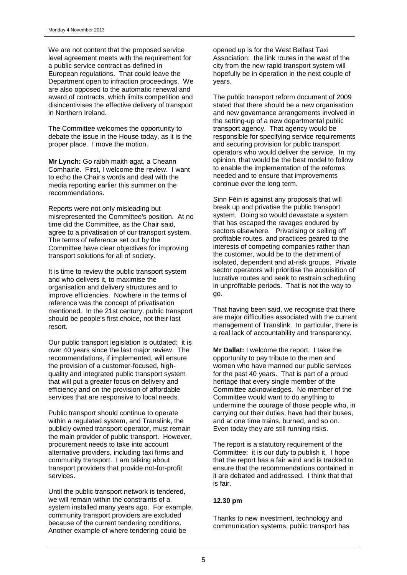We are not content that the proposed service level agreement meets with the requirement for a public service contract as defined in European regulations. That could leave the Department open to infraction proceedings. We are also opposed to the automatic renewal and award of contracts, which limits competition and disincentivises the effective delivery of transport in Northern Ireland.

The Committee welcomes the opportunity to debate the issue in the House today, as it is the proper place. I move the motion.

**Mr Lynch:** Go raibh maith agat, a Cheann Comhairle. First, I welcome the review. I want to echo the Chair's words and deal with the media reporting earlier this summer on the recommendations.

Reports were not only misleading but misrepresented the Committee's position. At no time did the Committee, as the Chair said, agree to a privatisation of our transport system. The terms of reference set out by the Committee have clear objectives for improving transport solutions for all of society.

It is time to review the public transport system and who delivers it, to maximise the organisation and delivery structures and to improve efficiencies. Nowhere in the terms of reference was the concept of privatisation mentioned. In the 21st century, public transport should be people's first choice, not their last resort.

Our public transport legislation is outdated: it is over 40 years since the last major review. The recommendations, if implemented, will ensure the provision of a customer-focused, highquality and integrated public transport system that will put a greater focus on delivery and efficiency and on the provision of affordable services that are responsive to local needs.

Public transport should continue to operate within a regulated system, and Translink, the publicly owned transport operator, must remain the main provider of public transport. However, procurement needs to take into account alternative providers, including taxi firms and community transport. I am talking about transport providers that provide not-for-profit services.

Until the public transport network is tendered, we will remain within the constraints of a system installed many years ago. For example, community transport providers are excluded because of the current tendering conditions. Another example of where tendering could be

opened up is for the West Belfast Taxi Association: the link routes in the west of the city from the new rapid transport system will hopefully be in operation in the next couple of years.

The public transport reform document of 2009 stated that there should be a new organisation and new governance arrangements involved in the setting-up of a new departmental public transport agency. That agency would be responsible for specifying service requirements and securing provision for public transport operators who would deliver the service. In my opinion, that would be the best model to follow to enable the implementation of the reforms needed and to ensure that improvements continue over the long term.

Sinn Féin is against any proposals that will break up and privatise the public transport system. Doing so would devastate a system that has escaped the ravages endured by sectors elsewhere. Privatising or selling off profitable routes, and practices geared to the interests of competing companies rather than the customer, would be to the detriment of isolated, dependent and at-risk groups. Private sector operators will prioritise the acquisition of lucrative routes and seek to restrain scheduling in unprofitable periods. That is not the way to go.

That having been said, we recognise that there are major difficulties associated with the current management of Translink. In particular, there is a real lack of accountability and transparency.

**Mr Dallat:** I welcome the report. I take the opportunity to pay tribute to the men and women who have manned our public services for the past 40 years. That is part of a proud heritage that every single member of the Committee acknowledges. No member of the Committee would want to do anything to undermine the courage of those people who, in carrying out their duties, have had their buses, and at one time trains, burned, and so on. Even today they are still running risks.

The report is a statutory requirement of the Committee: it is our duty to publish it. I hope that the report has a fair wind and is tracked to ensure that the recommendations contained in it are debated and addressed. I think that that is fair.

#### **12.30 pm**

Thanks to new investment, technology and communication systems, public transport has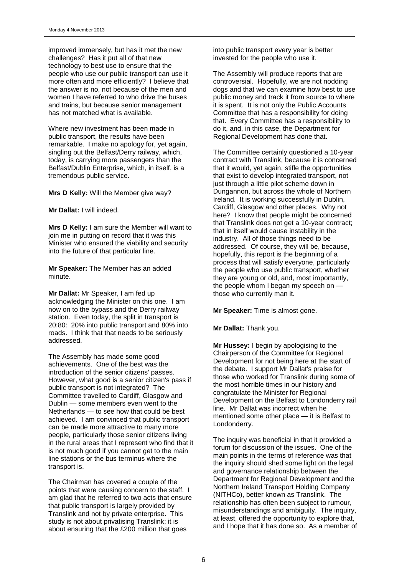improved immensely, but has it met the new challenges? Has it put all of that new technology to best use to ensure that the people who use our public transport can use it more often and more efficiently? I believe that the answer is no, not because of the men and women I have referred to who drive the buses and trains, but because senior management has not matched what is available.

Where new investment has been made in public transport, the results have been remarkable. I make no apology for, yet again, singling out the Belfast/Derry railway, which, today, is carrying more passengers than the Belfast/Dublin Enterprise, which, in itself, is a tremendous public service.

**Mrs D Kelly:** Will the Member give way?

**Mr Dallat:** I will indeed.

**Mrs D Kelly:** I am sure the Member will want to join me in putting on record that it was this Minister who ensured the viability and security into the future of that particular line.

**Mr Speaker:** The Member has an added minute.

**Mr Dallat:** Mr Speaker, I am fed up acknowledging the Minister on this one. I am now on to the bypass and the Derry railway station. Even today, the split in transport is 20:80: 20% into public transport and 80% into roads. I think that that needs to be seriously addressed.

The Assembly has made some good achievements. One of the best was the introduction of the senior citizens' passes. However, what good is a senior citizen's pass if public transport is not integrated? The Committee travelled to Cardiff, Glasgow and Dublin — some members even went to the Netherlands — to see how that could be best achieved. I am convinced that public transport can be made more attractive to many more people, particularly those senior citizens living in the rural areas that I represent who find that it is not much good if you cannot get to the main line stations or the bus terminus where the transport is.

The Chairman has covered a couple of the points that were causing concern to the staff. I am glad that he referred to two acts that ensure that public transport is largely provided by Translink and not by private enterprise. This study is not about privatising Translink; it is about ensuring that the £200 million that goes

into public transport every year is better invested for the people who use it.

The Assembly will produce reports that are controversial. Hopefully, we are not nodding dogs and that we can examine how best to use public money and track it from source to where it is spent. It is not only the Public Accounts Committee that has a responsibility for doing that. Every Committee has a responsibility to do it, and, in this case, the Department for Regional Development has done that.

The Committee certainly questioned a 10-year contract with Translink, because it is concerned that it would, yet again, stifle the opportunities that exist to develop integrated transport, not just through a little pilot scheme down in Dungannon, but across the whole of Northern Ireland. It is working successfully in Dublin, Cardiff, Glasgow and other places. Why not here? I know that people might be concerned that Translink does not get a 10-year contract; that in itself would cause instability in the industry. All of those things need to be addressed. Of course, they will be, because, hopefully, this report is the beginning of a process that will satisfy everyone, particularly the people who use public transport, whether they are young or old, and, most importantly, the people whom I began my speech on those who currently man it.

**Mr Speaker:** Time is almost gone.

#### **Mr Dallat:** Thank you.

**Mr Hussey:** I begin by apologising to the Chairperson of the Committee for Regional Development for not being here at the start of the debate. I support Mr Dallat's praise for those who worked for Translink during some of the most horrible times in our history and congratulate the Minister for Regional Development on the Belfast to Londonderry rail line. Mr Dallat was incorrect when he mentioned some other place — it is Belfast to Londonderry.

The inquiry was beneficial in that it provided a forum for discussion of the issues. One of the main points in the terms of reference was that the inquiry should shed some light on the legal and governance relationship between the Department for Regional Development and the Northern Ireland Transport Holding Company (NITHCo), better known as Translink. The relationship has often been subject to rumour, misunderstandings and ambiguity. The inquiry, at least, offered the opportunity to explore that, and I hope that it has done so. As a member of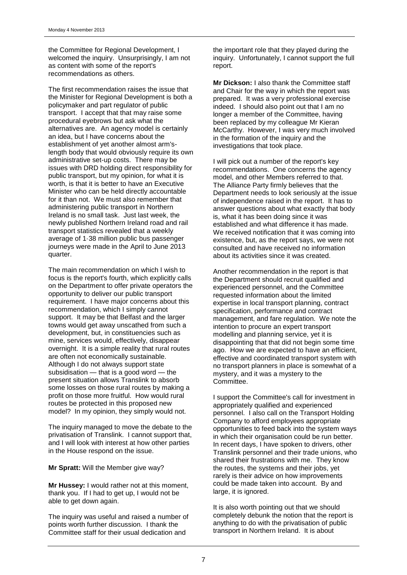the Committee for Regional Development, I welcomed the inquiry. Unsurprisingly, I am not as content with some of the report's recommendations as others.

The first recommendation raises the issue that the Minister for Regional Development is both a policymaker and part regulator of public transport. I accept that that may raise some procedural eyebrows but ask what the alternatives are. An agency model is certainly an idea, but I have concerns about the establishment of yet another almost arm'slength body that would obviously require its own administrative set-up costs. There may be issues with DRD holding direct responsibility for public transport, but my opinion, for what it is worth, is that it is better to have an Executive Minister who can be held directly accountable for it than not. We must also remember that administering public transport in Northern Ireland is no small task. Just last week, the newly published Northern Ireland road and rail transport statistics revealed that a weekly average of 1·38 million public bus passenger journeys were made in the April to June 2013 quarter.

The main recommendation on which I wish to focus is the report's fourth, which explicitly calls on the Department to offer private operators the opportunity to deliver our public transport requirement. I have major concerns about this recommendation, which I simply cannot support. It may be that Belfast and the larger towns would get away unscathed from such a development, but, in constituencies such as mine, services would, effectively, disappear overnight. It is a simple reality that rural routes are often not economically sustainable. Although I do not always support state subsidisation — that is a good word — the present situation allows Translink to absorb some losses on those rural routes by making a profit on those more fruitful. How would rural routes be protected in this proposed new model? In my opinion, they simply would not.

The inquiry managed to move the debate to the privatisation of Translink. I cannot support that, and I will look with interest at how other parties in the House respond on the issue.

**Mr Spratt:** Will the Member give way?

**Mr Hussey:** I would rather not at this moment, thank you. If I had to get up, I would not be able to get down again.

The inquiry was useful and raised a number of points worth further discussion. I thank the Committee staff for their usual dedication and

the important role that they played during the inquiry. Unfortunately, I cannot support the full report.

**Mr Dickson:** I also thank the Committee staff and Chair for the way in which the report was prepared. It was a very professional exercise indeed. I should also point out that I am no longer a member of the Committee, having been replaced by my colleague Mr Kieran McCarthy. However, I was very much involved in the formation of the inquiry and the investigations that took place.

I will pick out a number of the report's key recommendations. One concerns the agency model, and other Members referred to that. The Alliance Party firmly believes that the Department needs to look seriously at the issue of independence raised in the report. It has to answer questions about what exactly that body is, what it has been doing since it was established and what difference it has made. We received notification that it was coming into existence, but, as the report says, we were not consulted and have received no information about its activities since it was created.

Another recommendation in the report is that the Department should recruit qualified and experienced personnel, and the Committee requested information about the limited expertise in local transport planning, contract specification, performance and contract management, and fare regulation. We note the intention to procure an expert transport modelling and planning service, yet it is disappointing that that did not begin some time ago. How we are expected to have an efficient, effective and coordinated transport system with no transport planners in place is somewhat of a mystery, and it was a mystery to the Committee.

I support the Committee's call for investment in appropriately qualified and experienced personnel. I also call on the Transport Holding Company to afford employees appropriate opportunities to feed back into the system ways in which their organisation could be run better. In recent days, I have spoken to drivers, other Translink personnel and their trade unions, who shared their frustrations with me. They know the routes, the systems and their jobs, yet rarely is their advice on how improvements could be made taken into account. By and large, it is ignored.

It is also worth pointing out that we should completely debunk the notion that the report is anything to do with the privatisation of public transport in Northern Ireland. It is about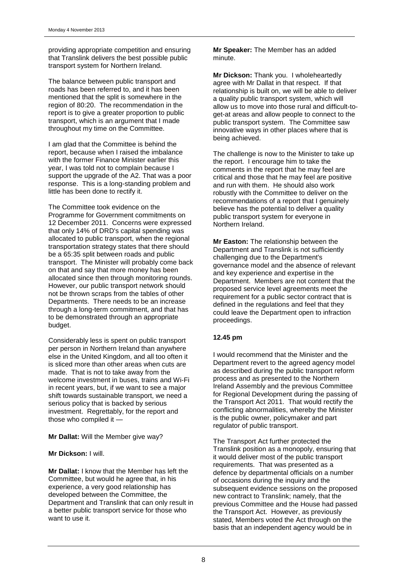providing appropriate competition and ensuring that Translink delivers the best possible public transport system for Northern Ireland.

The balance between public transport and roads has been referred to, and it has been mentioned that the split is somewhere in the region of 80:20. The recommendation in the report is to give a greater proportion to public transport, which is an argument that I made throughout my time on the Committee.

I am glad that the Committee is behind the report, because when I raised the imbalance with the former Finance Minister earlier this year, I was told not to complain because I support the upgrade of the A2. That was a poor response. This is a long-standing problem and little has been done to rectify it.

The Committee took evidence on the Programme for Government commitments on 12 December 2011. Concerns were expressed that only 14% of DRD's capital spending was allocated to public transport, when the regional transportation strategy states that there should be a 65:35 split between roads and public transport. The Minister will probably come back on that and say that more money has been allocated since then through monitoring rounds. However, our public transport network should not be thrown scraps from the tables of other Departments. There needs to be an increase through a long-term commitment, and that has to be demonstrated through an appropriate budget.

Considerably less is spent on public transport per person in Northern Ireland than anywhere else in the United Kingdom, and all too often it is sliced more than other areas when cuts are made. That is not to take away from the welcome investment in buses, trains and Wi-Fi in recent years, but, if we want to see a major shift towards sustainable transport, we need a serious policy that is backed by serious investment. Regrettably, for the report and those who compiled it —

#### **Mr Dallat:** Will the Member give way?

#### **Mr Dickson:** I will.

**Mr Dallat:** I know that the Member has left the Committee, but would he agree that, in his experience, a very good relationship has developed between the Committee, the Department and Translink that can only result in a better public transport service for those who want to use it.

**Mr Speaker:** The Member has an added minute.

**Mr Dickson:** Thank you. I wholeheartedly agree with Mr Dallat in that respect. If that relationship is built on, we will be able to deliver a quality public transport system, which will allow us to move into those rural and difficult-toget-at areas and allow people to connect to the public transport system. The Committee saw innovative ways in other places where that is being achieved.

The challenge is now to the Minister to take up the report. I encourage him to take the comments in the report that he may feel are critical and those that he may feel are positive and run with them. He should also work robustly with the Committee to deliver on the recommendations of a report that I genuinely believe has the potential to deliver a quality public transport system for everyone in Northern Ireland.

**Mr Easton:** The relationship between the Department and Translink is not sufficiently challenging due to the Department's governance model and the absence of relevant and key experience and expertise in the Department. Members are not content that the proposed service level agreements meet the requirement for a public sector contract that is defined in the regulations and feel that they could leave the Department open to infraction proceedings.

#### **12.45 pm**

I would recommend that the Minister and the Department revert to the agreed agency model as described during the public transport reform process and as presented to the Northern Ireland Assembly and the previous Committee for Regional Development during the passing of the Transport Act 2011. That would rectify the conflicting abnormalities, whereby the Minister is the public owner, policymaker and part regulator of public transport.

The Transport Act further protected the Translink position as a monopoly, ensuring that it would deliver most of the public transport requirements. That was presented as a defence by departmental officials on a number of occasions during the inquiry and the subsequent evidence sessions on the proposed new contract to Translink; namely, that the previous Committee and the House had passed the Transport Act. However, as previously stated, Members voted the Act through on the basis that an independent agency would be in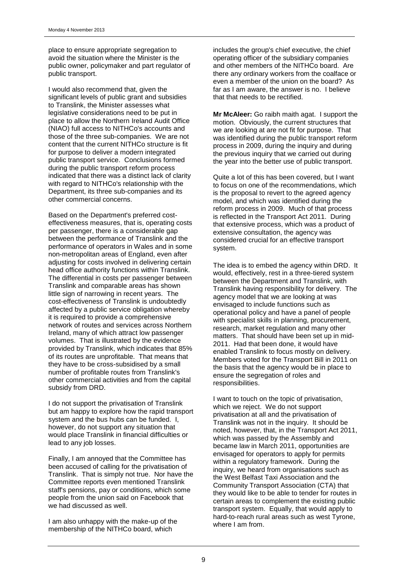place to ensure appropriate segregation to avoid the situation where the Minister is the public owner, policymaker and part regulator of public transport.

I would also recommend that, given the significant levels of public grant and subsidies to Translink, the Minister assesses what legislative considerations need to be put in place to allow the Northern Ireland Audit Office (NIAO) full access to NITHCo's accounts and those of the three sub-companies. We are not content that the current NITHCo structure is fit for purpose to deliver a modern integrated public transport service. Conclusions formed during the public transport reform process indicated that there was a distinct lack of clarity with regard to NITHCo's relationship with the Department, its three sub-companies and its other commercial concerns.

Based on the Department's preferred costeffectiveness measures, that is, operating costs per passenger, there is a considerable gap between the performance of Translink and the performance of operators in Wales and in some non-metropolitan areas of England, even after adjusting for costs involved in delivering certain head office authority functions within Translink. The differential in costs per passenger between Translink and comparable areas has shown little sign of narrowing in recent years. The cost-effectiveness of Translink is undoubtedly affected by a public service obligation whereby it is required to provide a comprehensive network of routes and services across Northern Ireland, many of which attract low passenger volumes. That is illustrated by the evidence provided by Translink, which indicates that 85% of its routes are unprofitable. That means that they have to be cross-subsidised by a small number of profitable routes from Translink's other commercial activities and from the capital subsidy from DRD.

I do not support the privatisation of Translink but am happy to explore how the rapid transport system and the bus hubs can be funded. I, however, do not support any situation that would place Translink in financial difficulties or lead to any job losses.

Finally, I am annoyed that the Committee has been accused of calling for the privatisation of Translink. That is simply not true. Nor have the Committee reports even mentioned Translink staff's pensions, pay or conditions, which some people from the union said on Facebook that we had discussed as well.

I am also unhappy with the make-up of the membership of the NITHCo board, which

includes the group's chief executive, the chief operating officer of the subsidiary companies and other members of the NITHCo board. Are there any ordinary workers from the coalface or even a member of the union on the board? As far as I am aware, the answer is no. I believe that that needs to be rectified.

**Mr McAleer:** Go raibh maith agat. I support the motion. Obviously, the current structures that we are looking at are not fit for purpose. That was identified during the public transport reform process in 2009, during the inquiry and during the previous inquiry that we carried out during the year into the better use of public transport.

Quite a lot of this has been covered, but I want to focus on one of the recommendations, which is the proposal to revert to the agreed agency model, and which was identified during the reform process in 2009. Much of that process is reflected in the Transport Act 2011. During that extensive process, which was a product of extensive consultation, the agency was considered crucial for an effective transport system.

The idea is to embed the agency within DRD. It would, effectively, rest in a three-tiered system between the Department and Translink, with Translink having responsibility for delivery. The agency model that we are looking at was envisaged to include functions such as operational policy and have a panel of people with specialist skills in planning, procurement, research, market regulation and many other matters. That should have been set up in mid-2011. Had that been done, it would have enabled Translink to focus mostly on delivery. Members voted for the Transport Bill in 2011 on the basis that the agency would be in place to ensure the segregation of roles and responsibilities.

I want to touch on the topic of privatisation, which we reject. We do not support privatisation at all and the privatisation of Translink was not in the inquiry. It should be noted, however, that, in the Transport Act 2011, which was passed by the Assembly and became law in March 2011, opportunities are envisaged for operators to apply for permits within a regulatory framework. During the inquiry, we heard from organisations such as the West Belfast Taxi Association and the Community Transport Association (CTA) that they would like to be able to tender for routes in certain areas to complement the existing public transport system. Equally, that would apply to hard-to-reach rural areas such as west Tyrone, where I am from.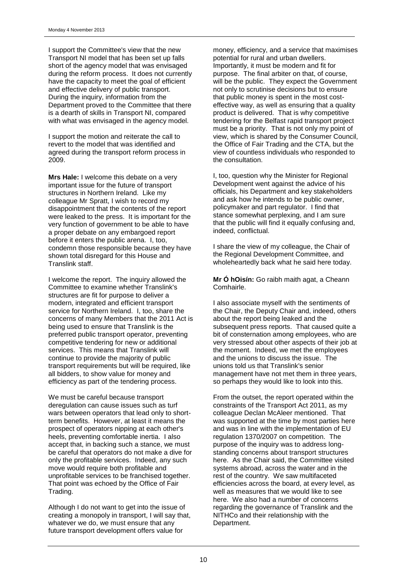I support the Committee's view that the new Transport NI model that has been set up falls short of the agency model that was envisaged during the reform process. It does not currently have the capacity to meet the goal of efficient and effective delivery of public transport. During the inquiry, information from the Department proved to the Committee that there is a dearth of skills in Transport NI, compared with what was envisaged in the agency model.

I support the motion and reiterate the call to revert to the model that was identified and agreed during the transport reform process in 2009.

**Mrs Hale:** I welcome this debate on a very important issue for the future of transport structures in Northern Ireland. Like my colleague Mr Spratt, I wish to record my disappointment that the contents of the report were leaked to the press. It is important for the very function of government to be able to have a proper debate on any embargoed report before it enters the public arena. I, too, condemn those responsible because they have shown total disregard for this House and Translink staff.

I welcome the report. The inquiry allowed the Committee to examine whether Translink's structures are fit for purpose to deliver a modern, integrated and efficient transport service for Northern Ireland. I, too, share the concerns of many Members that the 2011 Act is being used to ensure that Translink is the preferred public transport operator, preventing competitive tendering for new or additional services. This means that Translink will continue to provide the majority of public transport requirements but will be required, like all bidders, to show value for money and efficiency as part of the tendering process.

We must be careful because transport deregulation can cause issues such as turf wars between operators that lead only to shortterm benefits. However, at least it means the prospect of operators nipping at each other's heels, preventing comfortable inertia. I also accept that, in backing such a stance, we must be careful that operators do not make a dive for only the profitable services. Indeed, any such move would require both profitable and unprofitable services to be franchised together. That point was echoed by the Office of Fair Trading.

Although I do not want to get into the issue of creating a monopoly in transport, I will say that, whatever we do, we must ensure that any future transport development offers value for

money, efficiency, and a service that maximises potential for rural and urban dwellers. Importantly, it must be modern and fit for purpose. The final arbiter on that, of course, will be the public. They expect the Government not only to scrutinise decisions but to ensure that public money is spent in the most costeffective way, as well as ensuring that a quality product is delivered. That is why competitive tendering for the Belfast rapid transport project must be a priority. That is not only my point of view, which is shared by the Consumer Council, the Office of Fair Trading and the CTA, but the view of countless individuals who responded to the consultation.

I, too, question why the Minister for Regional Development went against the advice of his officials, his Department and key stakeholders and ask how he intends to be public owner, policymaker and part regulator. I find that stance somewhat perplexing, and I am sure that the public will find it equally confusing and, indeed, conflictual.

I share the view of my colleague, the Chair of the Regional Development Committee, and wholeheartedly back what he said here today.

**Mr Ó hOisín:** Go raibh maith agat, a Cheann Comhairle.

I also associate myself with the sentiments of the Chair, the Deputy Chair and, indeed, others about the report being leaked and the subsequent press reports. That caused quite a bit of consternation among employees, who are very stressed about other aspects of their job at the moment. Indeed, we met the employees and the unions to discuss the issue. The unions told us that Translink's senior management have not met them in three years, so perhaps they would like to look into this.

From the outset, the report operated within the constraints of the Transport Act 2011, as my colleague Declan McAleer mentioned. That was supported at the time by most parties here and was in line with the implementation of EU regulation 1370/2007 on competition. The purpose of the inquiry was to address longstanding concerns about transport structures here. As the Chair said, the Committee visited systems abroad, across the water and in the rest of the country. We saw multifaceted efficiencies across the board, at every level, as well as measures that we would like to see here. We also had a number of concerns regarding the governance of Translink and the NITHCo and their relationship with the Department.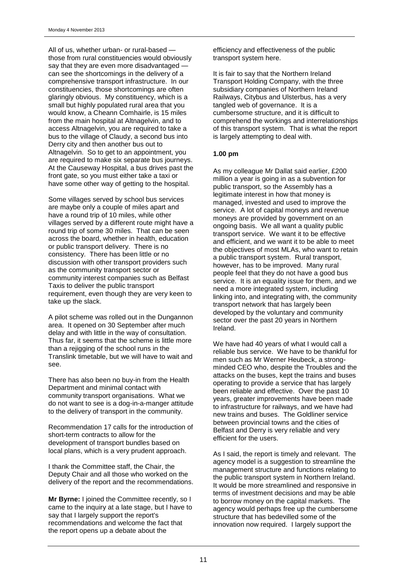All of us, whether urban- or rural-based those from rural constituencies would obviously say that they are even more disadvantaged can see the shortcomings in the delivery of a comprehensive transport infrastructure. In our constituencies, those shortcomings are often glaringly obvious. My constituency, which is a small but highly populated rural area that you would know, a Cheann Comhairle, is 15 miles from the main hospital at Altnagelvin, and to access Altnagelvin, you are required to take a bus to the village of Claudy, a second bus into Derry city and then another bus out to Altnagelvin. So to get to an appointment, you are required to make six separate bus journeys. At the Causeway Hospital, a bus drives past the front gate, so you must either take a taxi or have some other way of getting to the hospital.

Some villages served by school bus services are maybe only a couple of miles apart and have a round trip of 10 miles, while other villages served by a different route might have a round trip of some 30 miles. That can be seen across the board, whether in health, education or public transport delivery. There is no consistency. There has been little or no discussion with other transport providers such as the community transport sector or community interest companies such as Belfast Taxis to deliver the public transport requirement, even though they are very keen to take up the slack.

A pilot scheme was rolled out in the Dungannon area. It opened on 30 September after much delay and with little in the way of consultation. Thus far, it seems that the scheme is little more than a rejigging of the school runs in the Translink timetable, but we will have to wait and see.

There has also been no buy-in from the Health Department and minimal contact with community transport organisations. What we do not want to see is a dog-in-a-manger attitude to the delivery of transport in the community.

Recommendation 17 calls for the introduction of short-term contracts to allow for the development of transport bundles based on local plans, which is a very prudent approach.

I thank the Committee staff, the Chair, the Deputy Chair and all those who worked on the delivery of the report and the recommendations.

**Mr Byrne:** I joined the Committee recently, so I came to the inquiry at a late stage, but I have to say that I largely support the report's recommendations and welcome the fact that the report opens up a debate about the

efficiency and effectiveness of the public transport system here.

It is fair to say that the Northern Ireland Transport Holding Company, with the three subsidiary companies of Northern Ireland Railways, Citybus and Ulsterbus, has a very tangled web of governance. It is a cumbersome structure, and it is difficult to comprehend the workings and interrelationships of this transport system. That is what the report is largely attempting to deal with.

#### **1.00 pm**

As my colleague Mr Dallat said earlier, £200 million a year is going in as a subvention for public transport, so the Assembly has a legitimate interest in how that money is managed, invested and used to improve the service. A lot of capital moneys and revenue moneys are provided by government on an ongoing basis. We all want a quality public transport service. We want it to be effective and efficient, and we want it to be able to meet the objectives of most MLAs, who want to retain a public transport system. Rural transport, however, has to be improved. Many rural people feel that they do not have a good bus service. It is an equality issue for them, and we need a more integrated system, including linking into, and integrating with, the community transport network that has largely been developed by the voluntary and community sector over the past 20 years in Northern Ireland.

We have had 40 years of what I would call a reliable bus service. We have to be thankful for men such as Mr Werner Heubeck, a strongminded CEO who, despite the Troubles and the attacks on the buses, kept the trains and buses operating to provide a service that has largely been reliable and effective. Over the past 10 years, greater improvements have been made to infrastructure for railways, and we have had new trains and buses. The Goldliner service between provincial towns and the cities of Belfast and Derry is very reliable and very efficient for the users.

As I said, the report is timely and relevant. The agency model is a suggestion to streamline the management structure and functions relating to the public transport system in Northern Ireland. It would be more streamlined and responsive in terms of investment decisions and may be able to borrow money on the capital markets. The agency would perhaps free up the cumbersome structure that has bedevilled some of the innovation now required. I largely support the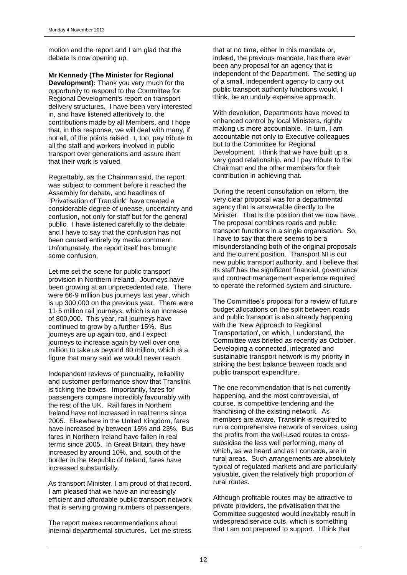motion and the report and I am glad that the debate is now opening up.

**Mr Kennedy (The Minister for Regional Development):** Thank you very much for the opportunity to respond to the Committee for Regional Development's report on transport delivery structures. I have been very interested in, and have listened attentively to, the contributions made by all Members, and I hope that, in this response, we will deal with many, if not all, of the points raised. I, too, pay tribute to all the staff and workers involved in public transport over generations and assure them that their work is valued.

Regrettably, as the Chairman said, the report was subject to comment before it reached the Assembly for debate, and headlines of "Privatisation of Translink" have created a considerable degree of unease, uncertainty and confusion, not only for staff but for the general public. I have listened carefully to the debate, and I have to say that the confusion has not been caused entirely by media comment. Unfortunately, the report itself has brought some confusion.

Let me set the scene for public transport provision in Northern Ireland. Journeys have been growing at an unprecedented rate. There were 66·9 million bus journeys last year, which is up 300,000 on the previous year. There were 11·5 million rail journeys, which is an increase of 800,000. This year, rail journeys have continued to grow by a further 15%. Bus journeys are up again too, and I expect journeys to increase again by well over one million to take us beyond 80 million, which is a figure that many said we would never reach.

Independent reviews of punctuality, reliability and customer performance show that Translink is ticking the boxes. Importantly, fares for passengers compare incredibly favourably with the rest of the UK. Rail fares in Northern Ireland have not increased in real terms since 2005. Elsewhere in the United Kingdom, fares have increased by between 15% and 23%. Bus fares in Northern Ireland have fallen in real terms since 2005. In Great Britain, they have increased by around 10%, and, south of the border in the Republic of Ireland, fares have increased substantially.

As transport Minister, I am proud of that record. I am pleased that we have an increasingly efficient and affordable public transport network that is serving growing numbers of passengers.

The report makes recommendations about internal departmental structures. Let me stress that at no time, either in this mandate or, indeed, the previous mandate, has there ever been any proposal for an agency that is independent of the Department. The setting up of a small, independent agency to carry out public transport authority functions would, I think, be an unduly expensive approach.

With devolution, Departments have moved to enhanced control by local Ministers, rightly making us more accountable. In turn, I am accountable not only to Executive colleagues but to the Committee for Regional Development. I think that we have built up a very good relationship, and I pay tribute to the Chairman and the other members for their contribution in achieving that.

During the recent consultation on reform, the very clear proposal was for a departmental agency that is answerable directly to the Minister. That is the position that we now have. The proposal combines roads and public transport functions in a single organisation. So, I have to say that there seems to be a misunderstanding both of the original proposals and the current position. Transport NI is our new public transport authority, and I believe that its staff has the significant financial, governance and contract management experience required to operate the reformed system and structure.

The Committee's proposal for a review of future budget allocations on the split between roads and public transport is also already happening with the 'New Approach to Regional Transportation', on which, I understand, the Committee was briefed as recently as October. Developing a connected, integrated and sustainable transport network is my priority in striking the best balance between roads and public transport expenditure.

The one recommendation that is not currently happening, and the most controversial, of course, is competitive tendering and the franchising of the existing network. As members are aware, Translink is required to run a comprehensive network of services, using the profits from the well-used routes to crosssubsidise the less well performing, many of which, as we heard and as I concede, are in rural areas. Such arrangements are absolutely typical of regulated markets and are particularly valuable, given the relatively high proportion of rural routes.

Although profitable routes may be attractive to private providers, the privatisation that the Committee suggested would inevitably result in widespread service cuts, which is something that I am not prepared to support. I think that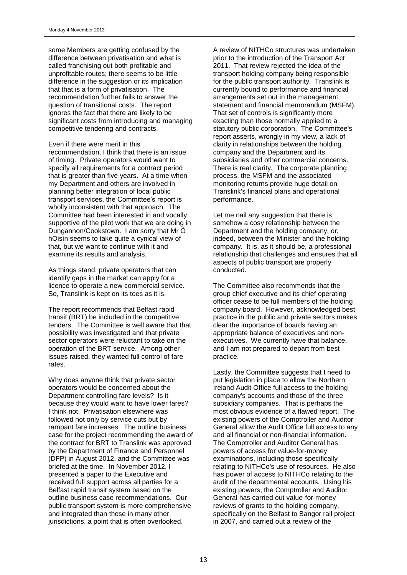some Members are getting confused by the difference between privatisation and what is called franchising out both profitable and unprofitable routes; there seems to be little difference in the suggestion or its implication that that is a form of privatisation. The recommendation further fails to answer the question of transitional costs. The report ignores the fact that there are likely to be significant costs from introducing and managing competitive tendering and contracts.

#### Even if there were merit in this

recommendation, I think that there is an issue of timing. Private operators would want to specify all requirements for a contract period that is greater than five years. At a time when my Department and others are involved in planning better integration of local public transport services, the Committee's report is wholly inconsistent with that approach. The Committee had been interested in and vocally supportive of the pilot work that we are doing in Dungannon/Cookstown. I am sorry that Mr Ó hOisín seems to take quite a cynical view of that, but we want to continue with it and examine its results and analysis.

As things stand, private operators that can identify gaps in the market can apply for a licence to operate a new commercial service. So, Translink is kept on its toes as it is.

The report recommends that Belfast rapid transit (BRT) be included in the competitive tenders. The Committee is well aware that that possibility was investigated and that private sector operators were reluctant to take on the operation of the BRT service. Among other issues raised, they wanted full control of fare rates.

Why does anyone think that private sector operators would be concerned about the Department controlling fare levels? Is it because they would want to have lower fares? I think not. Privatisation elsewhere was followed not only by service cuts but by rampant fare increases. The outline business case for the project recommending the award of the contract for BRT to Translink was approved by the Department of Finance and Personnel (DFP) in August 2012, and the Committee was briefed at the time. In November 2012, I presented a paper to the Executive and received full support across all parties for a Belfast rapid transit system based on the outline business case recommendations. Our public transport system is more comprehensive and integrated than those in many other jurisdictions, a point that is often overlooked.

A review of NITHCo structures was undertaken prior to the introduction of the Transport Act 2011. That review rejected the idea of the transport holding company being responsible for the public transport authority. Translink is currently bound to performance and financial arrangements set out in the management statement and financial memorandum (MSFM). That set of controls is significantly more exacting than those normally applied to a statutory public corporation. The Committee's report asserts, wrongly in my view, a lack of clarity in relationships between the holding company and the Department and its subsidiaries and other commercial concerns. There is real clarity. The corporate planning process, the MSFM and the associated monitoring returns provide huge detail on Translink's financial plans and operational performance.

Let me nail any suggestion that there is somehow a cosy relationship between the Department and the holding company, or, indeed, between the Minister and the holding company. It is, as it should be, a professional relationship that challenges and ensures that all aspects of public transport are properly conducted.

The Committee also recommends that the group chief executive and its chief operating officer cease to be full members of the holding company board. However, acknowledged best practice in the public and private sectors makes clear the importance of boards having an appropriate balance of executives and nonexecutives. We currently have that balance, and I am not prepared to depart from best practice.

Lastly, the Committee suggests that I need to put legislation in place to allow the Northern Ireland Audit Office full access to the holding company's accounts and those of the three subsidiary companies. That is perhaps the most obvious evidence of a flawed report. The existing powers of the Comptroller and Auditor General allow the Audit Office full access to any and all financial or non-financial information. The Comptroller and Auditor General has powers of access for value-for-money examinations, including those specifically relating to NITHCo's use of resources. He also has power of access to NITHCo relating to the audit of the departmental accounts. Using his existing powers, the Comptroller and Auditor General has carried out value-for-money reviews of grants to the holding company, specifically on the Belfast to Bangor rail project in 2007, and carried out a review of the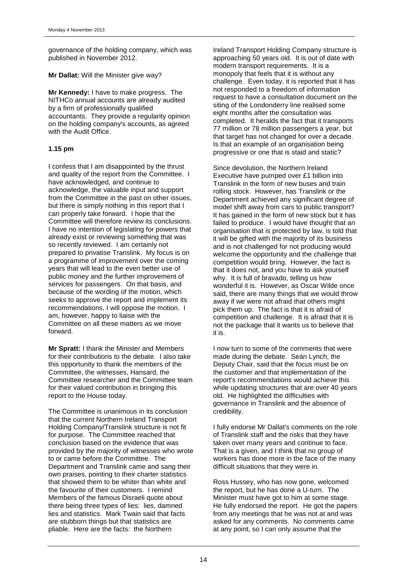governance of the holding company, which was published in November 2012.

**Mr Dallat: Will the Minister give way?** 

**Mr Kennedy:** I have to make progress. The NITHCo annual accounts are already audited by a firm of professionally qualified accountants. They provide a regularity opinion on the holding company's accounts, as agreed with the Audit Office.

### **1.15 pm**

I confess that I am disappointed by the thrust and quality of the report from the Committee. I have acknowledged, and continue to acknowledge, the valuable input and support from the Committee in the past on other issues, but there is simply nothing in this report that I can properly take forward. I hope that the Committee will therefore review its conclusions. I have no intention of legislating for powers that already exist or reviewing something that was so recently reviewed. I am certainly not prepared to privatise Translink. My focus is on a programme of improvement over the coming years that will lead to the even better use of public money and the further improvement of services for passengers. On that basis, and because of the wording of the motion, which seeks to approve the report and implement its recommendations, I will oppose the motion. I am, however, happy to liaise with the Committee on all these matters as we move forward.

**Mr Spratt:** I thank the Minister and Members for their contributions to the debate. I also take this opportunity to thank the members of the Committee, the witnesses, Hansard, the Committee researcher and the Committee team for their valued contribution in bringing this report to the House today.

The Committee is unanimous in its conclusion that the current Northern Ireland Transport Holding Company/Translink structure is not fit for purpose. The Committee reached that conclusion based on the evidence that was provided by the majority of witnesses who wrote to or came before the Committee. The Department and Translink came and sang their own praises, pointing to their charter statistics that showed them to be whiter than white and the favourite of their customers. I remind Members of the famous Disraeli quote about there being three types of lies: lies, damned lies and statistics. Mark Twain said that facts are stubborn things but that statistics are pliable. Here are the facts: the Northern

Ireland Transport Holding Company structure is approaching 50 years old. It is out of date with modern transport requirements. It is a monopoly that feels that it is without any challenge. Even today, it is reported that it has not responded to a freedom of information request to have a consultation document on the siting of the Londonderry line realised some eight months after the consultation was completed. It heralds the fact that it transports 77 million or 78 million passengers a year, but that target has not changed for over a decade. Is that an example of an organisation being progressive or one that is staid and static?

Since devolution, the Northern Ireland Executive have pumped over £1 billion into Translink in the form of new buses and train rolling stock. However, has Translink or the Department achieved any significant degree of model shift away from cars to public transport? It has gained in the form of new stock but it has failed to produce. I would have thought that an organisation that is protected by law, is told that it will be gifted with the majority of its business and is not challenged for not producing would welcome the opportunity and the challenge that competition would bring. However, the fact is that it does not, and you have to ask yourself why. It is full of bravado, telling us how wonderful it is. However, as Oscar Wilde once said, there are many things that we would throw away if we were not afraid that others might pick them up. The fact is that it is afraid of competition and challenge. It is afraid that it is not the package that it wants us to believe that it is.

I now turn to some of the comments that were made during the debate. Seán Lynch, the Deputy Chair, said that the focus must be on the customer and that implementation of the report's recommendations would achieve this while updating structures that are over 40 years old. He highlighted the difficulties with governance in Translink and the absence of credibility.

I fully endorse Mr Dallat's comments on the role of Translink staff and the risks that they have taken over many years and continue to face. That is a given, and I think that no group of workers has done more in the face of the many difficult situations that they were in.

Ross Hussey, who has now gone, welcomed the report, but he has done a U-turn. The Minister must have got to him at some stage. He fully endorsed the report. He got the papers from any meetings that he was not at and was asked for any comments. No comments came at any point, so I can only assume that the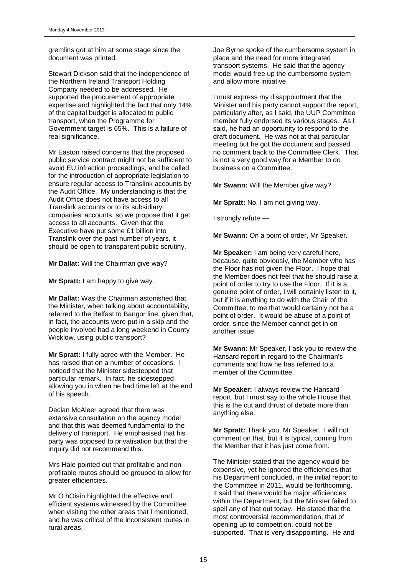gremlins got at him at some stage since the document was printed.

Stewart Dickson said that the independence of the Northern Ireland Transport Holding Company needed to be addressed. He supported the procurement of appropriate expertise and highlighted the fact that only 14% of the capital budget is allocated to public transport, when the Programme for Government target is 65%. This is a failure of real significance.

Mr Easton raised concerns that the proposed public service contract might not be sufficient to avoid EU infraction proceedings, and he called for the introduction of appropriate legislation to ensure regular access to Translink accounts by the Audit Office. My understanding is that the Audit Office does not have access to all Translink accounts or to its subsidiary companies' accounts, so we propose that it get access to all accounts. Given that the Executive have put some £1 billion into Translink over the past number of years, it should be open to transparent public scrutiny.

**Mr Dallat:** Will the Chairman give way?

**Mr Spratt:** I am happy to give way.

**Mr Dallat:** Was the Chairman astonished that the Minister, when talking about accountability, referred to the Belfast to Bangor line, given that, in fact, the accounts were put in a skip and the people involved had a long weekend in County Wicklow, using public transport?

**Mr Spratt:** I fully agree with the Member. He has raised that on a number of occasions. I noticed that the Minister sidestepped that particular remark. In fact, he sidestepped allowing you in when he had time left at the end of his speech.

Declan McAleer agreed that there was extensive consultation on the agency model and that this was deemed fundamental to the delivery of transport. He emphasised that his party was opposed to privatisation but that the inquiry did not recommend this.

Mrs Hale pointed out that profitable and nonprofitable routes should be grouped to allow for greater efficiencies.

Mr Ó hOisín highlighted the effective and efficient systems witnessed by the Committee when visiting the other areas that I mentioned, and he was critical of the inconsistent routes in rural areas.

Joe Byrne spoke of the cumbersome system in place and the need for more integrated transport systems. He said that the agency model would free up the cumbersome system and allow more initiative.

I must express my disappointment that the Minister and his party cannot support the report, particularly after, as I said, the UUP Committee member fully endorsed its various stages. As I said, he had an opportunity to respond to the draft document. He was not at that particular meeting but he got the document and passed no comment back to the Committee Clerk. That is not a very good way for a Member to do business on a Committee.

**Mr Swann:** Will the Member give way?

**Mr Spratt:** No, I am not giving way.

I strongly refute —

**Mr Swann:** On a point of order, Mr Speaker.

**Mr Speaker:** I am being very careful here, because, quite obviously, the Member who has the Floor has not given the Floor. I hope that the Member does not feel that he should raise a point of order to try to use the Floor. If it is a genuine point of order, I will certainly listen to it, but if it is anything to do with the Chair of the Committee, to me that would certainly not be a point of order. It would be abuse of a point of order, since the Member cannot get in on another issue.

**Mr Swann:** Mr Speaker, I ask you to review the Hansard report in regard to the Chairman's comments and how he has referred to a member of the Committee.

**Mr Speaker:** I always review the Hansard report, but I must say to the whole House that this is the cut and thrust of debate more than anything else.

**Mr Spratt:** Thank you, Mr Speaker. I will not comment on that, but it is typical, coming from the Member that it has just come from.

The Minister stated that the agency would be expensive, yet he ignored the efficiencies that his Department concluded, in the initial report to the Committee in 2011, would be forthcoming. It said that there would be major efficiencies within the Department, but the Minister failed to spell any of that out today. He stated that the most controversial recommendation, that of opening up to competition, could not be supported. That is very disappointing. He and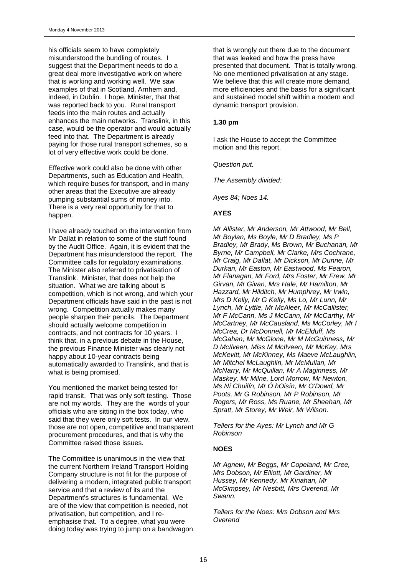his officials seem to have completely misunderstood the bundling of routes. I suggest that the Department needs to do a great deal more investigative work on where that is working and working well. We saw examples of that in Scotland, Arnhem and, indeed, in Dublin. I hope, Minister, that that was reported back to you. Rural transport feeds into the main routes and actually enhances the main networks. Translink, in this case, would be the operator and would actually feed into that. The Department is already paying for those rural transport schemes, so a lot of very effective work could be done.

Effective work could also be done with other Departments, such as Education and Health, which require buses for transport, and in many other areas that the Executive are already pumping substantial sums of money into. There is a very real opportunity for that to happen.

I have already touched on the intervention from Mr Dallat in relation to some of the stuff found by the Audit Office. Again, it is evident that the Department has misunderstood the report. The Committee calls for regulatory examinations. The Minister also referred to privatisation of Translink. Minister, that does not help the situation. What we are talking about is competition, which is not wrong, and which your Department officials have said in the past is not wrong. Competition actually makes many people sharpen their pencils. The Department should actually welcome competition in contracts, and not contracts for 10 years. I think that, in a previous debate in the House, the previous Finance Minister was clearly not happy about 10-year contracts being automatically awarded to Translink, and that is what is being promised.

You mentioned the market being tested for rapid transit. That was only soft testing. Those are not my words. They are the words of your officials who are sitting in the box today, who said that they were only soft tests. In our view, those are not open, competitive and transparent procurement procedures, and that is why the Committee raised those issues.

The Committee is unanimous in the view that the current Northern Ireland Transport Holding Company structure is not fit for the purpose of delivering a modern, integrated public transport service and that a review of its and the Department's structures is fundamental. We are of the view that competition is needed, not privatisation, but competition, and I reemphasise that. To a degree, what you were doing today was trying to jump on a bandwagon that is wrongly out there due to the document that was leaked and how the press have presented that document. That is totally wrong. No one mentioned privatisation at any stage. We believe that this will create more demand, more efficiencies and the basis for a significant and sustained model shift within a modern and dynamic transport provision.

#### **1.30 pm**

I ask the House to accept the Committee motion and this report.

*Question put.*

*The Assembly divided:*

*Ayes 84; Noes 14.*

### **AYES**

*Mr Allister, Mr Anderson, Mr Attwood, Mr Bell, Mr Boylan, Ms Boyle, Mr D Bradley, Ms P Bradley, Mr Brady, Ms Brown, Mr Buchanan, Mr Byrne, Mr Campbell, Mr Clarke, Mrs Cochrane, Mr Craig, Mr Dallat, Mr Dickson, Mr Dunne, Mr Durkan, Mr Easton, Mr Eastwood, Ms Fearon, Mr Flanagan, Mr Ford, Mrs Foster, Mr Frew, Mr Girvan, Mr Givan, Mrs Hale, Mr Hamilton, Mr Hazzard, Mr Hilditch, Mr Humphrey, Mr Irwin, Mrs D Kelly, Mr G Kelly, Ms Lo, Mr Lunn, Mr Lynch, Mr Lyttle, Mr McAleer, Mr McCallister, Mr F McCann, Ms J McCann, Mr McCarthy, Mr McCartney, Mr McCausland, Ms McCorley, Mr I McCrea, Dr McDonnell, Mr McElduff, Ms McGahan, Mr McGlone, Mr M McGuinness, Mr D McIlveen, Miss M McIlveen, Mr McKay, Mrs McKevitt, Mr McKinney, Ms Maeve McLaughlin, Mr Mitchel McLaughlin, Mr McMullan, Mr McNarry, Mr McQuillan, Mr A Maginness, Mr Maskey, Mr Milne, Lord Morrow, Mr Newton, Ms Ní Chuilín, Mr Ó hOisín, Mr O'Dowd, Mr Poots, Mr G Robinson, Mr P Robinson, Mr Rogers, Mr Ross, Ms Ruane, Mr Sheehan, Mr Spratt, Mr Storey, Mr Weir, Mr Wilson.*

*Tellers for the Ayes: Mr Lynch and Mr G Robinson*

### **NOES**

*Mr Agnew, Mr Beggs, Mr Copeland, Mr Cree, Mrs Dobson, Mr Elliott, Mr Gardiner, Mr Hussey, Mr Kennedy, Mr Kinahan, Mr McGimpsey, Mr Nesbitt, Mrs Overend, Mr Swann.*

*Tellers for the Noes: Mrs Dobson and Mrs Overend*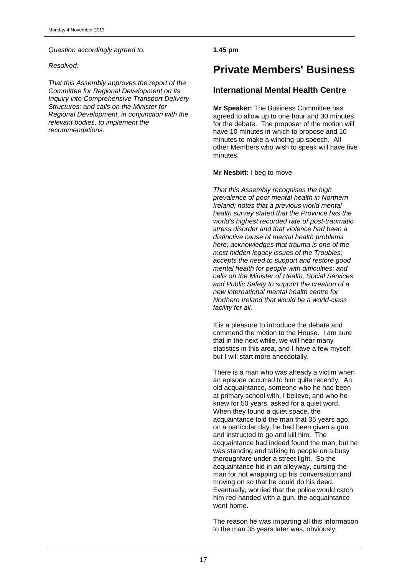*Question accordingly agreed to.*

*Resolved:*

*That this Assembly approves the report of the Committee for Regional Development on its Inquiry into Comprehensive Transport Delivery Structures; and calls on the Minister for Regional Development, in conjunction with the relevant bodies, to implement the recommendations.*

**1.45 pm**

## **Private Members' Business**

## **International Mental Health Centre**

**Mr Speaker:** The Business Committee has agreed to allow up to one hour and 30 minutes for the debate. The proposer of the motion will have 10 minutes in which to propose and 10 minutes to make a winding-up speech. All other Members who wish to speak will have five minutes.

#### **Mr Nesbitt:** I beg to move

*That this Assembly recognises the high prevalence of poor mental health in Northern Ireland; notes that a previous world mental health survey stated that the Province has the world's highest recorded rate of post-traumatic stress disorder and that violence had been a distinctive cause of mental health problems here; acknowledges that trauma is one of the most hidden legacy issues of the Troubles; accepts the need to support and restore good mental health for people with difficulties; and calls on the Minister of Health, Social Services and Public Safety to support the creation of a new international mental health centre for Northern Ireland that would be a world-class facility for all.*

It is a pleasure to introduce the debate and commend the motion to the House. I am sure that in the next while, we will hear many statistics in this area, and I have a few myself, but I will start more anecdotally.

There is a man who was already a victim when an episode occurred to him quite recently. An old acquaintance, someone who he had been at primary school with, I believe, and who he knew for 50 years, asked for a quiet word. When they found a quiet space, the acquaintance told the man that 35 years ago, on a particular day, he had been given a gun and instructed to go and kill him. The acquaintance had indeed found the man, but he was standing and talking to people on a busy thoroughfare under a street light. So the acquaintance hid in an alleyway, cursing the man for not wrapping up his conversation and moving on so that he could do his deed. Eventually, worried that the police would catch him red-handed with a gun, the acquaintance went home.

The reason he was imparting all this information to the man 35 years later was, obviously,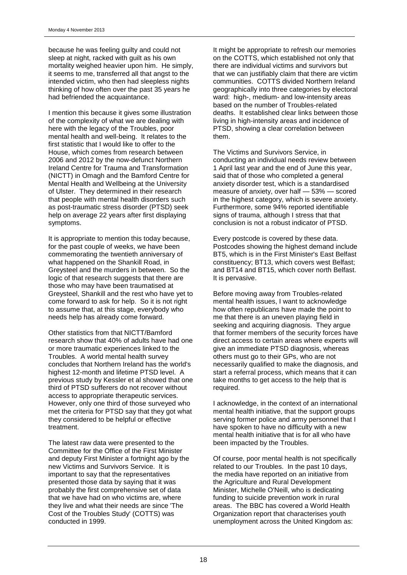because he was feeling guilty and could not sleep at night, racked with guilt as his own mortality weighed heavier upon him. He simply, it seems to me, transferred all that angst to the intended victim, who then had sleepless nights thinking of how often over the past 35 years he had befriended the acquaintance.

I mention this because it gives some illustration of the complexity of what we are dealing with here with the legacy of the Troubles, poor mental health and well-being. It relates to the first statistic that I would like to offer to the House, which comes from research between 2006 and 2012 by the now-defunct Northern Ireland Centre for Trauma and Transformation (NICTT) in Omagh and the Bamford Centre for Mental Health and Wellbeing at the University of Ulster. They determined in their research that people with mental health disorders such as post-traumatic stress disorder (PTSD) seek help on average 22 years after first displaying symptoms.

It is appropriate to mention this today because, for the past couple of weeks, we have been commemorating the twentieth anniversary of what happened on the Shankill Road, in Greysteel and the murders in between. So the logic of that research suggests that there are those who may have been traumatised at Greysteel, Shankill and the rest who have yet to come forward to ask for help. So it is not right to assume that, at this stage, everybody who needs help has already come forward.

Other statistics from that NICTT/Bamford research show that 40% of adults have had one or more traumatic experiences linked to the Troubles. A world mental health survey concludes that Northern Ireland has the world's highest 12-month and lifetime PTSD level. A previous study by Kessler et al showed that one third of PTSD sufferers do not recover without access to appropriate therapeutic services. However, only one third of those surveyed who met the criteria for PTSD say that they got what they considered to be helpful or effective treatment.

The latest raw data were presented to the Committee for the Office of the First Minister and deputy First Minister a fortnight ago by the new Victims and Survivors Service. It is important to say that the representatives presented those data by saying that it was probably the first comprehensive set of data that we have had on who victims are, where they live and what their needs are since 'The Cost of the Troubles Study' (COTTS) was conducted in 1999.

It might be appropriate to refresh our memories on the COTTS, which established not only that there are individual victims and survivors but that we can justifiably claim that there are victim communities. COTTS divided Northern Ireland geographically into three categories by electoral ward: high-, medium- and low-intensity areas based on the number of Troubles-related deaths. It established clear links between those living in high-intensity areas and incidence of PTSD, showing a clear correlation between them.

The Victims and Survivors Service, in conducting an individual needs review between 1 April last year and the end of June this year, said that of those who completed a general anxiety disorder test, which is a standardised measure of anxiety, over half — 53% — scored in the highest category, which is severe anxiety. Furthermore, some 94% reported identifiable signs of trauma, although I stress that that conclusion is not a robust indicator of PTSD.

Every postcode is covered by these data. Postcodes showing the highest demand include BT5, which is in the First Minister's East Belfast constituency; BT13, which covers west Belfast; and BT14 and BT15, which cover north Belfast. It is pervasive.

Before moving away from Troubles-related mental health issues, I want to acknowledge how often republicans have made the point to me that there is an uneven playing field in seeking and acquiring diagnosis. They argue that former members of the security forces have direct access to certain areas where experts will give an immediate PTSD diagnosis, whereas others must go to their GPs, who are not necessarily qualified to make the diagnosis, and start a referral process, which means that it can take months to get access to the help that is required.

I acknowledge, in the context of an international mental health initiative, that the support groups serving former police and army personnel that I have spoken to have no difficulty with a new mental health initiative that is for all who have been impacted by the Troubles.

Of course, poor mental health is not specifically related to our Troubles. In the past 10 days, the media have reported on an initiative from the Agriculture and Rural Development Minister, Michelle O'Neill, who is dedicating funding to suicide prevention work in rural areas. The BBC has covered a World Health Organization report that characterises youth unemployment across the United Kingdom as: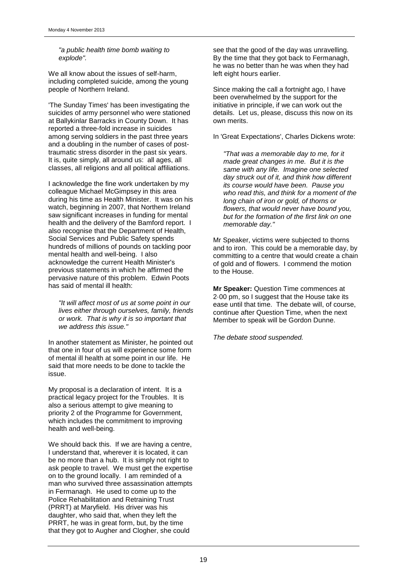*"a public health time bomb waiting to explode".*

We all know about the issues of self-harm, including completed suicide, among the young people of Northern Ireland.

'The Sunday Times' has been investigating the suicides of army personnel who were stationed at Ballykinlar Barracks in County Down. It has reported a three-fold increase in suicides among serving soldiers in the past three years and a doubling in the number of cases of posttraumatic stress disorder in the past six years. It is, quite simply, all around us: all ages, all classes, all religions and all political affiliations.

I acknowledge the fine work undertaken by my colleague Michael McGimpsey in this area during his time as Health Minister. It was on his watch, beginning in 2007, that Northern Ireland saw significant increases in funding for mental health and the delivery of the Bamford report. I also recognise that the Department of Health, Social Services and Public Safety spends hundreds of millions of pounds on tackling poor mental health and well-being. I also acknowledge the current Health Minister's previous statements in which he affirmed the pervasive nature of this problem. Edwin Poots has said of mental ill health:

*"It will affect most of us at some point in our lives either through ourselves, family, friends or work. That is why it is so important that we address this issue."*

In another statement as Minister, he pointed out that one in four of us will experience some form of mental ill health at some point in our life. He said that more needs to be done to tackle the issue.

My proposal is a declaration of intent. It is a practical legacy project for the Troubles. It is also a serious attempt to give meaning to priority 2 of the Programme for Government, which includes the commitment to improving health and well-being.

We should back this. If we are having a centre, I understand that, wherever it is located, it can be no more than a hub. It is simply not right to ask people to travel. We must get the expertise on to the ground locally. I am reminded of a man who survived three assassination attempts in Fermanagh. He used to come up to the Police Rehabilitation and Retraining Trust (PRRT) at Maryfield. His driver was his daughter, who said that, when they left the PRRT, he was in great form, but, by the time that they got to Augher and Clogher, she could

see that the good of the day was unravelling. By the time that they got back to Fermanagh, he was no better than he was when they had left eight hours earlier.

Since making the call a fortnight ago, I have been overwhelmed by the support for the initiative in principle, if we can work out the details. Let us, please, discuss this now on its own merits.

In 'Great Expectations', Charles Dickens wrote:

*"That was a memorable day to me, for it made great changes in me. But it is the same with any life. Imagine one selected day struck out of it, and think how different its course would have been. Pause you who read this, and think for a moment of the long chain of iron or gold, of thorns or flowers, that would never have bound you, but for the formation of the first link on one memorable day."*

Mr Speaker, victims were subjected to thorns and to iron. This could be a memorable day, by committing to a centre that would create a chain of gold and of flowers. I commend the motion to the House.

**Mr Speaker:** Question Time commences at 2·00 pm, so I suggest that the House take its ease until that time. The debate will, of course, continue after Question Time, when the next Member to speak will be Gordon Dunne.

*The debate stood suspended.*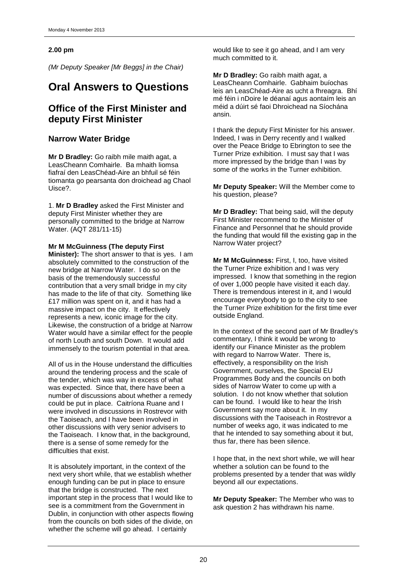### **2.00 pm**

*(Mr Deputy Speaker [Mr Beggs] in the Chair)*

## **Oral Answers to Questions**

## **Office of the First Minister and deputy First Minister**

## **Narrow Water Bridge**

**Mr D Bradley:** Go raibh mile maith agat, a LeasCheann Comhairle. Ba mhaith liomsa fiafraí den LeasChéad-Aire an bhfuil sé féin tiomanta go pearsanta don droichead ag Chaol Uisce?.

1. **Mr D Bradley** asked the First Minister and deputy First Minister whether they are personally committed to the bridge at Narrow Water. (AQT 281/11-15)

**Mr M McGuinness (The deputy First** 

**Minister):** The short answer to that is yes. I am absolutely committed to the construction of the new bridge at Narrow Water. I do so on the basis of the tremendously successful contribution that a very small bridge in my city has made to the life of that city. Something like £17 million was spent on it, and it has had a massive impact on the city. It effectively represents a new, iconic image for the city. Likewise, the construction of a bridge at Narrow Water would have a similar effect for the people of north Louth and south Down. It would add immensely to the tourism potential in that area.

All of us in the House understand the difficulties around the tendering process and the scale of the tender, which was way in excess of what was expected. Since that, there have been a number of discussions about whether a remedy could be put in place. Caitríona Ruane and I were involved in discussions in Rostrevor with the Taoiseach, and I have been involved in other discussions with very senior advisers to the Taoiseach. I know that, in the background, there is a sense of some remedy for the difficulties that exist.

It is absolutely important, in the context of the next very short while, that we establish whether enough funding can be put in place to ensure that the bridge is constructed. The next important step in the process that I would like to see is a commitment from the Government in Dublin, in conjunction with other aspects flowing from the councils on both sides of the divide, on whether the scheme will go ahead. I certainly

would like to see it go ahead, and I am very much committed to it.

**Mr D Bradley:** Go raibh maith agat, a LeasCheann Comhairle. Gabhaim buíochas leis an LeasChéad-Aire as ucht a fhreagra. Bhí mé féin i nDoire le déanaí agus aontaím leis an méid a dúirt sé faoi Dhroichead na Síochána ansin.

I thank the deputy First Minister for his answer. Indeed, I was in Derry recently and I walked over the Peace Bridge to Ebrington to see the Turner Prize exhibition. I must say that I was more impressed by the bridge than I was by some of the works in the Turner exhibition.

**Mr Deputy Speaker:** Will the Member come to his question, please?

**Mr D Bradley:** That being said, will the deputy First Minister recommend to the Minister of Finance and Personnel that he should provide the funding that would fill the existing gap in the Narrow Water project?

**Mr M McGuinness:** First, I, too, have visited the Turner Prize exhibition and I was very impressed. I know that something in the region of over 1,000 people have visited it each day. There is tremendous interest in it, and I would encourage everybody to go to the city to see the Turner Prize exhibition for the first time ever outside England.

In the context of the second part of Mr Bradley's commentary, I think it would be wrong to identify our Finance Minister as the problem with regard to Narrow Water. There is, effectively, a responsibility on the Irish Government, ourselves, the Special EU Programmes Body and the councils on both sides of Narrow Water to come up with a solution. I do not know whether that solution can be found. I would like to hear the Irish Government say more about it. In my discussions with the Taoiseach in Rostrevor a number of weeks ago, it was indicated to me that he intended to say something about it but, thus far, there has been silence.

I hope that, in the next short while, we will hear whether a solution can be found to the problems presented by a tender that was wildly beyond all our expectations.

**Mr Deputy Speaker:** The Member who was to ask question 2 has withdrawn his name.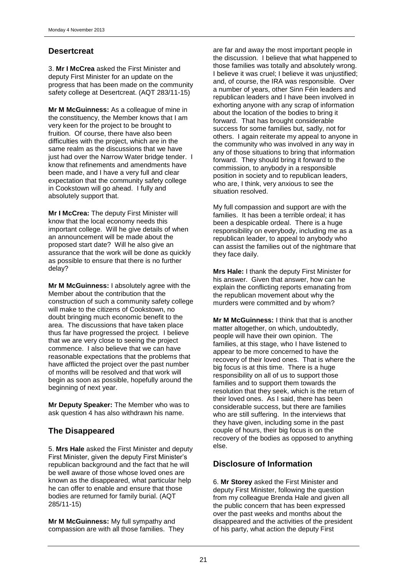## **Desertcreat**

3. **Mr I McCrea** asked the First Minister and deputy First Minister for an update on the progress that has been made on the community safety college at Desertcreat. (AQT 283/11-15)

**Mr M McGuinness:** As a colleague of mine in the constituency, the Member knows that I am very keen for the project to be brought to fruition. Of course, there have also been difficulties with the project, which are in the same realm as the discussions that we have just had over the Narrow Water bridge tender. I know that refinements and amendments have been made, and I have a very full and clear expectation that the community safety college in Cookstown will go ahead. I fully and absolutely support that.

**Mr I McCrea:** The deputy First Minister will know that the local economy needs this important college. Will he give details of when an announcement will be made about the proposed start date? Will he also give an assurance that the work will be done as quickly as possible to ensure that there is no further delay?

**Mr M McGuinness:** I absolutely agree with the Member about the contribution that the construction of such a community safety college will make to the citizens of Cookstown, no doubt bringing much economic benefit to the area. The discussions that have taken place thus far have progressed the project. I believe that we are very close to seeing the project commence. I also believe that we can have reasonable expectations that the problems that have afflicted the project over the past number of months will be resolved and that work will begin as soon as possible, hopefully around the beginning of next year.

**Mr Deputy Speaker:** The Member who was to ask question 4 has also withdrawn his name.

## **The Disappeared**

5. **Mrs Hale** asked the First Minister and deputy First Minister, given the deputy First Minister's republican background and the fact that he will be well aware of those whose loved ones are known as the disappeared, what particular help he can offer to enable and ensure that those bodies are returned for family burial. (AQT 285/11-15)

**Mr M McGuinness:** My full sympathy and compassion are with all those families. They are far and away the most important people in the discussion. I believe that what happened to those families was totally and absolutely wrong. I believe it was cruel; I believe it was unjustified; and, of course, the IRA was responsible. Over a number of years, other Sinn Féin leaders and republican leaders and I have been involved in exhorting anyone with any scrap of information about the location of the bodies to bring it forward. That has brought considerable success for some families but, sadly, not for others. I again reiterate my appeal to anyone in the community who was involved in any way in any of those situations to bring that information forward. They should bring it forward to the commission, to anybody in a responsible position in society and to republican leaders, who are, I think, very anxious to see the situation resolved.

My full compassion and support are with the families. It has been a terrible ordeal; it has been a despicable ordeal. There is a huge responsibility on everybody, including me as a republican leader, to appeal to anybody who can assist the families out of the nightmare that they face daily.

**Mrs Hale:** I thank the deputy First Minister for his answer. Given that answer, how can he explain the conflicting reports emanating from the republican movement about why the murders were committed and by whom?

**Mr M McGuinness: I think that that is another** matter altogether, on which, undoubtedly, people will have their own opinion. The families, at this stage, who I have listened to appear to be more concerned to have the recovery of their loved ones. That is where the big focus is at this time. There is a huge responsibility on all of us to support those families and to support them towards the resolution that they seek, which is the return of their loved ones. As I said, there has been considerable success, but there are families who are still suffering. In the interviews that they have given, including some in the past couple of hours, their big focus is on the recovery of the bodies as opposed to anything else.

## **Disclosure of Information**

6. **Mr Storey** asked the First Minister and deputy First Minister, following the question from my colleague Brenda Hale and given all the public concern that has been expressed over the past weeks and months about the disappeared and the activities of the president of his party, what action the deputy First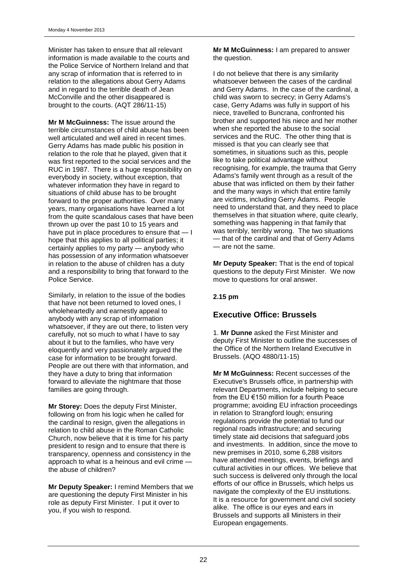Minister has taken to ensure that all relevant information is made available to the courts and the Police Service of Northern Ireland and that any scrap of information that is referred to in relation to the allegations about Gerry Adams and in regard to the terrible death of Jean McConville and the other disappeared is brought to the courts. (AQT 286/11-15)

**Mr M McGuinness:** The issue around the terrible circumstances of child abuse has been well articulated and well aired in recent times. Gerry Adams has made public his position in relation to the role that he played, given that it was first reported to the social services and the RUC in 1987. There is a huge responsibility on everybody in society, without exception, that whatever information they have in regard to situations of child abuse has to be brought forward to the proper authorities. Over many years, many organisations have learned a lot from the quite scandalous cases that have been thrown up over the past 10 to 15 years and have put in place procedures to ensure that — I hope that this applies to all political parties; it certainly applies to my party — anybody who has possession of any information whatsoever in relation to the abuse of children has a duty and a responsibility to bring that forward to the Police Service.

Similarly, in relation to the issue of the bodies that have not been returned to loved ones, I wholeheartedly and earnestly appeal to anybody with any scrap of information whatsoever, if they are out there, to listen very carefully, not so much to what I have to say about it but to the families, who have very eloquently and very passionately argued the case for information to be brought forward. People are out there with that information, and they have a duty to bring that information forward to alleviate the nightmare that those families are going through.

**Mr Storey:** Does the deputy First Minister, following on from his logic when he called for the cardinal to resign, given the allegations in relation to child abuse in the Roman Catholic Church, now believe that it is time for his party president to resign and to ensure that there is transparency, openness and consistency in the approach to what is a heinous and evil crime the abuse of children?

**Mr Deputy Speaker:** I remind Members that we are questioning the deputy First Minister in his role as deputy First Minister. I put it over to you, if you wish to respond.

**Mr M McGuinness:** I am prepared to answer the question.

I do not believe that there is any similarity whatsoever between the cases of the cardinal and Gerry Adams. In the case of the cardinal, a child was sworn to secrecy; in Gerry Adams's case, Gerry Adams was fully in support of his niece, travelled to Buncrana, confronted his brother and supported his niece and her mother when she reported the abuse to the social services and the RUC. The other thing that is missed is that you can clearly see that sometimes, in situations such as this, people like to take political advantage without recognising, for example, the trauma that Gerry Adams's family went through as a result of the abuse that was inflicted on them by their father and the many ways in which that entire family are victims, including Gerry Adams. People need to understand that, and they need to place themselves in that situation where, quite clearly, something was happening in that family that was terribly, terribly wrong. The two situations — that of the cardinal and that of Gerry Adams — are not the same.

**Mr Deputy Speaker:** That is the end of topical questions to the deputy First Minister. We now move to questions for oral answer.

## **2.15 pm**

## **Executive Office: Brussels**

1. **Mr Dunne** asked the First Minister and deputy First Minister to outline the successes of the Office of the Northern Ireland Executive in Brussels. (AQO 4880/11-15)

**Mr M McGuinness:** Recent successes of the Executive's Brussels office, in partnership with relevant Departments, include helping to secure from the EU €150 million for a fourth Peace programme; avoiding EU infraction proceedings in relation to Strangford lough; ensuring regulations provide the potential to fund our regional roads infrastructure; and securing timely state aid decisions that safeguard jobs and investments. In addition, since the move to new premises in 2010, some 6,288 visitors have attended meetings, events, briefings and cultural activities in our offices. We believe that such success is delivered only through the local efforts of our office in Brussels, which helps us navigate the complexity of the EU institutions. It is a resource for government and civil society alike. The office is our eyes and ears in Brussels and supports all Ministers in their European engagements.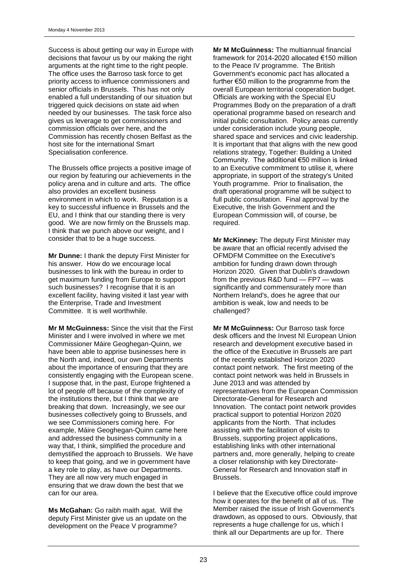Success is about getting our way in Europe with decisions that favour us by our making the right arguments at the right time to the right people. The office uses the Barroso task force to get priority access to influence commissioners and senior officials in Brussels. This has not only enabled a full understanding of our situation but triggered quick decisions on state aid when needed by our businesses. The task force also gives us leverage to get commissioners and commission officials over here, and the Commission has recently chosen Belfast as the host site for the international Smart Specialisation conference.

The Brussels office projects a positive image of our region by featuring our achievements in the policy arena and in culture and arts. The office also provides an excellent business environment in which to work. Reputation is a key to successful influence in Brussels and the EU, and I think that our standing there is very good. We are now firmly on the Brussels map. I think that we punch above our weight, and I consider that to be a huge success.

**Mr Dunne:** I thank the deputy First Minister for his answer. How do we encourage local businesses to link with the bureau in order to get maximum funding from Europe to support such businesses? I recognise that it is an excellent facility, having visited it last year with the Enterprise, Trade and Investment Committee. It is well worthwhile.

**Mr M McGuinness:** Since the visit that the First Minister and I were involved in where we met Commissioner Máire Geoghegan-Quinn, we have been able to apprise businesses here in the North and, indeed, our own Departments about the importance of ensuring that they are consistently engaging with the European scene. I suppose that, in the past, Europe frightened a lot of people off because of the complexity of the institutions there, but I think that we are breaking that down. Increasingly, we see our businesses collectively going to Brussels, and we see Commissioners coming here. For example, Máire Geoghegan-Quinn came here and addressed the business community in a way that, I think, simplified the procedure and demystified the approach to Brussels. We have to keep that going, and we in government have a key role to play, as have our Departments. They are all now very much engaged in ensuring that we draw down the best that we can for our area.

**Ms McGahan:** Go raibh maith agat. Will the deputy First Minister give us an update on the development on the Peace V programme?

**Mr M McGuinness:** The multiannual financial framework for 2014-2020 allocated €150 million to the Peace IV programme. The British Government's economic pact has allocated a further €50 million to the programme from the overall European territorial cooperation budget. Officials are working with the Special EU Programmes Body on the preparation of a draft operational programme based on research and initial public consultation. Policy areas currently under consideration include young people, shared space and services and civic leadership. It is important that that aligns with the new good relations strategy, Together: Building a United Community. The additional €50 million is linked to an Executive commitment to utilise it, where appropriate, in support of the strategy's United Youth programme. Prior to finalisation, the draft operational programme will be subject to full public consultation. Final approval by the Executive, the Irish Government and the European Commission will, of course, be required.

**Mr McKinney:** The deputy First Minister may be aware that an official recently advised the OFMDFM Committee on the Executive's ambition for funding drawn down through Horizon 2020. Given that Dublin's drawdown from the previous R&D fund — FP7 — was significantly and commensurately more than Northern Ireland's, does he agree that our ambition is weak, low and needs to be challenged?

**Mr M McGuinness:** Our Barroso task force desk officers and the Invest NI European Union research and development executive based in the office of the Executive in Brussels are part of the recently established Horizon 2020 contact point network. The first meeting of the contact point network was held in Brussels in June 2013 and was attended by representatives from the European Commission Directorate-General for Research and Innovation. The contact point network provides practical support to potential Horizon 2020 applicants from the North. That includes assisting with the facilitation of visits to Brussels, supporting project applications, establishing links with other international partners and, more generally, helping to create a closer relationship with key Directorate-General for Research and Innovation staff in Brussels.

I believe that the Executive office could improve how it operates for the benefit of all of us. The Member raised the issue of Irish Government's drawdown, as opposed to ours. Obviously, that represents a huge challenge for us, which I think all our Departments are up for. There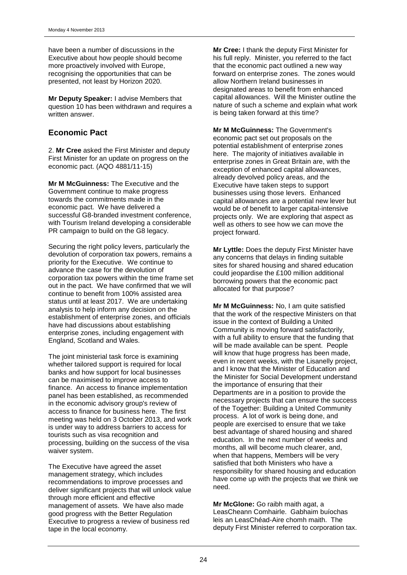have been a number of discussions in the Executive about how people should become more proactively involved with Europe, recognising the opportunities that can be presented, not least by Horizon 2020.

**Mr Deputy Speaker:** I advise Members that question 10 has been withdrawn and requires a written answer.

## **Economic Pact**

2. **Mr Cree** asked the First Minister and deputy First Minister for an update on progress on the economic pact. (AQO 4881/11-15)

**Mr M McGuinness:** The Executive and the Government continue to make progress towards the commitments made in the economic pact. We have delivered a successful G8-branded investment conference, with Tourism Ireland developing a considerable PR campaign to build on the G8 legacy.

Securing the right policy levers, particularly the devolution of corporation tax powers, remains a priority for the Executive. We continue to advance the case for the devolution of corporation tax powers within the time frame set out in the pact. We have confirmed that we will continue to benefit from 100% assisted area status until at least 2017. We are undertaking analysis to help inform any decision on the establishment of enterprise zones, and officials have had discussions about establishing enterprise zones, including engagement with England, Scotland and Wales.

The joint ministerial task force is examining whether tailored support is required for local banks and how support for local businesses can be maximised to improve access to finance. An access to finance implementation panel has been established, as recommended in the economic advisory group's review of access to finance for business here. The first meeting was held on 3 October 2013, and work is under way to address barriers to access for tourists such as visa recognition and processing, building on the success of the visa waiver system.

The Executive have agreed the asset management strategy, which includes recommendations to improve processes and deliver significant projects that will unlock value through more efficient and effective management of assets. We have also made good progress with the Better Regulation Executive to progress a review of business red tape in the local economy.

**Mr Cree:** I thank the deputy First Minister for his full reply. Minister, you referred to the fact that the economic pact outlined a new way forward on enterprise zones. The zones would allow Northern Ireland businesses in designated areas to benefit from enhanced capital allowances. Will the Minister outline the nature of such a scheme and explain what work is being taken forward at this time?

**Mr M McGuinness:** The Government's economic pact set out proposals on the potential establishment of enterprise zones here. The majority of initiatives available in enterprise zones in Great Britain are, with the exception of enhanced capital allowances, already devolved policy areas, and the Executive have taken steps to support businesses using those levers. Enhanced capital allowances are a potential new lever but would be of benefit to larger capital-intensive projects only. We are exploring that aspect as well as others to see how we can move the project forward.

**Mr Lyttle:** Does the deputy First Minister have any concerns that delays in finding suitable sites for shared housing and shared education could jeopardise the £100 million additional borrowing powers that the economic pact allocated for that purpose?

**Mr M McGuinness:** No, I am quite satisfied that the work of the respective Ministers on that issue in the context of Building a United Community is moving forward satisfactorily, with a full ability to ensure that the funding that will be made available can be spent. People will know that huge progress has been made, even in recent weeks, with the Lisanelly project, and I know that the Minister of Education and the Minister for Social Development understand the importance of ensuring that their Departments are in a position to provide the necessary projects that can ensure the success of the Together: Building a United Community process. A lot of work is being done, and people are exercised to ensure that we take best advantage of shared housing and shared education. In the next number of weeks and months, all will become much clearer, and, when that happens, Members will be very satisfied that both Ministers who have a responsibility for shared housing and education have come up with the projects that we think we need.

**Mr McGlone:** Go raibh maith agat, a LeasCheann Comhairle. Gabhaim buíochas leis an LeasChéad-Aire chomh maith. The deputy First Minister referred to corporation tax.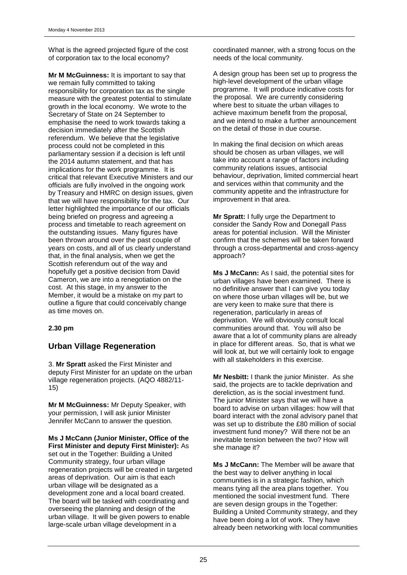What is the agreed projected figure of the cost of corporation tax to the local economy?

**Mr M McGuinness:** It is important to say that we remain fully committed to taking responsibility for corporation tax as the single measure with the greatest potential to stimulate growth in the local economy. We wrote to the Secretary of State on 24 September to emphasise the need to work towards taking a decision immediately after the Scottish referendum. We believe that the legislative process could not be completed in this parliamentary session if a decision is left until the 2014 autumn statement, and that has implications for the work programme. It is critical that relevant Executive Ministers and our officials are fully involved in the ongoing work by Treasury and HMRC on design issues, given that we will have responsibility for the tax. Our letter highlighted the importance of our officials being briefed on progress and agreeing a process and timetable to reach agreement on the outstanding issues. Many figures have been thrown around over the past couple of years on costs, and all of us clearly understand that, in the final analysis, when we get the Scottish referendum out of the way and hopefully get a positive decision from David Cameron, we are into a renegotiation on the cost. At this stage, in my answer to the Member, it would be a mistake on my part to outline a figure that could conceivably change as time moves on.

### **2.30 pm**

## **Urban Village Regeneration**

3. **Mr Spratt** asked the First Minister and deputy First Minister for an update on the urban village regeneration projects. (AQO 4882/11- 15)

**Mr M McGuinness:** Mr Deputy Speaker, with your permission, I will ask junior Minister Jennifer McCann to answer the question.

**Ms J McCann (Junior Minister, Office of the First Minister and deputy First Minister):** As set out in the Together: Building a United Community strategy, four urban village regeneration projects will be created in targeted areas of deprivation. Our aim is that each urban village will be designated as a development zone and a local board created. The board will be tasked with coordinating and overseeing the planning and design of the urban village. It will be given powers to enable large-scale urban village development in a

coordinated manner, with a strong focus on the needs of the local community.

A design group has been set up to progress the high-level development of the urban village programme. It will produce indicative costs for the proposal. We are currently considering where best to situate the urban villages to achieve maximum benefit from the proposal, and we intend to make a further announcement on the detail of those in due course.

In making the final decision on which areas should be chosen as urban villages, we will take into account a range of factors including community relations issues, antisocial behaviour, deprivation, limited commercial heart and services within that community and the community appetite and the infrastructure for improvement in that area.

**Mr Spratt:** I fully urge the Department to consider the Sandy Row and Donegall Pass areas for potential inclusion. Will the Minister confirm that the schemes will be taken forward through a cross-departmental and cross-agency approach?

**Ms J McCann:** As I said, the potential sites for urban villages have been examined. There is no definitive answer that I can give you today on where those urban villages will be, but we are very keen to make sure that there is regeneration, particularly in areas of deprivation. We will obviously consult local communities around that. You will also be aware that a lot of community plans are already in place for different areas. So, that is what we will look at, but we will certainly look to engage with all stakeholders in this exercise.

**Mr Nesbitt:** I thank the junior Minister. As she said, the projects are to tackle deprivation and dereliction, as is the social investment fund. The junior Minister says that we will have a board to advise on urban villages: how will that board interact with the zonal advisory panel that was set up to distribute the £80 million of social investment fund money? Will there not be an inevitable tension between the two? How will she manage it?

**Ms J McCann:** The Member will be aware that the best way to deliver anything in local communities is in a strategic fashion, which means tying all the area plans together. You mentioned the social investment fund. There are seven design groups in the Together: Building a United Community strategy, and they have been doing a lot of work. They have already been networking with local communities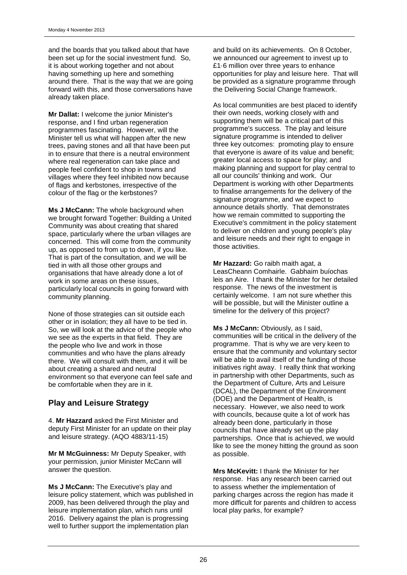and the boards that you talked about that have been set up for the social investment fund. So, it is about working together and not about having something up here and something around there. That is the way that we are going forward with this, and those conversations have already taken place.

**Mr Dallat:** I welcome the junior Minister's response, and I find urban regeneration programmes fascinating. However, will the Minister tell us what will happen after the new trees, paving stones and all that have been put in to ensure that there is a neutral environment where real regeneration can take place and people feel confident to shop in towns and villages where they feel inhibited now because of flags and kerbstones, irrespective of the colour of the flag or the kerbstones?

**Ms J McCann:** The whole background when we brought forward Together: Building a United Community was about creating that shared space, particularly where the urban villages are concerned. This will come from the community up, as opposed to from up to down, if you like. That is part of the consultation, and we will be tied in with all those other groups and organisations that have already done a lot of work in some areas on these issues, particularly local councils in going forward with community planning.

None of those strategies can sit outside each other or in isolation; they all have to be tied in. So, we will look at the advice of the people who we see as the experts in that field. They are the people who live and work in those communities and who have the plans already there. We will consult with them, and it will be about creating a shared and neutral environment so that everyone can feel safe and be comfortable when they are in it.

## **Play and Leisure Strategy**

4. **Mr Hazzard** asked the First Minister and deputy First Minister for an update on their play and leisure strategy. (AQO 4883/11-15)

**Mr M McGuinness:** Mr Deputy Speaker, with your permission, junior Minister McCann will answer the question.

**Ms J McCann:** The Executive's play and leisure policy statement, which was published in 2009, has been delivered through the play and leisure implementation plan, which runs until 2016. Delivery against the plan is progressing well to further support the implementation plan

and build on its achievements. On 8 October, we announced our agreement to invest up to £1·6 million over three years to enhance opportunities for play and leisure here. That will be provided as a signature programme through the Delivering Social Change framework.

As local communities are best placed to identify their own needs, working closely with and supporting them will be a critical part of this programme's success. The play and leisure signature programme is intended to deliver three key outcomes: promoting play to ensure that everyone is aware of its value and benefit; greater local access to space for play; and making planning and support for play central to all our councils' thinking and work. Our Department is working with other Departments to finalise arrangements for the delivery of the signature programme, and we expect to announce details shortly. That demonstrates how we remain committed to supporting the Executive's commitment in the policy statement to deliver on children and young people's play and leisure needs and their right to engage in those activities.

**Mr Hazzard:** Go raibh maith agat, a LeasCheann Comhairle. Gabhaim buíochas leis an Aire. I thank the Minister for her detailed response. The news of the investment is certainly welcome. I am not sure whether this will be possible, but will the Minister outline a timeline for the delivery of this project?

**Ms J McCann:** Obviously, as I said, communities will be critical in the delivery of the programme. That is why we are very keen to ensure that the community and voluntary sector will be able to avail itself of the funding of those initiatives right away. I really think that working in partnership with other Departments, such as the Department of Culture, Arts and Leisure (DCAL), the Department of the Environment (DOE) and the Department of Health, is necessary. However, we also need to work with councils, because quite a lot of work has already been done, particularly in those councils that have already set up the play partnerships. Once that is achieved, we would like to see the money hitting the ground as soon as possible.

**Mrs McKevitt:** I thank the Minister for her response. Has any research been carried out to assess whether the implementation of parking charges across the region has made it more difficult for parents and children to access local play parks, for example?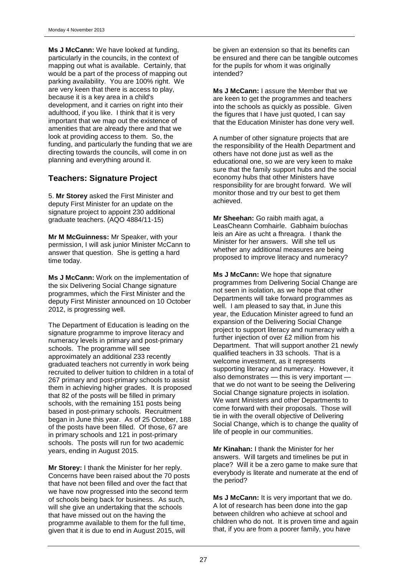**Ms J McCann:** We have looked at funding, particularly in the councils, in the context of mapping out what is available. Certainly, that would be a part of the process of mapping out parking availability. You are 100% right. We are very keen that there is access to play, because it is a key area in a child's development, and it carries on right into their adulthood, if you like. I think that it is very important that we map out the existence of amenities that are already there and that we look at providing access to them. So, the funding, and particularly the funding that we are directing towards the councils, will come in on planning and everything around it.

## **Teachers: Signature Project**

5. **Mr Storey** asked the First Minister and deputy First Minister for an update on the signature project to appoint 230 additional graduate teachers. (AQO 4884/11-15)

**Mr M McGuinness:** Mr Speaker, with your permission, I will ask junior Minister McCann to answer that question. She is getting a hard time today.

**Ms J McCann:** Work on the implementation of the six Delivering Social Change signature programmes, which the First Minister and the deputy First Minister announced on 10 October 2012, is progressing well.

The Department of Education is leading on the signature programme to improve literacy and numeracy levels in primary and post-primary schools. The programme will see approximately an additional 233 recently graduated teachers not currently in work being recruited to deliver tuition to children in a total of 267 primary and post-primary schools to assist them in achieving higher grades. It is proposed that 82 of the posts will be filled in primary schools, with the remaining 151 posts being based in post-primary schools. Recruitment began in June this year. As of 25 October, 188 of the posts have been filled. Of those, 67 are in primary schools and 121 in post-primary schools. The posts will run for two academic years, ending in August 2015.

**Mr Storey:** I thank the Minister for her reply. Concerns have been raised about the 70 posts that have not been filled and over the fact that we have now progressed into the second term of schools being back for business. As such, will she give an undertaking that the schools that have missed out on the having the programme available to them for the full time, given that it is due to end in August 2015, will

be given an extension so that its benefits can be ensured and there can be tangible outcomes for the pupils for whom it was originally intended?

**Ms J McCann:** I assure the Member that we are keen to get the programmes and teachers into the schools as quickly as possible. Given the figures that I have just quoted, I can say that the Education Minister has done very well.

A number of other signature projects that are the responsibility of the Health Department and others have not done just as well as the educational one, so we are very keen to make sure that the family support hubs and the social economy hubs that other Ministers have responsibility for are brought forward. We will monitor those and try our best to get them achieved.

**Mr Sheehan:** Go raibh maith agat, a LeasCheann Comhairle. Gabhaim buíochas leis an Aire as ucht a fhreagra. I thank the Minister for her answers. Will she tell us whether any additional measures are being proposed to improve literacy and numeracy?

**Ms J McCann:** We hope that signature programmes from Delivering Social Change are not seen in isolation, as we hope that other Departments will take forward programmes as well. I am pleased to say that, in June this year, the Education Minister agreed to fund an expansion of the Delivering Social Change project to support literacy and numeracy with a further injection of over £2 million from his Department. That will support another 21 newly qualified teachers in 33 schools. That is a welcome investment, as it represents supporting literacy and numeracy. However, it also demonstrates — this is very important that we do not want to be seeing the Delivering Social Change signature projects in isolation. We want Ministers and other Departments to come forward with their proposals. Those will tie in with the overall objective of Delivering Social Change, which is to change the quality of life of people in our communities.

**Mr Kinahan:** I thank the Minister for her answers. Will targets and timelines be put in place? Will it be a zero game to make sure that everybody is literate and numerate at the end of the period?

**Ms J McCann:** It is very important that we do. A lot of research has been done into the gap between children who achieve at school and children who do not. It is proven time and again that, if you are from a poorer family, you have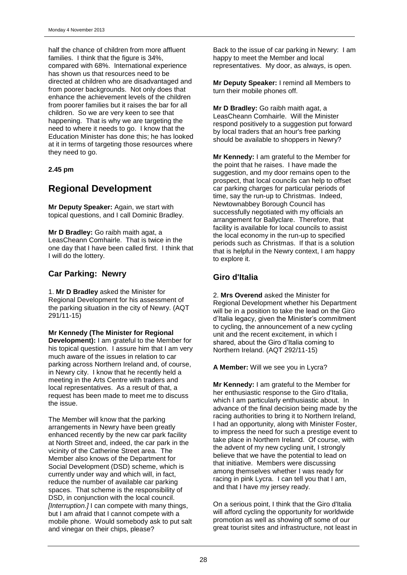half the chance of children from more affluent families. I think that the figure is 34%. compared with 68%. International experience has shown us that resources need to be directed at children who are disadvantaged and from poorer backgrounds. Not only does that enhance the achievement levels of the children from poorer families but it raises the bar for all children. So we are very keen to see that happening. That is why we are targeting the need to where it needs to go. I know that the Education Minister has done this; he has looked at it in terms of targeting those resources where they need to go.

### **2.45 pm**

## **Regional Development**

**Mr Deputy Speaker:** Again, we start with topical questions, and I call Dominic Bradley.

**Mr D Bradley:** Go raibh maith agat, a LeasCheann Comhairle. That is twice in the one day that I have been called first. I think that I will do the lottery.

## **Car Parking: Newry**

1. **Mr D Bradley** asked the Minister for Regional Development for his assessment of the parking situation in the city of Newry. (AQT 291/11-15)

**Mr Kennedy (The Minister for Regional Development):** I am grateful to the Member for his topical question. I assure him that I am very much aware of the issues in relation to car parking across Northern Ireland and, of course, in Newry city. I know that he recently held a meeting in the Arts Centre with traders and local representatives. As a result of that, a request has been made to meet me to discuss the issue.

The Member will know that the parking arrangements in Newry have been greatly enhanced recently by the new car park facility at North Street and, indeed, the car park in the vicinity of the Catherine Street area. The Member also knows of the Department for Social Development (DSD) scheme, which is currently under way and which will, in fact, reduce the number of available car parking spaces. That scheme is the responsibility of DSD, in conjunction with the local council. *[Interruption.]* I can compete with many things, but I am afraid that I cannot compete with a mobile phone. Would somebody ask to put salt and vinegar on their chips, please?

Back to the issue of car parking in Newry: I am happy to meet the Member and local representatives. My door, as always, is open.

**Mr Deputy Speaker:** I remind all Members to turn their mobile phones off.

**Mr D Bradley:** Go raibh maith agat, a LeasCheann Comhairle. Will the Minister respond positively to a suggestion put forward by local traders that an hour's free parking should be available to shoppers in Newry?

**Mr Kennedy:** I am grateful to the Member for the point that he raises. I have made the suggestion, and my door remains open to the prospect, that local councils can help to offset car parking charges for particular periods of time, say the run-up to Christmas. Indeed, Newtownabbey Borough Council has successfully negotiated with my officials an arrangement for Ballyclare. Therefore, that facility is available for local councils to assist the local economy in the run-up to specified periods such as Christmas. If that is a solution that is helpful in the Newry context, I am happy to explore it.

## **Giro d'Italia**

2. **Mrs Overend** asked the Minister for Regional Development whether his Department will be in a position to take the lead on the Giro d'Italia legacy, given the Minister's commitment to cycling, the announcement of a new cycling unit and the recent excitement, in which I shared, about the Giro d'Italia coming to Northern Ireland. (AQT 292/11-15)

**A Member:** Will we see you in Lycra?

**Mr Kennedy:** I am grateful to the Member for her enthusiastic response to the Giro d'Italia, which I am particularly enthusiastic about. In advance of the final decision being made by the racing authorities to bring it to Northern Ireland, I had an opportunity, along with Minister Foster, to impress the need for such a prestige event to take place in Northern Ireland. Of course, with the advent of my new cycling unit, I strongly believe that we have the potential to lead on that initiative. Members were discussing among themselves whether I was ready for racing in pink Lycra. I can tell you that I am, and that I have my jersey ready.

On a serious point, I think that the Giro d'Italia will afford cycling the opportunity for worldwide promotion as well as showing off some of our great tourist sites and infrastructure, not least in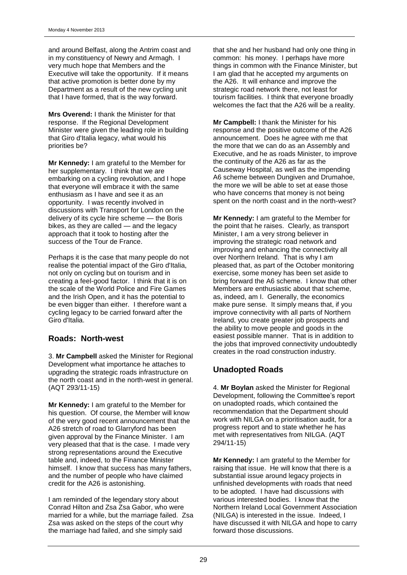and around Belfast, along the Antrim coast and in my constituency of Newry and Armagh. I very much hope that Members and the Executive will take the opportunity. If it means that active promotion is better done by my Department as a result of the new cycling unit that I have formed, that is the way forward.

**Mrs Overend:** I thank the Minister for that response. If the Regional Development Minister were given the leading role in building that Giro d'Italia legacy, what would his priorities be?

**Mr Kennedy:** I am grateful to the Member for her supplementary. I think that we are embarking on a cycling revolution, and I hope that everyone will embrace it with the same enthusiasm as I have and see it as an opportunity. I was recently involved in discussions with Transport for London on the delivery of its cycle hire scheme — the Boris bikes, as they are called — and the legacy approach that it took to hosting after the success of the Tour de France.

Perhaps it is the case that many people do not realise the potential impact of the Giro d'Italia, not only on cycling but on tourism and in creating a feel-good factor. I think that it is on the scale of the World Police and Fire Games and the Irish Open, and it has the potential to be even bigger than either. I therefore want a cycling legacy to be carried forward after the Giro d'Italia.

## **Roads: North-west**

3. **Mr Campbell** asked the Minister for Regional Development what importance he attaches to upgrading the strategic roads infrastructure on the north coast and in the north-west in general. (AQT 293/11-15)

**Mr Kennedy:** I am grateful to the Member for his question. Of course, the Member will know of the very good recent announcement that the A26 stretch of road to Glarryford has been given approval by the Finance Minister. I am very pleased that that is the case. I made very strong representations around the Executive table and, indeed, to the Finance Minister himself. I know that success has many fathers, and the number of people who have claimed credit for the A26 is astonishing.

I am reminded of the legendary story about Conrad Hilton and Zsa Zsa Gabor, who were married for a while, but the marriage failed. Zsa Zsa was asked on the steps of the court why the marriage had failed, and she simply said

that she and her husband had only one thing in common: his money. I perhaps have more things in common with the Finance Minister, but I am glad that he accepted my arguments on the A26. It will enhance and improve the strategic road network there, not least for tourism facilities. I think that everyone broadly welcomes the fact that the A26 will be a reality.

**Mr Campbell:** I thank the Minister for his response and the positive outcome of the A26 announcement. Does he agree with me that the more that we can do as an Assembly and Executive, and he as roads Minister, to improve the continuity of the A26 as far as the Causeway Hospital, as well as the impending A6 scheme between Dungiven and Drumahoe, the more we will be able to set at ease those who have concerns that money is not being spent on the north coast and in the north-west?

**Mr Kennedy:** I am grateful to the Member for the point that he raises. Clearly, as transport Minister, I am a very strong believer in improving the strategic road network and improving and enhancing the connectivity all over Northern Ireland. That is why I am pleased that, as part of the October monitoring exercise, some money has been set aside to bring forward the A6 scheme. I know that other Members are enthusiastic about that scheme, as, indeed, am I. Generally, the economics make pure sense. It simply means that, if you improve connectivity with all parts of Northern Ireland, you create greater job prospects and the ability to move people and goods in the easiest possible manner. That is in addition to the jobs that improved connectivity undoubtedly creates in the road construction industry.

## **Unadopted Roads**

4. **Mr Boylan** asked the Minister for Regional Development, following the Committee's report on unadopted roads, which contained the recommendation that the Department should work with NILGA on a prioritisation audit, for a progress report and to state whether he has met with representatives from NILGA. (AQT 294/11-15)

**Mr Kennedy:** I am grateful to the Member for raising that issue. He will know that there is a substantial issue around legacy projects in unfinished developments with roads that need to be adopted. I have had discussions with various interested bodies. I know that the Northern Ireland Local Government Association (NILGA) is interested in the issue. Indeed, I have discussed it with NILGA and hope to carry forward those discussions.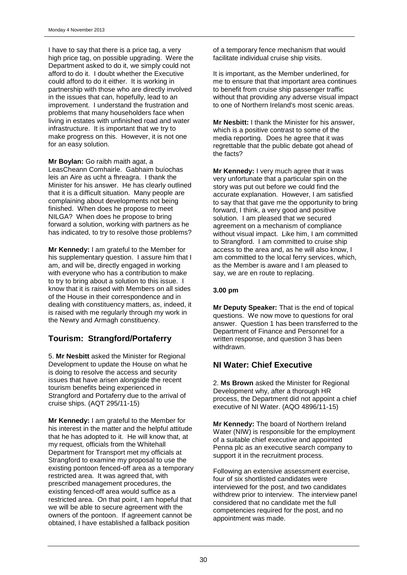I have to say that there is a price tag, a very high price tag, on possible upgrading. Were the Department asked to do it, we simply could not afford to do it. I doubt whether the Executive could afford to do it either. It is working in partnership with those who are directly involved in the issues that can, hopefully, lead to an improvement. I understand the frustration and problems that many householders face when living in estates with unfinished road and water infrastructure. It is important that we try to make progress on this. However, it is not one for an easy solution.

**Mr Boylan:** Go raibh maith agat, a LeasCheann Comhairle. Gabhaim buíochas leis an Aire as ucht a fhreagra. I thank the Minister for his answer. He has clearly outlined that it is a difficult situation. Many people are complaining about developments not being finished. When does he propose to meet NILGA? When does he propose to bring forward a solution, working with partners as he has indicated, to try to resolve those problems?

**Mr Kennedy:** I am grateful to the Member for his supplementary question. I assure him that I am, and will be, directly engaged in working with everyone who has a contribution to make to try to bring about a solution to this issue. I know that it is raised with Members on all sides of the House in their correspondence and in dealing with constituency matters, as, indeed, it is raised with me regularly through my work in the Newry and Armagh constituency.

## **Tourism: Strangford/Portaferry**

5. **Mr Nesbitt** asked the Minister for Regional Development to update the House on what he is doing to resolve the access and security issues that have arisen alongside the recent tourism benefits being experienced in Strangford and Portaferry due to the arrival of cruise ships. (AQT 295/11-15)

**Mr Kennedy:** I am grateful to the Member for his interest in the matter and the helpful attitude that he has adopted to it. He will know that, at my request, officials from the Whitehall Department for Transport met my officials at Strangford to examine my proposal to use the existing pontoon fenced-off area as a temporary restricted area. It was agreed that, with prescribed management procedures, the existing fenced-off area would suffice as a restricted area. On that point, I am hopeful that we will be able to secure agreement with the owners of the pontoon. If agreement cannot be obtained, I have established a fallback position

of a temporary fence mechanism that would facilitate individual cruise ship visits.

It is important, as the Member underlined, for me to ensure that that important area continues to benefit from cruise ship passenger traffic without that providing any adverse visual impact to one of Northern Ireland's most scenic areas.

**Mr Nesbitt:** I thank the Minister for his answer, which is a positive contrast to some of the media reporting. Does he agree that it was regrettable that the public debate got ahead of the facts?

**Mr Kennedy:** I very much agree that it was very unfortunate that a particular spin on the story was put out before we could find the accurate explanation. However, I am satisfied to say that that gave me the opportunity to bring forward, I think, a very good and positive solution. I am pleased that we secured agreement on a mechanism of compliance without visual impact. Like him, I am committed to Strangford. I am committed to cruise ship access to the area and, as he will also know, I am committed to the local ferry services, which, as the Member is aware and I am pleased to say, we are en route to replacing.

### **3.00 pm**

**Mr Deputy Speaker:** That is the end of topical questions. We now move to questions for oral answer. Question 1 has been transferred to the Department of Finance and Personnel for a written response, and question 3 has been withdrawn.

## **NI Water: Chief Executive**

2. **Ms Brown** asked the Minister for Regional Development why, after a thorough HR process, the Department did not appoint a chief executive of NI Water. (AQO 4896/11-15)

**Mr Kennedy:** The board of Northern Ireland Water (NIW) is responsible for the employment of a suitable chief executive and appointed Penna plc as an executive search company to support it in the recruitment process.

Following an extensive assessment exercise, four of six shortlisted candidates were interviewed for the post, and two candidates withdrew prior to interview. The interview panel considered that no candidate met the full competencies required for the post, and no appointment was made.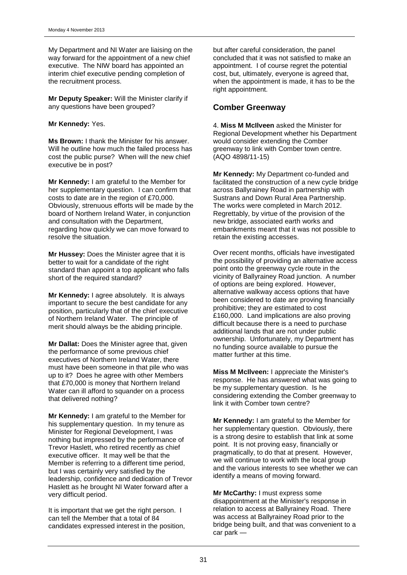My Department and NI Water are liaising on the way forward for the appointment of a new chief executive. The NIW board has appointed an interim chief executive pending completion of the recruitment process.

**Mr Deputy Speaker:** Will the Minister clarify if any questions have been grouped?

#### **Mr Kennedy:** Yes.

**Ms Brown:** I thank the Minister for his answer. Will he outline how much the failed process has cost the public purse? When will the new chief executive be in post?

**Mr Kennedy:** I am grateful to the Member for her supplementary question. I can confirm that costs to date are in the region of £70,000. Obviously, strenuous efforts will be made by the board of Northern Ireland Water, in conjunction and consultation with the Department, regarding how quickly we can move forward to resolve the situation.

**Mr Hussey:** Does the Minister agree that it is better to wait for a candidate of the right standard than appoint a top applicant who falls short of the required standard?

**Mr Kennedy:** I agree absolutely. It is always important to secure the best candidate for any position, particularly that of the chief executive of Northern Ireland Water. The principle of merit should always be the abiding principle.

**Mr Dallat:** Does the Minister agree that, given the performance of some previous chief executives of Northern Ireland Water, there must have been someone in that pile who was up to it? Does he agree with other Members that £70,000 is money that Northern Ireland Water can ill afford to squander on a process that delivered nothing?

**Mr Kennedy:** I am grateful to the Member for his supplementary question. In my tenure as Minister for Regional Development, I was nothing but impressed by the performance of Trevor Haslett, who retired recently as chief executive officer. It may well be that the Member is referring to a different time period, but I was certainly very satisfied by the leadership, confidence and dedication of Trevor Haslett as he brought NI Water forward after a very difficult period.

It is important that we get the right person. I can tell the Member that a total of 84 candidates expressed interest in the position, but after careful consideration, the panel concluded that it was not satisfied to make an appointment. I of course regret the potential cost, but, ultimately, everyone is agreed that, when the appointment is made, it has to be the right appointment.

## **Comber Greenway**

4. **Miss M McIlveen** asked the Minister for Regional Development whether his Department would consider extending the Comber greenway to link with Comber town centre. (AQO 4898/11-15)

**Mr Kennedy:** My Department co-funded and facilitated the construction of a new cycle bridge across Ballyrainey Road in partnership with Sustrans and Down Rural Area Partnership. The works were completed in March 2012. Regrettably, by virtue of the provision of the new bridge, associated earth works and embankments meant that it was not possible to retain the existing accesses.

Over recent months, officials have investigated the possibility of providing an alternative access point onto the greenway cycle route in the vicinity of Ballyrainey Road junction. A number of options are being explored. However, alternative walkway access options that have been considered to date are proving financially prohibitive; they are estimated to cost £160,000. Land implications are also proving difficult because there is a need to purchase additional lands that are not under public ownership. Unfortunately, my Department has no funding source available to pursue the matter further at this time.

**Miss M McIlveen:** I appreciate the Minister's response. He has answered what was going to be my supplementary question. Is he considering extending the Comber greenway to link it with Comber town centre?

**Mr Kennedy:** I am grateful to the Member for her supplementary question. Obviously, there is a strong desire to establish that link at some point. It is not proving easy, financially or pragmatically, to do that at present. However, we will continue to work with the local group and the various interests to see whether we can identify a means of moving forward.

**Mr McCarthy:** I must express some disappointment at the Minister's response in relation to access at Ballyrainey Road. There was access at Ballyrainey Road prior to the bridge being built, and that was convenient to a car park —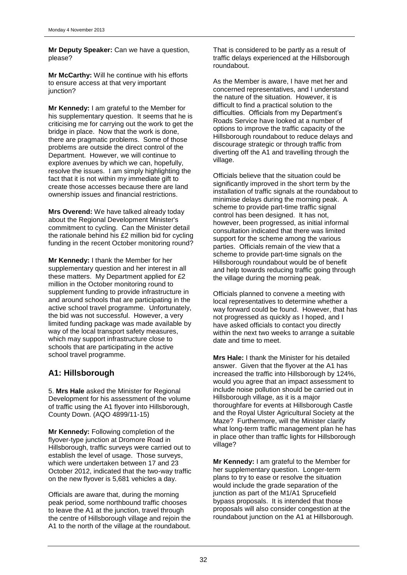**Mr Deputy Speaker:** Can we have a question, please?

**Mr McCarthy:** Will he continue with his efforts to ensure access at that very important junction?

**Mr Kennedy:** I am grateful to the Member for his supplementary question. It seems that he is criticising me for carrying out the work to get the bridge in place. Now that the work is done, there are pragmatic problems. Some of those problems are outside the direct control of the Department. However, we will continue to explore avenues by which we can, hopefully, resolve the issues. I am simply highlighting the fact that it is not within my immediate gift to create those accesses because there are land ownership issues and financial restrictions.

**Mrs Overend:** We have talked already today about the Regional Development Minister's commitment to cycling. Can the Minister detail the rationale behind his £2 million bid for cycling funding in the recent October monitoring round?

**Mr Kennedy:** I thank the Member for her supplementary question and her interest in all these matters. My Department applied for £2 million in the October monitoring round to supplement funding to provide infrastructure in and around schools that are participating in the active school travel programme. Unfortunately, the bid was not successful. However, a very limited funding package was made available by way of the local transport safety measures, which may support infrastructure close to schools that are participating in the active school travel programme.

## **A1: Hillsborough**

5. **Mrs Hale** asked the Minister for Regional Development for his assessment of the volume of traffic using the A1 flyover into Hillsborough, County Down. (AQO 4899/11-15)

**Mr Kennedy:** Following completion of the flyover-type junction at Dromore Road in Hillsborough, traffic surveys were carried out to establish the level of usage. Those surveys, which were undertaken between 17 and 23 October 2012, indicated that the two-way traffic on the new flyover is 5,681 vehicles a day.

Officials are aware that, during the morning peak period, some northbound traffic chooses to leave the A1 at the junction, travel through the centre of Hillsborough village and rejoin the A1 to the north of the village at the roundabout. That is considered to be partly as a result of traffic delays experienced at the Hillsborough roundabout.

As the Member is aware, I have met her and concerned representatives, and I understand the nature of the situation. However, it is difficult to find a practical solution to the difficulties. Officials from my Department's Roads Service have looked at a number of options to improve the traffic capacity of the Hillsborough roundabout to reduce delays and discourage strategic or through traffic from diverting off the A1 and travelling through the village.

Officials believe that the situation could be significantly improved in the short term by the installation of traffic signals at the roundabout to minimise delays during the morning peak. A scheme to provide part-time traffic signal control has been designed. It has not, however, been progressed, as initial informal consultation indicated that there was limited support for the scheme among the various parties. Officials remain of the view that a scheme to provide part-time signals on the Hillsborough roundabout would be of benefit and help towards reducing traffic going through the village during the morning peak.

Officials planned to convene a meeting with local representatives to determine whether a way forward could be found. However, that has not progressed as quickly as I hoped, and I have asked officials to contact you directly within the next two weeks to arrange a suitable date and time to meet.

**Mrs Hale:** I thank the Minister for his detailed answer. Given that the flyover at the A1 has increased the traffic into Hillsborough by 124%, would you agree that an impact assessment to include noise pollution should be carried out in Hillsborough village, as it is a major thoroughfare for events at Hillsborough Castle and the Royal Ulster Agricultural Society at the Maze? Furthermore, will the Minister clarify what long-term traffic management plan he has in place other than traffic lights for Hillsborough village?

**Mr Kennedy:** I am grateful to the Member for her supplementary question. Longer-term plans to try to ease or resolve the situation would include the grade separation of the junction as part of the M1/A1 Sprucefield bypass proposals. It is intended that those proposals will also consider congestion at the roundabout junction on the A1 at Hillsborough.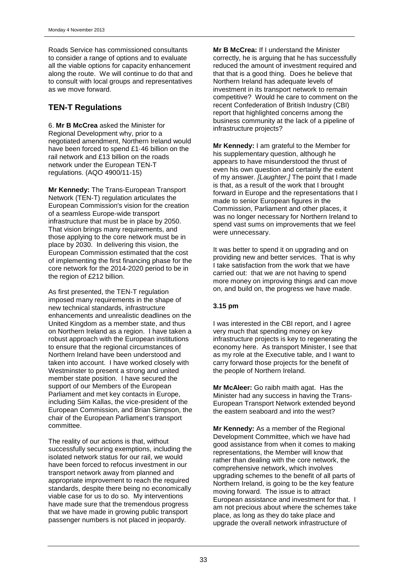Roads Service has commissioned consultants to consider a range of options and to evaluate all the viable options for capacity enhancement along the route. We will continue to do that and to consult with local groups and representatives as we move forward.

## **TEN-T Regulations**

6. **Mr B McCrea** asked the Minister for Regional Development why, prior to a negotiated amendment, Northern Ireland would have been forced to spend £1·46 billion on the rail network and £13 billion on the roads network under the European TEN-T regulations. (AQO 4900/11-15)

**Mr Kennedy:** The Trans-European Transport Network (TEN-T) regulation articulates the European Commission's vision for the creation of a seamless Europe-wide transport infrastructure that must be in place by 2050. That vision brings many requirements, and those applying to the core network must be in place by 2030. In delivering this vision, the European Commission estimated that the cost of implementing the first financing phase for the core network for the 2014-2020 period to be in the region of £212 billion.

As first presented, the TEN-T regulation imposed many requirements in the shape of new technical standards, infrastructure enhancements and unrealistic deadlines on the United Kingdom as a member state, and thus on Northern Ireland as a region. I have taken a robust approach with the European institutions to ensure that the regional circumstances of Northern Ireland have been understood and taken into account. I have worked closely with Westminster to present a strong and united member state position. I have secured the support of our Members of the European Parliament and met key contacts in Europe, including Siim Kallas, the vice-president of the European Commission, and Brian Simpson, the chair of the European Parliament's transport committee.

The reality of our actions is that, without successfully securing exemptions, including the isolated network status for our rail, we would have been forced to refocus investment in our transport network away from planned and appropriate improvement to reach the required standards, despite there being no economically viable case for us to do so. My interventions have made sure that the tremendous progress that we have made in growing public transport passenger numbers is not placed in jeopardy.

**Mr B McCrea:** If I understand the Minister correctly, he is arguing that he has successfully reduced the amount of investment required and that that is a good thing. Does he believe that Northern Ireland has adequate levels of investment in its transport network to remain competitive? Would he care to comment on the recent Confederation of British Industry (CBI) report that highlighted concerns among the business community at the lack of a pipeline of infrastructure projects?

**Mr Kennedy:** I am grateful to the Member for his supplementary question, although he appears to have misunderstood the thrust of even his own question and certainly the extent of my answer. *[Laughter.]* The point that I made is that, as a result of the work that I brought forward in Europe and the representations that I made to senior European figures in the Commission, Parliament and other places, it was no longer necessary for Northern Ireland to spend vast sums on improvements that we feel were unnecessary.

It was better to spend it on upgrading and on providing new and better services. That is why I take satisfaction from the work that we have carried out: that we are not having to spend more money on improving things and can move on, and build on, the progress we have made.

## **3.15 pm**

I was interested in the CBI report, and I agree very much that spending money on key infrastructure projects is key to regenerating the economy here. As transport Minister, I see that as my role at the Executive table, and I want to carry forward those projects for the benefit of the people of Northern Ireland.

**Mr McAleer:** Go raibh maith agat. Has the Minister had any success in having the Trans-European Transport Network extended beyond the eastern seaboard and into the west?

**Mr Kennedy:** As a member of the Regional Development Committee, which we have had good assistance from when it comes to making representations, the Member will know that rather than dealing with the core network, the comprehensive network, which involves upgrading schemes to the benefit of all parts of Northern Ireland, is going to be the key feature moving forward. The issue is to attract European assistance and investment for that. I am not precious about where the schemes take place, as long as they do take place and upgrade the overall network infrastructure of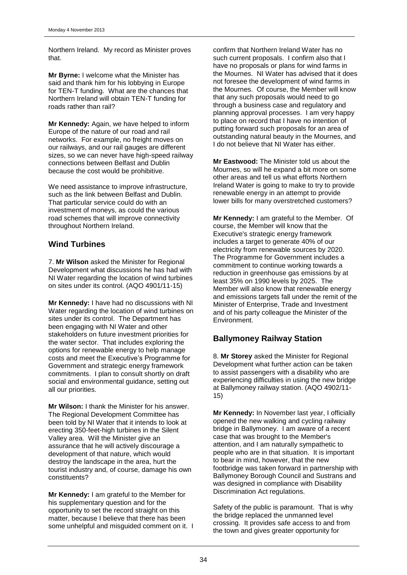Northern Ireland. My record as Minister proves that.

**Mr Byrne:** I welcome what the Minister has said and thank him for his lobbying in Europe for TEN-T funding. What are the chances that Northern Ireland will obtain TEN-T funding for roads rather than rail?

**Mr Kennedy:** Again, we have helped to inform Europe of the nature of our road and rail networks. For example, no freight moves on our railways, and our rail gauges are different sizes, so we can never have high-speed railway connections between Belfast and Dublin because the cost would be prohibitive.

We need assistance to improve infrastructure, such as the link between Belfast and Dublin. That particular service could do with an investment of moneys, as could the various road schemes that will improve connectivity throughout Northern Ireland.

## **Wind Turbines**

7. **Mr Wilson** asked the Minister for Regional Development what discussions he has had with NI Water regarding the location of wind turbines on sites under its control. (AQO 4901/11-15)

**Mr Kennedy:** I have had no discussions with NI Water regarding the location of wind turbines on sites under its control. The Department has been engaging with NI Water and other stakeholders on future investment priorities for the water sector. That includes exploring the options for renewable energy to help manage costs and meet the Executive's Programme for Government and strategic energy framework commitments. I plan to consult shortly on draft social and environmental guidance, setting out all our priorities.

**Mr Wilson:** I thank the Minister for his answer. The Regional Development Committee has been told by NI Water that it intends to look at erecting 350-feet-high turbines in the Silent Valley area. Will the Minister give an assurance that he will actively discourage a development of that nature, which would destroy the landscape in the area, hurt the tourist industry and, of course, damage his own constituents?

**Mr Kennedy:** I am grateful to the Member for his supplementary question and for the opportunity to set the record straight on this matter, because I believe that there has been some unhelpful and misguided comment on it. I confirm that Northern Ireland Water has no such current proposals. I confirm also that I have no proposals or plans for wind farms in the Mournes. NI Water has advised that it does not foresee the development of wind farms in the Mournes. Of course, the Member will know that any such proposals would need to go through a business case and regulatory and planning approval processes. I am very happy to place on record that I have no intention of putting forward such proposals for an area of outstanding natural beauty in the Mournes, and I do not believe that NI Water has either.

**Mr Eastwood:** The Minister told us about the Mournes, so will he expand a bit more on some other areas and tell us what efforts Northern Ireland Water is going to make to try to provide renewable energy in an attempt to provide lower bills for many overstretched customers?

**Mr Kennedy:** I am grateful to the Member. Of course, the Member will know that the Executive's strategic energy framework includes a target to generate 40% of our electricity from renewable sources by 2020. The Programme for Government includes a commitment to continue working towards a reduction in greenhouse gas emissions by at least 35% on 1990 levels by 2025. The Member will also know that renewable energy and emissions targets fall under the remit of the Minister of Enterprise, Trade and Investment and of his party colleague the Minister of the Environment.

## **Ballymoney Railway Station**

8. **Mr Storey** asked the Minister for Regional Development what further action can be taken to assist passengers with a disability who are experiencing difficulties in using the new bridge at Ballymoney railway station. (AQO 4902/11- 15)

**Mr Kennedy:** In November last year, I officially opened the new walking and cycling railway bridge in Ballymoney. I am aware of a recent case that was brought to the Member's attention, and I am naturally sympathetic to people who are in that situation. It is important to bear in mind, however, that the new footbridge was taken forward in partnership with Ballymoney Borough Council and Sustrans and was designed in compliance with Disability Discrimination Act regulations.

Safety of the public is paramount. That is why the bridge replaced the unmanned level crossing. It provides safe access to and from the town and gives greater opportunity for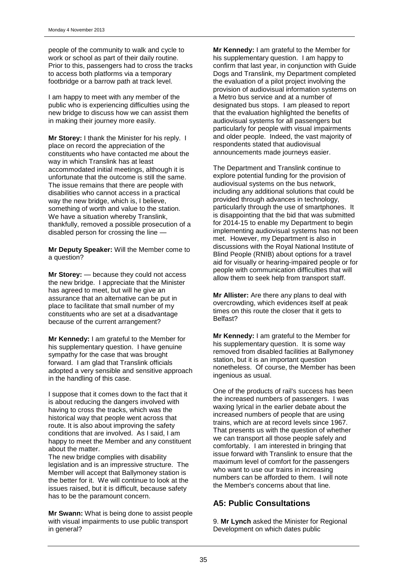people of the community to walk and cycle to work or school as part of their daily routine. Prior to this, passengers had to cross the tracks to access both platforms via a temporary footbridge or a barrow path at track level.

I am happy to meet with any member of the public who is experiencing difficulties using the new bridge to discuss how we can assist them in making their journey more easily.

**Mr Storey:** I thank the Minister for his reply. I place on record the appreciation of the constituents who have contacted me about the way in which Translink has at least accommodated initial meetings, although it is unfortunate that the outcome is still the same. The issue remains that there are people with disabilities who cannot access in a practical way the new bridge, which is, I believe, something of worth and value to the station. We have a situation whereby Translink, thankfully, removed a possible prosecution of a disabled person for crossing the line —

**Mr Deputy Speaker:** Will the Member come to a question?

**Mr Storey:** — because they could not access the new bridge. I appreciate that the Minister has agreed to meet, but will he give an assurance that an alternative can be put in place to facilitate that small number of my constituents who are set at a disadvantage because of the current arrangement?

**Mr Kennedy:** I am grateful to the Member for his supplementary question. I have genuine sympathy for the case that was brought forward. I am glad that Translink officials adopted a very sensible and sensitive approach in the handling of this case.

I suppose that it comes down to the fact that it is about reducing the dangers involved with having to cross the tracks, which was the historical way that people went across that route. It is also about improving the safety conditions that are involved. As I said, I am happy to meet the Member and any constituent about the matter.

The new bridge complies with disability legislation and is an impressive structure. The Member will accept that Ballymoney station is the better for it. We will continue to look at the issues raised, but it is difficult, because safety has to be the paramount concern.

**Mr Swann:** What is being done to assist people with visual impairments to use public transport in general?

**Mr Kennedy:** I am grateful to the Member for his supplementary question. I am happy to confirm that last year, in conjunction with Guide Dogs and Translink, my Department completed the evaluation of a pilot project involving the provision of audiovisual information systems on a Metro bus service and at a number of designated bus stops. I am pleased to report that the evaluation highlighted the benefits of audiovisual systems for all passengers but particularly for people with visual impairments and older people. Indeed, the vast majority of respondents stated that audiovisual announcements made journeys easier.

The Department and Translink continue to explore potential funding for the provision of audiovisual systems on the bus network, including any additional solutions that could be provided through advances in technology, particularly through the use of smartphones. It is disappointing that the bid that was submitted for 2014-15 to enable my Department to begin implementing audiovisual systems has not been met. However, my Department is also in discussions with the Royal National Institute of Blind People (RNIB) about options for a travel aid for visually or hearing-impaired people or for people with communication difficulties that will allow them to seek help from transport staff.

**Mr Allister:** Are there any plans to deal with overcrowding, which evidences itself at peak times on this route the closer that it gets to Belfast?

**Mr Kennedy:** I am grateful to the Member for his supplementary question. It is some way removed from disabled facilities at Ballymoney station, but it is an important question nonetheless. Of course, the Member has been ingenious as usual.

One of the products of rail's success has been the increased numbers of passengers. I was waxing lyrical in the earlier debate about the increased numbers of people that are using trains, which are at record levels since 1967. That presents us with the question of whether we can transport all those people safely and comfortably. I am interested in bringing that issue forward with Translink to ensure that the maximum level of comfort for the passengers who want to use our trains in increasing numbers can be afforded to them. I will note the Member's concerns about that line.

## **A5: Public Consultations**

9. **Mr Lynch** asked the Minister for Regional Development on which dates public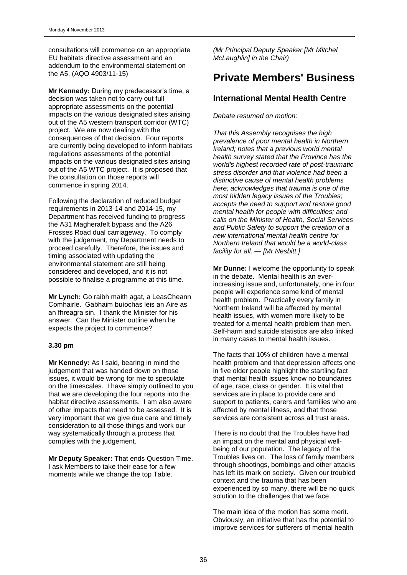consultations will commence on an appropriate EU habitats directive assessment and an addendum to the environmental statement on the A5. (AQO 4903/11-15)

**Mr Kennedy:** During my predecessor's time, a decision was taken not to carry out full appropriate assessments on the potential impacts on the various designated sites arising out of the A5 western transport corridor (WTC) project. We are now dealing with the consequences of that decision. Four reports are currently being developed to inform habitats regulations assessments of the potential impacts on the various designated sites arising out of the A5 WTC project. It is proposed that the consultation on those reports will commence in spring 2014.

Following the declaration of reduced budget requirements in 2013-14 and 2014-15, my Department has received funding to progress the A31 Magherafelt bypass and the A26 Frosses Road dual carriageway. To comply with the judgement, my Department needs to proceed carefully. Therefore, the issues and timing associated with updating the environmental statement are still being considered and developed, and it is not possible to finalise a programme at this time.

**Mr Lynch:** Go raibh maith agat, a LeasCheann Comhairle. Gabhaim buíochas leis an Aire as an fhreagra sin. I thank the Minister for his answer. Can the Minister outline when he expects the project to commence?

#### **3.30 pm**

**Mr Kennedy:** As I said, bearing in mind the judgement that was handed down on those issues, it would be wrong for me to speculate on the timescales. I have simply outlined to you that we are developing the four reports into the habitat directive assessments. I am also aware of other impacts that need to be assessed. It is very important that we give due care and timely consideration to all those things and work our way systematically through a process that complies with the judgement.

**Mr Deputy Speaker:** That ends Question Time. I ask Members to take their ease for a few moments while we change the top Table.

*(Mr Principal Deputy Speaker [Mr Mitchel McLaughlin] in the Chair)*

## **Private Members' Business**

## **International Mental Health Centre**

*Debate resumed on motion:*

*That this Assembly recognises the high prevalence of poor mental health in Northern Ireland; notes that a previous world mental health survey stated that the Province has the world's highest recorded rate of post-traumatic stress disorder and that violence had been a distinctive cause of mental health problems here; acknowledges that trauma is one of the most hidden legacy issues of the Troubles; accepts the need to support and restore good mental health for people with difficulties; and calls on the Minister of Health, Social Services and Public Safety to support the creation of a new international mental health centre for Northern Ireland that would be a world-class facility for all. — [Mr Nesbitt.]*

**Mr Dunne:** I welcome the opportunity to speak in the debate. Mental health is an everincreasing issue and, unfortunately, one in four people will experience some kind of mental health problem. Practically every family in Northern Ireland will be affected by mental health issues, with women more likely to be treated for a mental health problem than men. Self-harm and suicide statistics are also linked in many cases to mental health issues.

The facts that 10% of children have a mental health problem and that depression affects one in five older people highlight the startling fact that mental health issues know no boundaries of age, race, class or gender. It is vital that services are in place to provide care and support to patients, carers and families who are affected by mental illness, and that those services are consistent across all trust areas.

There is no doubt that the Troubles have had an impact on the mental and physical wellbeing of our population. The legacy of the Troubles lives on. The loss of family members through shootings, bombings and other attacks has left its mark on society. Given our troubled context and the trauma that has been experienced by so many, there will be no quick solution to the challenges that we face.

The main idea of the motion has some merit. Obviously, an initiative that has the potential to improve services for sufferers of mental health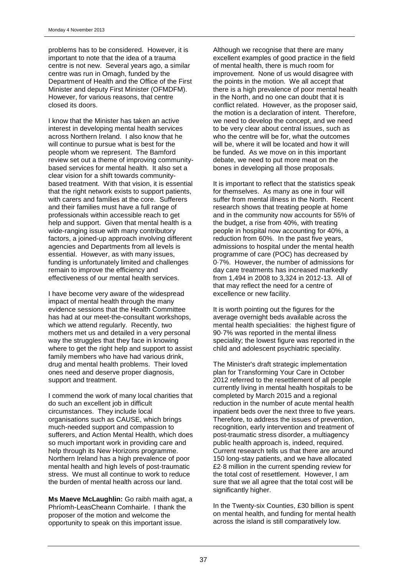problems has to be considered. However, it is important to note that the idea of a trauma centre is not new. Several years ago, a similar centre was run in Omagh, funded by the Department of Health and the Office of the First Minister and deputy First Minister (OFMDFM). However, for various reasons, that centre closed its doors.

I know that the Minister has taken an active interest in developing mental health services across Northern Ireland. I also know that he will continue to pursue what is best for the people whom we represent. The Bamford review set out a theme of improving communitybased services for mental health. It also set a clear vision for a shift towards communitybased treatment. With that vision, it is essential that the right network exists to support patients, with carers and families at the core. Sufferers and their families must have a full range of professionals within accessible reach to get help and support. Given that mental health is a wide-ranging issue with many contributory factors, a joined-up approach involving different agencies and Departments from all levels is essential. However, as with many issues, funding is unfortunately limited and challenges remain to improve the efficiency and effectiveness of our mental health services.

I have become very aware of the widespread impact of mental health through the many evidence sessions that the Health Committee has had at our meet-the-consultant workshops, which we attend regularly. Recently, two mothers met us and detailed in a very personal way the struggles that they face in knowing where to get the right help and support to assist family members who have had various drink, drug and mental health problems. Their loved ones need and deserve proper diagnosis, support and treatment.

I commend the work of many local charities that do such an excellent job in difficult circumstances. They include local organisations such as CAUSE, which brings much-needed support and compassion to sufferers, and Action Mental Health, which does so much important work in providing care and help through its New Horizons programme. Northern Ireland has a high prevalence of poor mental health and high levels of post-traumatic stress. We must all continue to work to reduce the burden of mental health across our land.

**Ms Maeve McLaughlin:** Go raibh maith agat, a Phríomh-LeasCheann Comhairle. I thank the proposer of the motion and welcome the opportunity to speak on this important issue.

Although we recognise that there are many excellent examples of good practice in the field of mental health, there is much room for improvement. None of us would disagree with the points in the motion. We all accept that there is a high prevalence of poor mental health in the North, and no one can doubt that it is conflict related. However, as the proposer said, the motion is a declaration of intent. Therefore, we need to develop the concept, and we need to be very clear about central issues, such as who the centre will be for, what the outcomes will be, where it will be located and how it will be funded. As we move on in this important debate, we need to put more meat on the bones in developing all those proposals.

It is important to reflect that the statistics speak for themselves. As many as one in four will suffer from mental illness in the North. Recent research shows that treating people at home and in the community now accounts for 55% of the budget, a rise from 40%, with treating people in hospital now accounting for 40%, a reduction from 60%. In the past five years, admissions to hospital under the mental health programme of care (POC) has decreased by 0·7%. However, the number of admissions for day care treatments has increased markedly from 1,494 in 2008 to 3,324 in 2012-13. All of that may reflect the need for a centre of excellence or new facility.

It is worth pointing out the figures for the average overnight beds available across the mental health specialities: the highest figure of 90·7% was reported in the mental illness speciality; the lowest figure was reported in the child and adolescent psychiatric speciality.

The Minister's draft strategic implementation plan for Transforming Your Care in October 2012 referred to the resettlement of all people currently living in mental health hospitals to be completed by March 2015 and a regional reduction in the number of acute mental health inpatient beds over the next three to five years. Therefore, to address the issues of prevention, recognition, early intervention and treatment of post-traumatic stress disorder, a multiagency public health approach is, indeed, required. Current research tells us that there are around 150 long-stay patients, and we have allocated £2·8 million in the current spending review for the total cost of resettlement. However, I am sure that we all agree that the total cost will be significantly higher.

In the Twenty-six Counties, £30 billion is spent on mental health, and funding for mental health across the island is still comparatively low.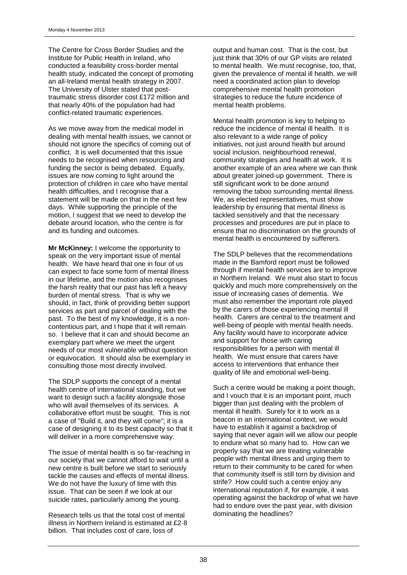The Centre for Cross Border Studies and the Institute for Public Health in Ireland, who conducted a feasibility cross-border mental health study, indicated the concept of promoting an all-Ireland mental health strategy in 2007. The University of Ulster stated that posttraumatic stress disorder cost £172 million and that nearly 40% of the population had had conflict-related traumatic experiences.

As we move away from the medical model in dealing with mental health issues, we cannot or should not ignore the specifics of coming out of conflict. It is well documented that this issue needs to be recognised when resourcing and funding the sector is being debated. Equally, issues are now coming to light around the protection of children in care who have mental health difficulties, and I recognise that a statement will be made on that in the next few days. While supporting the principle of the motion. I suggest that we need to develop the debate around location, who the centre is for and its funding and outcomes.

**Mr McKinney:** I welcome the opportunity to speak on the very important issue of mental health. We have heard that one in four of us can expect to face some form of mental illness in our lifetime, and the motion also recognises the harsh reality that our past has left a heavy burden of mental stress. That is why we should, in fact, think of providing better support services as part and parcel of dealing with the past. To the best of my knowledge, it is a noncontentious part, and I hope that it will remain so. I believe that it can and should become an exemplary part where we meet the urgent needs of our most vulnerable without question or equivocation. It should also be exemplary in consulting those most directly involved.

The SDLP supports the concept of a mental health centre of international standing, but we want to design such a facility alongside those who will avail themselves of its services. A collaborative effort must be sought. This is not a case of "Build it, and they will come"; it is a case of designing it to its best capacity so that it will deliver in a more comprehensive way.

The issue of mental health is so far-reaching in our society that we cannot afford to wait until a new centre is built before we start to seriously tackle the causes and effects of mental illness. We do not have the luxury of time with this issue. That can be seen if we look at our suicide rates, particularly among the young.

Research tells us that the total cost of mental illness in Northern Ireland is estimated at £2·8 billion. That includes cost of care, loss of

output and human cost. That is the cost, but just think that 30% of our GP visits are related to mental health. We must recognise, too, that, given the prevalence of mental ill health, we will need a coordinated action plan to develop comprehensive mental health promotion strategies to reduce the future incidence of mental health problems.

Mental health promotion is key to helping to reduce the incidence of mental ill health. It is also relevant to a wide range of policy initiatives, not just around health but around social inclusion, neighbourhood renewal, community strategies and health at work. It is another example of an area where we can think about greater joined-up government. There is still significant work to be done around removing the taboo surrounding mental illness. We, as elected representatives, must show leadership by ensuring that mental illness is tackled sensitively and that the necessary processes and procedures are put in place to ensure that no discrimination on the grounds of mental health is encountered by sufferers.

The SDLP believes that the recommendations made in the Bamford report must be followed through if mental health services are to improve in Northern Ireland. We must also start to focus quickly and much more comprehensively on the issue of increasing cases of dementia. We must also remember the important role played by the carers of those experiencing mental ill health. Carers are central to the treatment and well-being of people with mental health needs. Any facility would have to incorporate advice and support for those with caring responsibilities for a person with mental ill health. We must ensure that carers have access to interventions that enhance their quality of life and emotional well-being.

Such a centre would be making a point though, and I vouch that it is an important point, much bigger than just dealing with the problem of mental ill health. Surely for it to work as a beacon in an international context, we would have to establish it against a backdrop of saying that never again will we allow our people to endure what so many had to. How can we properly say that we are treating vulnerable people with mental illness and urging them to return to their community to be cared for when that community itself is still torn by division and strife? How could such a centre enjoy any international reputation if, for example, it was operating against the backdrop of what we have had to endure over the past year, with division dominating the headlines?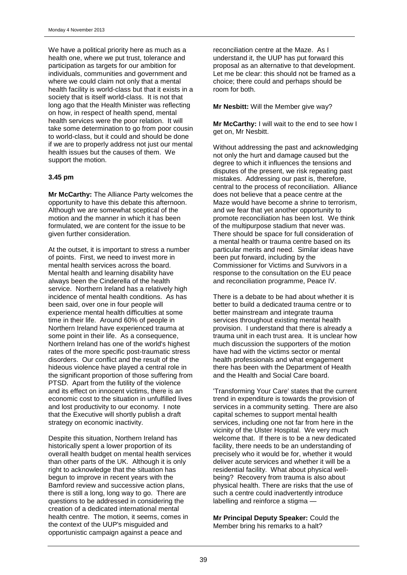We have a political priority here as much as a health one, where we put trust, tolerance and participation as targets for our ambition for individuals, communities and government and where we could claim not only that a mental health facility is world-class but that it exists in a society that is itself world-class. It is not that long ago that the Health Minister was reflecting on how, in respect of health spend, mental health services were the poor relation. It will take some determination to go from poor cousin to world-class, but it could and should be done if we are to properly address not just our mental health issues but the causes of them. We support the motion.

#### **3.45 pm**

**Mr McCarthy:** The Alliance Party welcomes the opportunity to have this debate this afternoon. Although we are somewhat sceptical of the motion and the manner in which it has been formulated, we are content for the issue to be given further consideration.

At the outset, it is important to stress a number of points. First, we need to invest more in mental health services across the board. Mental health and learning disability have always been the Cinderella of the health service. Northern Ireland has a relatively high incidence of mental health conditions. As has been said, over one in four people will experience mental health difficulties at some time in their life. Around 60% of people in Northern Ireland have experienced trauma at some point in their life. As a consequence, Northern Ireland has one of the world's highest rates of the more specific post-traumatic stress disorders. Our conflict and the result of the hideous violence have played a central role in the significant proportion of those suffering from PTSD. Apart from the futility of the violence and its effect on innocent victims, there is an economic cost to the situation in unfulfilled lives and lost productivity to our economy. I note that the Executive will shortly publish a draft strategy on economic inactivity.

Despite this situation, Northern Ireland has historically spent a lower proportion of its overall health budget on mental health services than other parts of the UK. Although it is only right to acknowledge that the situation has begun to improve in recent years with the Bamford review and successive action plans, there is still a long, long way to go. There are questions to be addressed in considering the creation of a dedicated international mental health centre. The motion, it seems, comes in the context of the UUP's misguided and opportunistic campaign against a peace and

reconciliation centre at the Maze. As I understand it, the UUP has put forward this proposal as an alternative to that development. Let me be clear: this should not be framed as a choice; there could and perhaps should be room for both.

**Mr Nesbitt:** Will the Member give way?

**Mr McCarthy:** I will wait to the end to see how I get on, Mr Nesbitt.

Without addressing the past and acknowledging not only the hurt and damage caused but the degree to which it influences the tensions and disputes of the present, we risk repeating past mistakes. Addressing our past is, therefore, central to the process of reconciliation. Alliance does not believe that a peace centre at the Maze would have become a shrine to terrorism, and we fear that yet another opportunity to promote reconciliation has been lost. We think of the multipurpose stadium that never was. There should be space for full consideration of a mental health or trauma centre based on its particular merits and need. Similar ideas have been put forward, including by the Commissioner for Victims and Survivors in a response to the consultation on the EU peace and reconciliation programme, Peace IV.

There is a debate to be had about whether it is better to build a dedicated trauma centre or to better mainstream and integrate trauma services throughout existing mental health provision. I understand that there is already a trauma unit in each trust area. It is unclear how much discussion the supporters of the motion have had with the victims sector or mental health professionals and what engagement there has been with the Department of Health and the Health and Social Care board.

'Transforming Your Care' states that the current trend in expenditure is towards the provision of services in a community setting. There are also capital schemes to support mental health services, including one not far from here in the vicinity of the Ulster Hospital. We very much welcome that. If there is to be a new dedicated facility, there needs to be an understanding of precisely who it would be for, whether it would deliver acute services and whether it will be a residential facility. What about physical wellbeing? Recovery from trauma is also about physical health. There are risks that the use of such a centre could inadvertently introduce labelling and reinforce a stigma —

**Mr Principal Deputy Speaker:** Could the Member bring his remarks to a halt?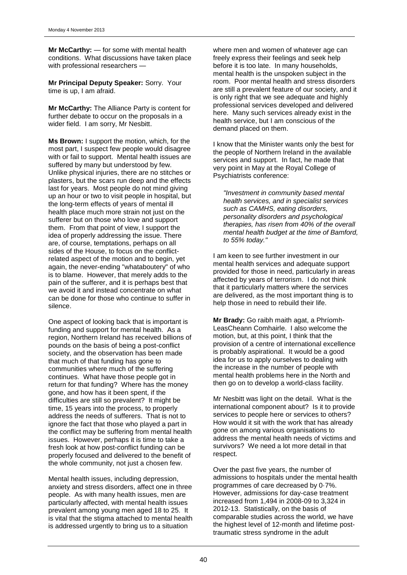**Mr McCarthy:** — for some with mental health conditions. What discussions have taken place with professional researchers -

**Mr Principal Deputy Speaker:** Sorry. Your time is up, I am afraid.

**Mr McCarthy:** The Alliance Party is content for further debate to occur on the proposals in a wider field. I am sorry, Mr Nesbitt.

**Ms Brown:** I support the motion, which, for the most part, I suspect few people would disagree with or fail to support. Mental health issues are suffered by many but understood by few. Unlike physical injuries, there are no stitches or plasters, but the scars run deep and the effects last for years. Most people do not mind giving up an hour or two to visit people in hospital, but the long-term effects of years of mental ill health place much more strain not just on the sufferer but on those who love and support them. From that point of view, I support the idea of properly addressing the issue. There are, of course, temptations, perhaps on all sides of the House, to focus on the conflictrelated aspect of the motion and to begin, yet again, the never-ending "whataboutery" of who is to blame. However, that merely adds to the pain of the sufferer, and it is perhaps best that we avoid it and instead concentrate on what can be done for those who continue to suffer in silence.

One aspect of looking back that is important is funding and support for mental health. As a region, Northern Ireland has received billions of pounds on the basis of being a post-conflict society, and the observation has been made that much of that funding has gone to communities where much of the suffering continues. What have those people got in return for that funding? Where has the money gone, and how has it been spent, if the difficulties are still so prevalent? It might be time, 15 years into the process, to properly address the needs of sufferers. That is not to ignore the fact that those who played a part in the conflict may be suffering from mental health issues. However, perhaps it is time to take a fresh look at how post-conflict funding can be properly focused and delivered to the benefit of the whole community, not just a chosen few.

Mental health issues, including depression, anxiety and stress disorders, affect one in three people. As with many health issues, men are particularly affected, with mental health issues prevalent among young men aged 18 to 25. It is vital that the stigma attached to mental health is addressed urgently to bring us to a situation

where men and women of whatever age can freely express their feelings and seek help before it is too late. In many households, mental health is the unspoken subject in the room. Poor mental health and stress disorders are still a prevalent feature of our society, and it is only right that we see adequate and highly professional services developed and delivered here. Many such services already exist in the health service, but I am conscious of the demand placed on them.

I know that the Minister wants only the best for the people of Northern Ireland in the available services and support. In fact, he made that very point in May at the Royal College of Psychiatrists conference:

*"Investment in community based mental health services, and in specialist services such as CAMHS, eating disorders, personality disorders and psychological therapies, has risen from 40% of the overall mental health budget at the time of Bamford, to 55% today."*

I am keen to see further investment in our mental health services and adequate support provided for those in need, particularly in areas affected by years of terrorism. I do not think that it particularly matters where the services are delivered, as the most important thing is to help those in need to rebuild their life.

**Mr Brady:** Go raibh maith agat, a Phríomh-LeasCheann Comhairle. I also welcome the motion, but, at this point, I think that the provision of a centre of international excellence is probably aspirational. It would be a good idea for us to apply ourselves to dealing with the increase in the number of people with mental health problems here in the North and then go on to develop a world-class facility.

Mr Nesbitt was light on the detail. What is the international component about? Is it to provide services to people here or services to others? How would it sit with the work that has already gone on among various organisations to address the mental health needs of victims and survivors? We need a lot more detail in that respect.

Over the past five years, the number of admissions to hospitals under the mental health programmes of care decreased by 0·7%. However, admissions for day-case treatment increased from 1,494 in 2008-09 to 3,324 in 2012-13. Statistically, on the basis of comparable studies across the world, we have the highest level of 12-month and lifetime posttraumatic stress syndrome in the adult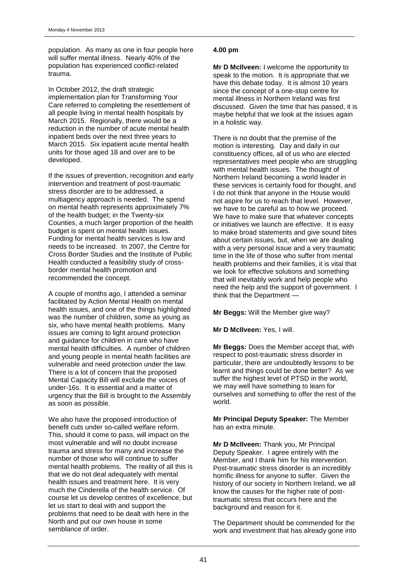population. As many as one in four people here will suffer mental illness. Nearly 40% of the population has experienced conflict-related trauma.

In October 2012, the draft strategic implementation plan for Transforming Your Care referred to completing the resettlement of all people living in mental health hospitals by March 2015. Regionally, there would be a reduction in the number of acute mental health inpatient beds over the next three years to March 2015. Six inpatient acute mental health units for those aged 18 and over are to be developed.

If the issues of prevention, recognition and early intervention and treatment of post-traumatic stress disorder are to be addressed, a multiagency approach is needed. The spend on mental health represents approximately 7% of the health budget; in the Twenty-six Counties, a much larger proportion of the health budget is spent on mental health issues. Funding for mental health services is low and needs to be increased. In 2007, the Centre for Cross Border Studies and the Institute of Public Health conducted a feasibility study of crossborder mental health promotion and recommended the concept.

A couple of months ago, I attended a seminar facilitated by Action Mental Health on mental health issues, and one of the things highlighted was the number of children, some as young as six, who have mental health problems. Many issues are coming to light around protection and guidance for children in care who have mental health difficulties. A number of children and young people in mental health facilities are vulnerable and need protection under the law. There is a lot of concern that the proposed Mental Capacity Bill will exclude the voices of under-16s. It is essential and a matter of urgency that the Bill is brought to the Assembly as soon as possible.

We also have the proposed introduction of benefit cuts under so-called welfare reform. This, should it come to pass, will impact on the most vulnerable and will no doubt increase trauma and stress for many and increase the number of those who will continue to suffer mental health problems. The reality of all this is that we do not deal adequately with mental health issues and treatment here. It is very much the Cinderella of the health service. Of course let us develop centres of excellence, but let us start to deal with and support the problems that need to be dealt with here in the North and put our own house in some semblance of order.

### **4.00 pm**

**Mr D McIlveen:** I welcome the opportunity to speak to the motion. It is appropriate that we have this debate today. It is almost 10 years since the concept of a one-stop centre for mental illness in Northern Ireland was first discussed. Given the time that has passed, it is maybe helpful that we look at the issues again in a holistic way.

There is no doubt that the premise of the motion is interesting. Day and daily in our constituency offices, all of us who are elected representatives meet people who are struggling with mental health issues. The thought of Northern Ireland becoming a world leader in these services is certainly food for thought, and I do not think that anyone in the House would not aspire for us to reach that level. However, we have to be careful as to how we proceed. We have to make sure that whatever concepts or initiatives we launch are effective. It is easy to make broad statements and give sound bites about certain issues, but, when we are dealing with a very personal issue and a very traumatic time in the life of those who suffer from mental health problems and their families, it is vital that we look for effective solutions and something that will inevitably work and help people who need the help and the support of government. I think that the Department —

**Mr Beggs:** Will the Member give way?

**Mr D McIlveen:** Yes, I will.

**Mr Beggs:** Does the Member accept that, with respect to post-traumatic stress disorder in particular, there are undoubtedly lessons to be learnt and things could be done better? As we suffer the highest level of PTSD in the world, we may well have something to learn for ourselves and something to offer the rest of the world.

**Mr Principal Deputy Speaker:** The Member has an extra minute.

**Mr D McIlveen:** Thank you, Mr Principal Deputy Speaker. I agree entirely with the Member, and I thank him for his intervention. Post-traumatic stress disorder is an incredibly horrific illness for anyone to suffer. Given the history of our society in Northern Ireland, we all know the causes for the higher rate of posttraumatic stress that occurs here and the background and reason for it.

The Department should be commended for the work and investment that has already gone into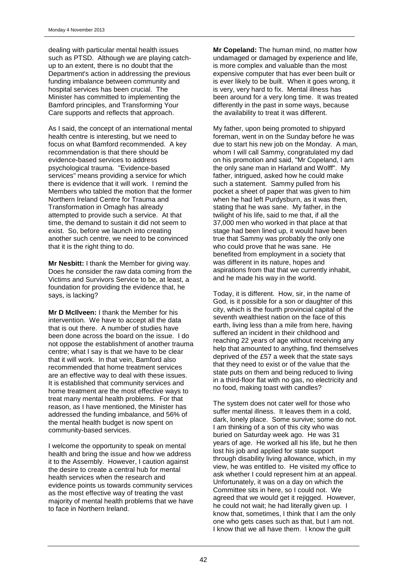dealing with particular mental health issues such as PTSD. Although we are playing catchup to an extent, there is no doubt that the Department's action in addressing the previous funding imbalance between community and hospital services has been crucial. The Minister has committed to implementing the Bamford principles, and Transforming Your Care supports and reflects that approach.

As I said, the concept of an international mental health centre is interesting, but we need to focus on what Bamford recommended. A key recommendation is that there should be evidence-based services to address psychological trauma. "Evidence-based services" means providing a service for which there is evidence that it will work. I remind the Members who tabled the motion that the former Northern Ireland Centre for Trauma and Transformation in Omagh has already attempted to provide such a service. At that time, the demand to sustain it did not seem to exist. So, before we launch into creating another such centre, we need to be convinced that it is the right thing to do.

**Mr Nesbitt:** I thank the Member for giving way. Does he consider the raw data coming from the Victims and Survivors Service to be, at least, a foundation for providing the evidence that, he says, is lacking?

**Mr D McIlveen:** I thank the Member for his intervention. We have to accept all the data that is out there. A number of studies have been done across the board on the issue. I do not oppose the establishment of another trauma centre; what I say is that we have to be clear that it will work. In that vein, Bamford also recommended that home treatment services are an effective way to deal with these issues. It is established that community services and home treatment are the most effective ways to treat many mental health problems. For that reason, as I have mentioned, the Minister has addressed the funding imbalance, and 56% of the mental health budget is now spent on community-based services.

I welcome the opportunity to speak on mental health and bring the issue and how we address it to the Assembly. However, I caution against the desire to create a central hub for mental health services when the research and evidence points us towards community services as the most effective way of treating the vast majority of mental health problems that we have to face in Northern Ireland.

**Mr Copeland:** The human mind, no matter how undamaged or damaged by experience and life, is more complex and valuable than the most expensive computer that has ever been built or is ever likely to be built. When it goes wrong, it is very, very hard to fix. Mental illness has been around for a very long time. It was treated differently in the past in some ways, because the availability to treat it was different.

My father, upon being promoted to shipyard foreman, went in on the Sunday before he was due to start his new job on the Monday. A man, whom I will call Sammy, congratulated my dad on his promotion and said, "Mr Copeland, I am the only sane man in Harland and Wolff". My father, intrigued, asked how he could make such a statement. Sammy pulled from his pocket a sheet of paper that was given to him when he had left Purdysburn, as it was then, stating that he was sane. My father, in the twilight of his life, said to me that, if all the 37,000 men who worked in that place at that stage had been lined up, it would have been true that Sammy was probably the only one who could prove that he was sane. He benefited from employment in a society that was different in its nature, hopes and aspirations from that that we currently inhabit, and he made his way in the world.

Today, it is different. How, sir, in the name of God, is it possible for a son or daughter of this city, which is the fourth provincial capital of the seventh wealthiest nation on the face of this earth, living less than a mile from here, having suffered an incident in their childhood and reaching 22 years of age without receiving any help that amounted to anything, find themselves deprived of the £57 a week that the state says that they need to exist or of the value that the state puts on them and being reduced to living in a third-floor flat with no gas, no electricity and no food, making toast with candles?

The system does not cater well for those who suffer mental illness. It leaves them in a cold, dark, lonely place. Some survive; some do not. I am thinking of a son of this city who was buried on Saturday week ago. He was 31 years of age. He worked all his life, but he then lost his job and applied for state support through disability living allowance, which, in my view, he was entitled to. He visited my office to ask whether I could represent him at an appeal. Unfortunately, it was on a day on which the Committee sits in here, so I could not. We agreed that we would get it rejigged. However, he could not wait; he had literally given up. I know that, sometimes, I think that I am the only one who gets cases such as that, but I am not. I know that we all have them. I know the guilt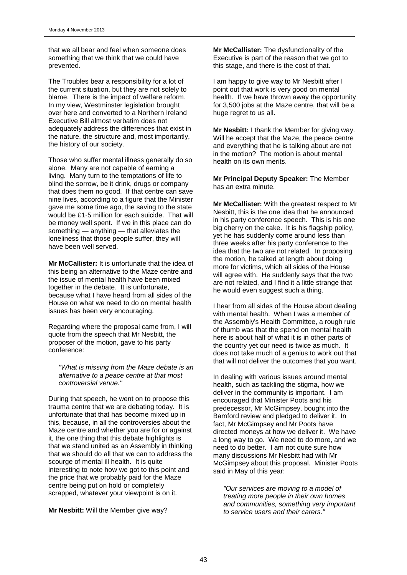that we all bear and feel when someone does something that we think that we could have prevented.

The Troubles bear a responsibility for a lot of the current situation, but they are not solely to blame. There is the impact of welfare reform. In my view, Westminster legislation brought over here and converted to a Northern Ireland Executive Bill almost verbatim does not adequately address the differences that exist in the nature, the structure and, most importantly, the history of our society.

Those who suffer mental illness generally do so alone. Many are not capable of earning a living. Many turn to the temptations of life to blind the sorrow, be it drink, drugs or company that does them no good. If that centre can save nine lives, according to a figure that the Minister gave me some time ago, the saving to the state would be £1·5 million for each suicide. That will be money well spent. If we in this place can do something — anything — that alleviates the loneliness that those people suffer, they will have been well served.

**Mr McCallister:** It is unfortunate that the idea of this being an alternative to the Maze centre and the issue of mental health have been mixed together in the debate. It is unfortunate, because what I have heard from all sides of the House on what we need to do on mental health issues has been very encouraging.

Regarding where the proposal came from, I will quote from the speech that Mr Nesbitt, the proposer of the motion, gave to his party conference:

*"What is missing from the Maze debate is an alternative to a peace centre at that most controversial venue."*

During that speech, he went on to propose this trauma centre that we are debating today. It is unfortunate that that has become mixed up in this, because, in all the controversies about the Maze centre and whether you are for or against it, the one thing that this debate highlights is that we stand united as an Assembly in thinking that we should do all that we can to address the scourge of mental ill health. It is quite interesting to note how we got to this point and the price that we probably paid for the Maze centre being put on hold or completely scrapped, whatever your viewpoint is on it.

**Mr Nesbitt:** Will the Member give way?

**Mr McCallister:** The dysfunctionality of the Executive is part of the reason that we got to this stage, and there is the cost of that.

I am happy to give way to Mr Nesbitt after I point out that work is very good on mental health. If we have thrown away the opportunity for 3,500 jobs at the Maze centre, that will be a huge regret to us all.

**Mr Nesbitt:** I thank the Member for giving way. Will he accept that the Maze, the peace centre and everything that he is talking about are not in the motion? The motion is about mental health on its own merits.

**Mr Principal Deputy Speaker:** The Member has an extra minute.

**Mr McCallister:** With the greatest respect to Mr Nesbitt, this is the one idea that he announced in his party conference speech. This is his one big cherry on the cake. It is his flagship policy, yet he has suddenly come around less than three weeks after his party conference to the idea that the two are not related. In proposing the motion, he talked at length about doing more for victims, which all sides of the House will agree with. He suddenly says that the two are not related, and I find it a little strange that he would even suggest such a thing.

I hear from all sides of the House about dealing with mental health. When I was a member of the Assembly's Health Committee, a rough rule of thumb was that the spend on mental health here is about half of what it is in other parts of the country yet our need is twice as much. It does not take much of a genius to work out that that will not deliver the outcomes that you want.

In dealing with various issues around mental health, such as tackling the stigma, how we deliver in the community is important. I am encouraged that Minister Poots and his predecessor, Mr McGimpsey, bought into the Bamford review and pledged to deliver it. In fact, Mr McGimpsey and Mr Poots have directed moneys at how we deliver it. We have a long way to go. We need to do more, and we need to do better. I am not quite sure how many discussions Mr Nesbitt had with Mr McGimpsey about this proposal. Minister Poots said in May of this year:

*"Our services are moving to a model of treating more people in their own homes and communities, something very important to service users and their carers."*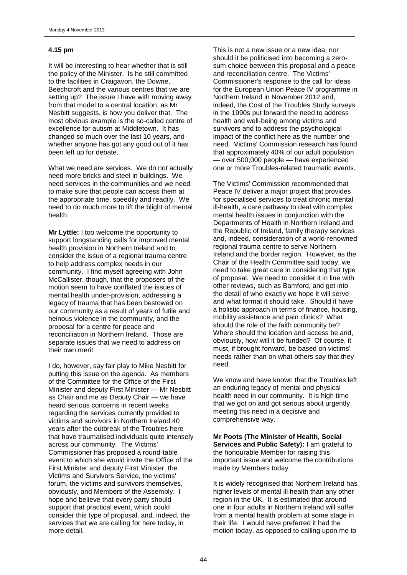## **4.15 pm**

It will be interesting to hear whether that is still the policy of the Minister. Is he still committed to the facilities in Craigavon, the Downe, Beechcroft and the various centres that we are setting up? The issue I have with moving away from that model to a central location, as Mr Nesbitt suggests, is how you deliver that. The most obvious example is the so-called centre of excellence for autism at Middletown. It has changed so much over the last 10 years, and whether anyone has got any good out of it has been left up for debate.

What we need are services. We do not actually need more bricks and steel in buildings. We need services in the communities and we need to make sure that people can access them at the appropriate time, speedily and readily. We need to do much more to lift the blight of mental health.

**Mr Lyttle:** I too welcome the opportunity to support longstanding calls for improved mental health provision in Northern Ireland and to consider the issue of a regional trauma centre to help address complex needs in our community. I find myself agreeing with John McCallister, though, that the proposers of the motion seem to have conflated the issues of mental health under-provision, addressing a legacy of trauma that has been bestowed on our community as a result of years of futile and heinous violence in the community, and the proposal for a centre for peace and reconciliation in Northern Ireland. Those are separate issues that we need to address on their own merit.

I do, however, say fair play to Mike Nesbitt for putting this issue on the agenda. As members of the Committee for the Office of the First Minister and deputy First Minister — Mr Nesbitt as Chair and me as Deputy Chair — we have heard serious concerns in recent weeks regarding the services currently provided to victims and survivors in Northern Ireland 40 years after the outbreak of the Troubles here that have traumatised individuals quite intensely across our community. The Victims' Commissioner has proposed a round-table event to which she would invite the Office of the First Minister and deputy First Minister, the Victims and Survivors Service, the victims' forum, the victims and survivors themselves, obviously, and Members of the Assembly. I hope and believe that every party should support that practical event, which could consider this type of proposal, and, indeed, the services that we are calling for here today, in more detail.

This is not a new issue or a new idea, nor should it be politicised into becoming a zerosum choice between this proposal and a peace and reconciliation centre. The Victims' Commissioner's response to the call for ideas for the European Union Peace IV programme in Northern Ireland in November 2012 and, indeed, the Cost of the Troubles Study surveys in the 1990s put forward the need to address health and well-being among victims and survivors and to address the psychological impact of the conflict here as the number one need. Victims' Commission research has found that approximately 40% of our adult population — over 500,000 people — have experienced one or more Troubles-related traumatic events.

The Victims' Commission recommended that Peace IV deliver a major project that provides for specialised services to treat chronic mental ill-health, a care pathway to deal with complex mental health issues in conjunction with the Departments of Health in Northern Ireland and the Republic of Ireland, family therapy services and, indeed, consideration of a world-renowned regional trauma centre to serve Northern Ireland and the border region. However, as the Chair of the Health Committee said today, we need to take great care in considering that type of proposal. We need to consider it in line with other reviews, such as Bamford, and get into the detail of who exactly we hope it will serve and what format it should take. Should it have a holistic approach in terms of finance, housing, mobility assistance and pain clinics? What should the role of the faith community be? Where should the location and access be and, obviously, how will it be funded? Of course, it must, if brought forward, be based on victims' needs rather than on what others say that they need.

We know and have known that the Troubles left an enduring legacy of mental and physical health need in our community. It is high time that we got on and got serious about urgently meeting this need in a decisive and comprehensive way.

**Mr Poots (The Minister of Health, Social Services and Public Safety):** I am grateful to the honourable Member for raising this important issue and welcome the contributions made by Members today.

It is widely recognised that Northern Ireland has higher levels of mental ill health than any other region in the UK. It is estimated that around one in four adults in Northern Ireland will suffer from a mental health problem at some stage in their life. I would have preferred it had the motion today, as opposed to calling upon me to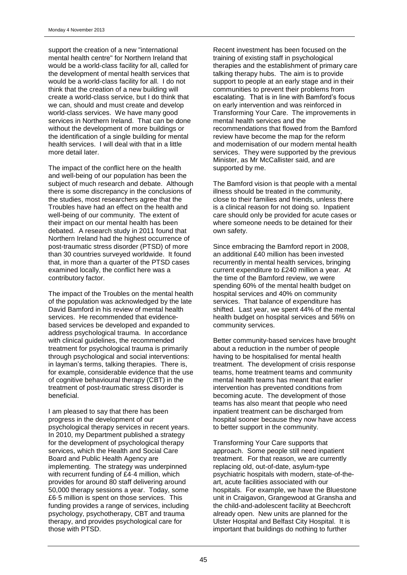support the creation of a new "international mental health centre" for Northern Ireland that would be a world-class facility for all, called for the development of mental health services that would be a world-class facility for all. I do not think that the creation of a new building will create a world-class service, but I do think that we can, should and must create and develop world-class services. We have many good services in Northern Ireland. That can be done without the development of more buildings or the identification of a single building for mental health services. I will deal with that in a little more detail later.

The impact of the conflict here on the health and well-being of our population has been the subject of much research and debate. Although there is some discrepancy in the conclusions of the studies, most researchers agree that the Troubles have had an effect on the health and well-being of our community. The extent of their impact on our mental health has been debated. A research study in 2011 found that Northern Ireland had the highest occurrence of post-traumatic stress disorder (PTSD) of more than 30 countries surveyed worldwide. It found that, in more than a quarter of the PTSD cases examined locally, the conflict here was a contributory factor.

The impact of the Troubles on the mental health of the population was acknowledged by the late David Bamford in his review of mental health services. He recommended that evidencebased services be developed and expanded to address psychological trauma. In accordance with clinical guidelines, the recommended treatment for psychological trauma is primarily through psychological and social interventions: in layman's terms, talking therapies. There is, for example, considerable evidence that the use of cognitive behavioural therapy (CBT) in the treatment of post-traumatic stress disorder is beneficial.

I am pleased to say that there has been progress in the development of our psychological therapy services in recent years. In 2010, my Department published a strategy for the development of psychological therapy services, which the Health and Social Care Board and Public Health Agency are implementing. The strategy was underpinned with recurrent funding of £4·4 million, which provides for around 80 staff delivering around 50,000 therapy sessions a year. Today, some £6·5 million is spent on those services. This funding provides a range of services, including psychology, psychotherapy, CBT and trauma therapy, and provides psychological care for those with PTSD.

Recent investment has been focused on the training of existing staff in psychological therapies and the establishment of primary care talking therapy hubs. The aim is to provide support to people at an early stage and in their communities to prevent their problems from escalating. That is in line with Bamford's focus on early intervention and was reinforced in Transforming Your Care. The improvements in mental health services and the recommendations that flowed from the Bamford review have become the map for the reform and modernisation of our modern mental health services. They were supported by the previous Minister, as Mr McCallister said, and are supported by me.

The Bamford vision is that people with a mental illness should be treated in the community, close to their families and friends, unless there is a clinical reason for not doing so. Inpatient care should only be provided for acute cases or where someone needs to be detained for their own safety.

Since embracing the Bamford report in 2008, an additional £40 million has been invested recurrently in mental health services, bringing current expenditure to £240 million a year. At the time of the Bamford review, we were spending 60% of the mental health budget on hospital services and 40% on community services. That balance of expenditure has shifted. Last year, we spent 44% of the mental health budget on hospital services and 56% on community services.

Better community-based services have brought about a reduction in the number of people having to be hospitalised for mental health treatment. The development of crisis response teams, home treatment teams and community mental health teams has meant that earlier intervention has prevented conditions from becoming acute. The development of those teams has also meant that people who need inpatient treatment can be discharged from hospital sooner because they now have access to better support in the community.

Transforming Your Care supports that approach. Some people still need inpatient treatment. For that reason, we are currently replacing old, out-of-date, asylum-type psychiatric hospitals with modern, state-of-theart, acute facilities associated with our hospitals. For example, we have the Bluestone unit in Craigavon, Grangewood at Gransha and the child-and-adolescent facility at Beechcroft already open. New units are planned for the Ulster Hospital and Belfast City Hospital. It is important that buildings do nothing to further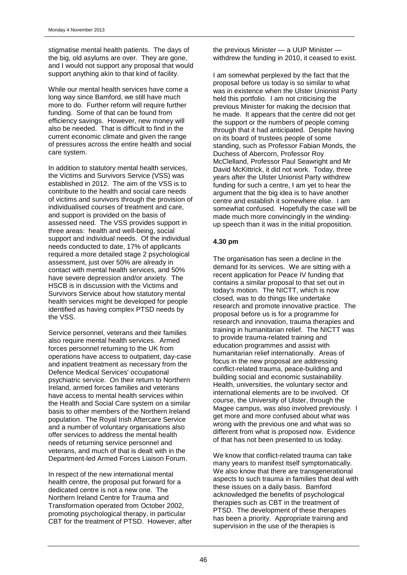stigmatise mental health patients. The days of the big, old asylums are over. They are gone, and I would not support any proposal that would support anything akin to that kind of facility.

While our mental health services have come a long way since Bamford, we still have much more to do. Further reform will require further funding. Some of that can be found from efficiency savings. However, new money will also be needed. That is difficult to find in the current economic climate and given the range of pressures across the entire health and social care system.

In addition to statutory mental health services, the Victims and Survivors Service (VSS) was established in 2012. The aim of the VSS is to contribute to the health and social care needs of victims and survivors through the provision of individualised courses of treatment and care, and support is provided on the basis of assessed need. The VSS provides support in three areas: health and well-being, social support and individual needs. Of the individual needs conducted to date, 17% of applicants required a more detailed stage 2 psychological assessment, just over 50% are already in contact with mental health services, and 50% have severe depression and/or anxiety. The HSCB is in discussion with the Victims and Survivors Service about how statutory mental health services might be developed for people identified as having complex PTSD needs by the VSS.

Service personnel, veterans and their families also require mental health services. Armed forces personnel returning to the UK from operations have access to outpatient, day-case and inpatient treatment as necessary from the Defence Medical Services' occupational psychiatric service. On their return to Northern Ireland, armed forces families and veterans have access to mental health services within the Health and Social Care system on a similar basis to other members of the Northern Ireland population. The Royal Irish Aftercare Service and a number of voluntary organisations also offer services to address the mental health needs of returning service personnel and veterans, and much of that is dealt with in the Department-led Armed Forces Liaison Forum.

In respect of the new international mental health centre, the proposal put forward for a dedicated centre is not a new one. The Northern Ireland Centre for Trauma and Transformation operated from October 2002, promoting psychological therapy, in particular CBT for the treatment of PTSD. However, after the previous Minister — a UUP Minister withdrew the funding in 2010, it ceased to exist.

I am somewhat perplexed by the fact that the proposal before us today is so similar to what was in existence when the Ulster Unionist Party held this portfolio. I am not criticising the previous Minister for making the decision that he made. It appears that the centre did not get the support or the numbers of people coming through that it had anticipated. Despite having on its board of trustees people of some standing, such as Professor Fabian Monds, the Duchess of Abercorn, Professor Roy McClelland, Professor Paul Seawright and Mr David McKittrick, it did not work. Today, three years after the Ulster Unionist Party withdrew funding for such a centre, I am yet to hear the argument that the big idea is to have another centre and establish it somewhere else. I am somewhat confused. Hopefully the case will be made much more convincingly in the windingup speech than it was in the initial proposition.

#### **4.30 pm**

The organisation has seen a decline in the demand for its services. We are sitting with a recent application for Peace IV funding that contains a similar proposal to that set out in today's motion. The NICTT, which is now closed, was to do things like undertake research and promote innovative practice. The proposal before us is for a programme for research and innovation, trauma therapies and training in humanitarian relief. The NICTT was to provide trauma-related training and education programmes and assist with humanitarian relief internationally. Areas of focus in the new proposal are addressing conflict-related trauma, peace-building and building social and economic sustainability. Health, universities, the voluntary sector and international elements are to be involved. Of course, the University of Ulster, through the Magee campus, was also involved previously. I get more and more confused about what was wrong with the previous one and what was so different from what is proposed now. Evidence of that has not been presented to us today.

We know that conflict-related trauma can take many years to manifest itself symptomatically. We also know that there are transgenerational aspects to such trauma in families that deal with these issues on a daily basis. Bamford acknowledged the benefits of psychological therapies such as CBT in the treatment of PTSD. The development of these therapies has been a priority. Appropriate training and supervision in the use of the therapies is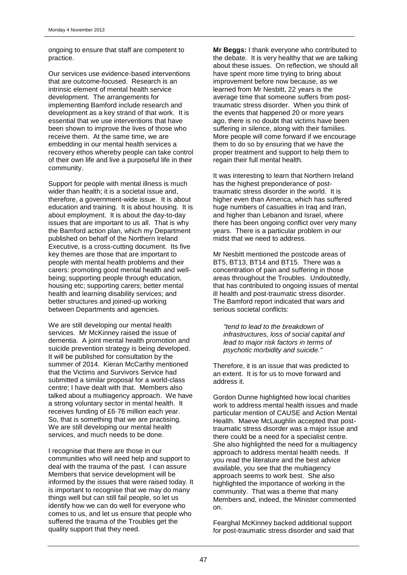ongoing to ensure that staff are competent to practice.

Our services use evidence-based interventions that are outcome-focused. Research is an intrinsic element of mental health service development. The arrangements for implementing Bamford include research and development as a key strand of that work. It is essential that we use interventions that have been shown to improve the lives of those who receive them. At the same time, we are embedding in our mental health services a recovery ethos whereby people can take control of their own life and live a purposeful life in their community.

Support for people with mental illness is much wider than health; it is a societal issue and, therefore, a government-wide issue. It is about education and training. It is about housing. It is about employment. It is about the day-to-day issues that are important to us all. That is why the Bamford action plan, which my Department published on behalf of the Northern Ireland Executive, is a cross-cutting document. Its five key themes are those that are important to people with mental health problems and their carers: promoting good mental health and wellbeing; supporting people through education, housing etc; supporting carers; better mental health and learning disability services; and better structures and joined-up working between Departments and agencies.

We are still developing our mental health services. Mr McKinney raised the issue of dementia. A joint mental health promotion and suicide prevention strategy is being developed. It will be published for consultation by the summer of 2014. Kieran McCarthy mentioned that the Victims and Survivors Service had submitted a similar proposal for a world-class centre; I have dealt with that. Members also talked about a multiagency approach. We have a strong voluntary sector in mental health. It receives funding of £6·76 million each year. So, that is something that we are practising. We are still developing our mental health services, and much needs to be done.

I recognise that there are those in our communities who will need help and support to deal with the trauma of the past. I can assure Members that service development will be informed by the issues that were raised today. It is important to recognise that we may do many things well but can still fail people, so let us identify how we can do well for everyone who comes to us, and let us ensure that people who suffered the trauma of the Troubles get the quality support that they need.

**Mr Beggs:** I thank everyone who contributed to the debate. It is very healthy that we are talking about these issues. On reflection, we should all have spent more time trying to bring about improvement before now because, as we learned from Mr Nesbitt, 22 years is the average time that someone suffers from posttraumatic stress disorder. When you think of the events that happened 20 or more years ago, there is no doubt that victims have been suffering in silence, along with their families. More people will come forward if we encourage them to do so by ensuring that we have the proper treatment and support to help them to regain their full mental health.

It was interesting to learn that Northern Ireland has the highest preponderance of posttraumatic stress disorder in the world. It is higher even than America, which has suffered huge numbers of casualties in Iraq and Iran, and higher than Lebanon and Israel, where there has been ongoing conflict over very many years. There is a particular problem in our midst that we need to address.

Mr Nesbitt mentioned the postcode areas of BT5, BT13, BT14 and BT15. There was a concentration of pain and suffering in those areas throughout the Troubles. Undoubtedly, that has contributed to ongoing issues of mental ill health and post-traumatic stress disorder. The Bamford report indicated that wars and serious societal conflicts:

*"tend to lead to the breakdown of infrastructures, loss of social capital and lead to major risk factors in terms of psychotic morbidity and suicide."*

Therefore, it is an issue that was predicted to an extent. It is for us to move forward and address it.

Gordon Dunne highlighted how local charities work to address mental health issues and made particular mention of CAUSE and Action Mental Health. Maeve McLaughlin accepted that posttraumatic stress disorder was a major issue and there could be a need for a specialist centre. She also highlighted the need for a multiagency approach to address mental health needs. If you read the literature and the best advice available, you see that the multiagency approach seems to work best. She also highlighted the importance of working in the community. That was a theme that many Members and, indeed, the Minister commented on.

Fearghal McKinney backed additional support for post-traumatic stress disorder and said that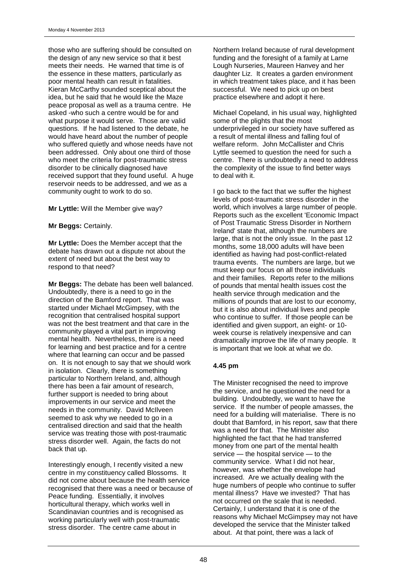those who are suffering should be consulted on the design of any new service so that it best meets their needs. He warned that time is of the essence in these matters, particularly as poor mental health can result in fatalities. Kieran McCarthy sounded sceptical about the idea, but he said that he would like the Maze peace proposal as well as a trauma centre. He asked -who such a centre would be for and what purpose it would serve. Those are valid questions. If he had listened to the debate, he would have heard about the number of people who suffered quietly and whose needs have not been addressed. Only about one third of those who meet the criteria for post-traumatic stress disorder to be clinically diagnosed have received support that they found useful. A huge reservoir needs to be addressed, and we as a community ought to work to do so.

**Mr Lyttle:** Will the Member give way?

**Mr Beggs:** Certainly.

**Mr Lyttle:** Does the Member accept that the debate has drawn out a dispute not about the extent of need but about the best way to respond to that need?

**Mr Beggs:** The debate has been well balanced. Undoubtedly, there is a need to go in the direction of the Bamford report. That was started under Michael McGimpsey, with the recognition that centralised hospital support was not the best treatment and that care in the community played a vital part in improving mental health. Nevertheless, there is a need for learning and best practice and for a centre where that learning can occur and be passed on. It is not enough to say that we should work in isolation. Clearly, there is something particular to Northern Ireland, and, although there has been a fair amount of research, further support is needed to bring about improvements in our service and meet the needs in the community. David McIlveen seemed to ask why we needed to go in a centralised direction and said that the health service was treating those with post-traumatic stress disorder well. Again, the facts do not back that up.

Interestingly enough, I recently visited a new centre in my constituency called Blossoms. It did not come about because the health service recognised that there was a need or because of Peace funding. Essentially, it involves horticultural therapy, which works well in Scandinavian countries and is recognised as working particularly well with post-traumatic stress disorder. The centre came about in

Northern Ireland because of rural development funding and the foresight of a family at Larne Lough Nurseries, Maureen Hanvey and her daughter Liz. It creates a garden environment in which treatment takes place, and it has been successful. We need to pick up on best practice elsewhere and adopt it here.

Michael Copeland, in his usual way, highlighted some of the plights that the most underprivileged in our society have suffered as a result of mental illness and falling foul of welfare reform. John McCallister and Chris Lyttle seemed to question the need for such a centre. There is undoubtedly a need to address the complexity of the issue to find better ways to deal with it.

I go back to the fact that we suffer the highest levels of post-traumatic stress disorder in the world, which involves a large number of people. Reports such as the excellent 'Economic Impact of Post Traumatic Stress Disorder in Northern Ireland' state that, although the numbers are large, that is not the only issue. In the past 12 months, some 18,000 adults will have been identified as having had post-conflict-related trauma events. The numbers are large, but we must keep our focus on all those individuals and their families. Reports refer to the millions of pounds that mental health issues cost the health service through medication and the millions of pounds that are lost to our economy, but it is also about individual lives and people who continue to suffer. If those people can be identified and given support, an eight- or 10 week course is relatively inexpensive and can dramatically improve the life of many people. It is important that we look at what we do.

### **4.45 pm**

The Minister recognised the need to improve the service, and he questioned the need for a building. Undoubtedly, we want to have the service. If the number of people amasses, the need for a building will materialise. There is no doubt that Bamford, in his report, saw that there was a need for that. The Minister also highlighted the fact that he had transferred money from one part of the mental health service — the hospital service — to the community service. What I did not hear, however, was whether the envelope had increased. Are we actually dealing with the huge numbers of people who continue to suffer mental illness? Have we invested? That has not occurred on the scale that is needed. Certainly, I understand that it is one of the reasons why Michael McGimpsey may not have developed the service that the Minister talked about. At that point, there was a lack of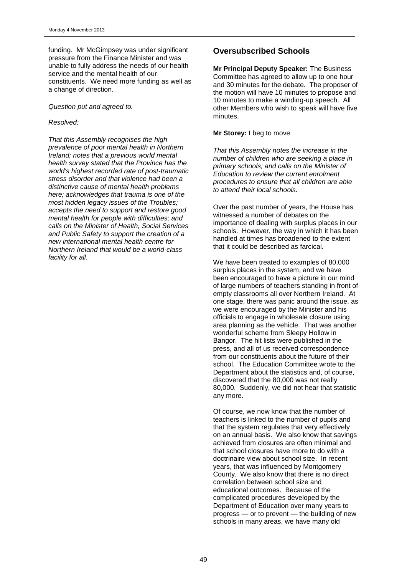funding. Mr McGimpsey was under significant pressure from the Finance Minister and was unable to fully address the needs of our health service and the mental health of our constituents. We need more funding as well as a change of direction.

*Question put and agreed to.*

#### *Resolved:*

*That this Assembly recognises the high prevalence of poor mental health in Northern Ireland; notes that a previous world mental health survey stated that the Province has the world's highest recorded rate of post-traumatic stress disorder and that violence had been a distinctive cause of mental health problems here; acknowledges that trauma is one of the most hidden legacy issues of the Troubles; accepts the need to support and restore good mental health for people with difficulties; and calls on the Minister of Health, Social Services and Public Safety to support the creation of a new international mental health centre for Northern Ireland that would be a world-class facility for all.*

## **Oversubscribed Schools**

**Mr Principal Deputy Speaker:** The Business Committee has agreed to allow up to one hour and 30 minutes for the debate. The proposer of the motion will have 10 minutes to propose and 10 minutes to make a winding-up speech. All other Members who wish to speak will have five minutes.

#### **Mr Storey:** I beg to move

*That this Assembly notes the increase in the number of children who are seeking a place in primary schools; and calls on the Minister of Education to review the current enrolment procedures to ensure that all children are able to attend their local schools.*

Over the past number of years, the House has witnessed a number of debates on the importance of dealing with surplus places in our schools. However, the way in which it has been handled at times has broadened to the extent that it could be described as farcical.

We have been treated to examples of 80,000 surplus places in the system, and we have been encouraged to have a picture in our mind of large numbers of teachers standing in front of empty classrooms all over Northern Ireland. At one stage, there was panic around the issue, as we were encouraged by the Minister and his officials to engage in wholesale closure using area planning as the vehicle. That was another wonderful scheme from Sleepy Hollow in Bangor. The hit lists were published in the press, and all of us received correspondence from our constituents about the future of their school. The Education Committee wrote to the Department about the statistics and, of course, discovered that the 80,000 was not really 80,000. Suddenly, we did not hear that statistic any more.

Of course, we now know that the number of teachers is linked to the number of pupils and that the system regulates that very effectively on an annual basis. We also know that savings achieved from closures are often minimal and that school closures have more to do with a doctrinaire view about school size. In recent years, that was influenced by Montgomery County. We also know that there is no direct correlation between school size and educational outcomes. Because of the complicated procedures developed by the Department of Education over many years to progress — or to prevent — the building of new schools in many areas, we have many old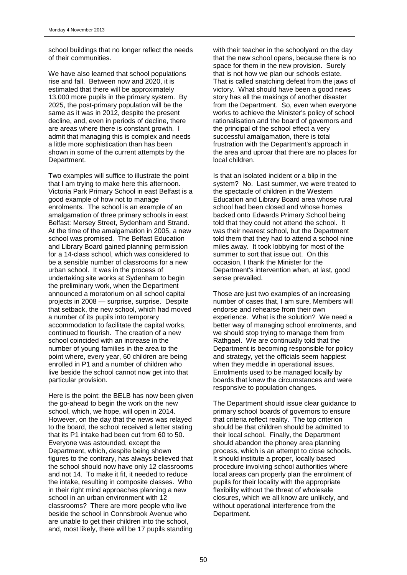school buildings that no longer reflect the needs of their communities.

We have also learned that school populations rise and fall. Between now and 2020, it is estimated that there will be approximately 13,000 more pupils in the primary system. By 2025, the post-primary population will be the same as it was in 2012, despite the present decline, and, even in periods of decline, there are areas where there is constant growth. I admit that managing this is complex and needs a little more sophistication than has been shown in some of the current attempts by the Department.

Two examples will suffice to illustrate the point that I am trying to make here this afternoon. Victoria Park Primary School in east Belfast is a good example of how not to manage enrolments. The school is an example of an amalgamation of three primary schools in east Belfast: Mersey Street, Sydenham and Strand. At the time of the amalgamation in 2005, a new school was promised. The Belfast Education and Library Board gained planning permission for a 14-class school, which was considered to be a sensible number of classrooms for a new urban school. It was in the process of undertaking site works at Sydenham to begin the preliminary work, when the Department announced a moratorium on all school capital projects in 2008 — surprise, surprise. Despite that setback, the new school, which had moved a number of its pupils into temporary accommodation to facilitate the capital works, continued to flourish. The creation of a new school coincided with an increase in the number of young families in the area to the point where, every year, 60 children are being enrolled in P1 and a number of children who live beside the school cannot now get into that particular provision.

Here is the point: the BELB has now been given the go-ahead to begin the work on the new school, which, we hope, will open in 2014. However, on the day that the news was relayed to the board, the school received a letter stating that its P1 intake had been cut from 60 to 50. Everyone was astounded, except the Department, which, despite being shown figures to the contrary, has always believed that the school should now have only 12 classrooms and not 14. To make it fit, it needed to reduce the intake, resulting in composite classes. Who in their right mind approaches planning a new school in an urban environment with 12 classrooms? There are more people who live beside the school in Connsbrook Avenue who are unable to get their children into the school, and, most likely, there will be 17 pupils standing

with their teacher in the schoolyard on the day that the new school opens, because there is no space for them in the new provision. Surely that is not how we plan our schools estate. That is called snatching defeat from the jaws of victory. What should have been a good news story has all the makings of another disaster from the Department. So, even when everyone works to achieve the Minister's policy of school rationalisation and the board of governors and the principal of the school effect a very successful amalgamation, there is total frustration with the Department's approach in the area and uproar that there are no places for local children.

Is that an isolated incident or a blip in the system? No. Last summer, we were treated to the spectacle of children in the Western Education and Library Board area whose rural school had been closed and whose homes backed onto Edwards Primary School being told that they could not attend the school. It was their nearest school, but the Department told them that they had to attend a school nine miles away. It took lobbying for most of the summer to sort that issue out. On this occasion, I thank the Minister for the Department's intervention when, at last, good sense prevailed.

Those are just two examples of an increasing number of cases that, I am sure, Members will endorse and rehearse from their own experience. What is the solution? We need a better way of managing school enrolments, and we should stop trying to manage them from Rathgael. We are continually told that the Department is becoming responsible for policy and strategy, yet the officials seem happiest when they meddle in operational issues. Enrolments used to be managed locally by boards that knew the circumstances and were responsive to population changes.

The Department should issue clear guidance to primary school boards of governors to ensure that criteria reflect reality. The top criterion should be that children should be admitted to their local school. Finally, the Department should abandon the phoney area planning process, which is an attempt to close schools. It should institute a proper, locally based procedure involving school authorities where local areas can properly plan the enrolment of pupils for their locality with the appropriate flexibility without the threat of wholesale closures, which we all know are unlikely, and without operational interference from the Department.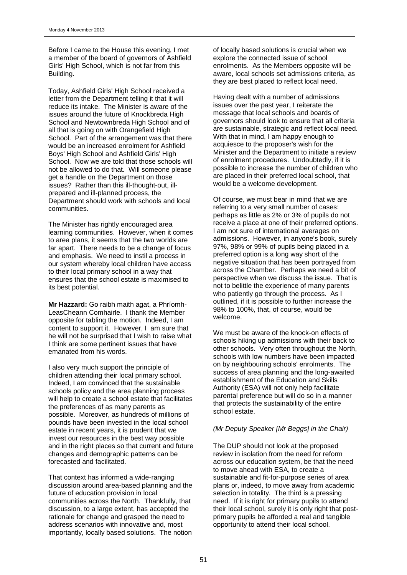Before I came to the House this evening, I met a member of the board of governors of Ashfield Girls' High School, which is not far from this Building.

Today, Ashfield Girls' High School received a letter from the Department telling it that it will reduce its intake. The Minister is aware of the issues around the future of Knockbreda High School and Newtownbreda High School and of all that is going on with Orangefield High School. Part of the arrangement was that there would be an increased enrolment for Ashfield Boys' High School and Ashfield Girls' High School. Now we are told that those schools will not be allowed to do that. Will someone please get a handle on the Department on those issues? Rather than this ill-thought-out, illprepared and ill-planned process, the Department should work with schools and local communities.

The Minister has rightly encouraged area learning communities. However, when it comes to area plans, it seems that the two worlds are far apart. There needs to be a change of focus and emphasis. We need to instil a process in our system whereby local children have access to their local primary school in a way that ensures that the school estate is maximised to its best potential.

**Mr Hazzard:** Go raibh maith agat, a Phríomh-LeasCheann Comhairle. I thank the Member opposite for tabling the motion. Indeed, I am content to support it. However, I am sure that he will not be surprised that I wish to raise what I think are some pertinent issues that have emanated from his words.

I also very much support the principle of children attending their local primary school. Indeed, I am convinced that the sustainable schools policy and the area planning process will help to create a school estate that facilitates the preferences of as many parents as possible. Moreover, as hundreds of millions of pounds have been invested in the local school estate in recent years, it is prudent that we invest our resources in the best way possible and in the right places so that current and future changes and demographic patterns can be forecasted and facilitated.

That context has informed a wide-ranging discussion around area-based planning and the future of education provision in local communities across the North. Thankfully, that discussion, to a large extent, has accepted the rationale for change and grasped the need to address scenarios with innovative and, most importantly, locally based solutions. The notion of locally based solutions is crucial when we explore the connected issue of school enrolments. As the Members opposite will be aware, local schools set admissions criteria, as they are best placed to reflect local need.

Having dealt with a number of admissions issues over the past year, I reiterate the message that local schools and boards of governors should look to ensure that all criteria are sustainable, strategic and reflect local need. With that in mind, I am happy enough to acquiesce to the proposer's wish for the Minister and the Department to initiate a review of enrolment procedures. Undoubtedly, if it is possible to increase the number of children who are placed in their preferred local school, that would be a welcome development.

Of course, we must bear in mind that we are referring to a very small number of cases: perhaps as little as 2% or 3% of pupils do not receive a place at one of their preferred options. I am not sure of international averages on admissions. However, in anyone's book, surely 97%, 98% or 99% of pupils being placed in a preferred option is a long way short of the negative situation that has been portrayed from across the Chamber. Perhaps we need a bit of perspective when we discuss the issue. That is not to belittle the experience of many parents who patiently go through the process. As I outlined, if it is possible to further increase the 98% to 100%, that, of course, would be welcome.

We must be aware of the knock-on effects of schools hiking up admissions with their back to other schools. Very often throughout the North, schools with low numbers have been impacted on by neighbouring schools' enrolments. The success of area planning and the long-awaited establishment of the Education and Skills Authority (ESA) will not only help facilitate parental preference but will do so in a manner that protects the sustainability of the entire school estate.

### *(Mr Deputy Speaker [Mr Beggs] in the Chair)*

The DUP should not look at the proposed review in isolation from the need for reform across our education system, be that the need to move ahead with ESA, to create a sustainable and fit-for-purpose series of area plans or, indeed, to move away from academic selection in totality. The third is a pressing need. If it is right for primary pupils to attend their local school, surely it is only right that postprimary pupils be afforded a real and tangible opportunity to attend their local school.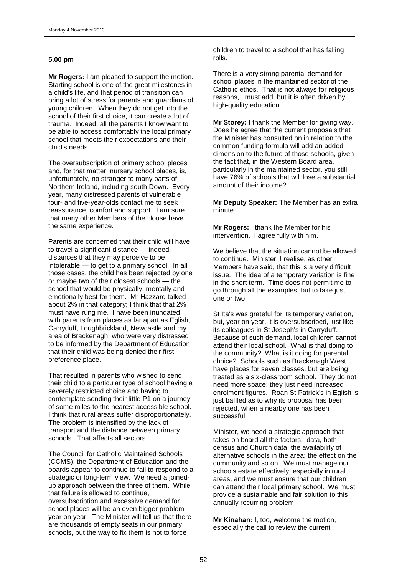#### **5.00 pm**

**Mr Rogers:** I am pleased to support the motion. Starting school is one of the great milestones in a child's life, and that period of transition can bring a lot of stress for parents and guardians of young children. When they do not get into the school of their first choice, it can create a lot of trauma. Indeed, all the parents I know want to be able to access comfortably the local primary school that meets their expectations and their child's needs.

The oversubscription of primary school places and, for that matter, nursery school places, is, unfortunately, no stranger to many parts of Northern Ireland, including south Down. Every year, many distressed parents of vulnerable four- and five-year-olds contact me to seek reassurance, comfort and support. I am sure that many other Members of the House have the same experience.

Parents are concerned that their child will have to travel a significant distance — indeed, distances that they may perceive to be intolerable — to get to a primary school. In all those cases, the child has been rejected by one or maybe two of their closest schools — the school that would be physically, mentally and emotionally best for them. Mr Hazzard talked about 2% in that category; I think that that 2% must have rung me. I have been inundated with parents from places as far apart as Eglish, Carryduff, Loughbrickland, Newcastle and my area of Brackenagh, who were very distressed to be informed by the Department of Education that their child was being denied their first preference place.

That resulted in parents who wished to send their child to a particular type of school having a severely restricted choice and having to contemplate sending their little P1 on a journey of some miles to the nearest accessible school. I think that rural areas suffer disproportionately. The problem is intensified by the lack of transport and the distance between primary schools. That affects all sectors.

The Council for Catholic Maintained Schools (CCMS), the Department of Education and the boards appear to continue to fail to respond to a strategic or long-term view. We need a joinedup approach between the three of them. While that failure is allowed to continue, oversubscription and excessive demand for school places will be an even bigger problem year on year. The Minister will tell us that there are thousands of empty seats in our primary schools, but the way to fix them is not to force

children to travel to a school that has falling rolls.

There is a very strong parental demand for school places in the maintained sector of the Catholic ethos. That is not always for religious reasons, I must add, but it is often driven by high-quality education.

**Mr Storey:** I thank the Member for giving way. Does he agree that the current proposals that the Minister has consulted on in relation to the common funding formula will add an added dimension to the future of those schools, given the fact that, in the Western Board area, particularly in the maintained sector, you still have 76% of schools that will lose a substantial amount of their income?

**Mr Deputy Speaker:** The Member has an extra minute.

**Mr Rogers:** I thank the Member for his intervention. I agree fully with him.

We believe that the situation cannot be allowed to continue. Minister, I realise, as other Members have said, that this is a very difficult issue. The idea of a temporary variation is fine in the short term. Time does not permit me to go through all the examples, but to take just one or two.

St Ita's was grateful for its temporary variation, but, year on year, it is oversubscribed, just like its colleagues in St Joseph's in Carryduff. Because of such demand, local children cannot attend their local school. What is that doing to the community? What is it doing for parental choice? Schools such as Brackenagh West have places for seven classes, but are being treated as a six-classroom school. They do not need more space; they just need increased enrolment figures. Roan St Patrick's in Eglish is just baffled as to why its proposal has been rejected, when a nearby one has been successful.

Minister, we need a strategic approach that takes on board all the factors: data, both census and Church data; the availability of alternative schools in the area; the effect on the community and so on. We must manage our schools estate effectively, especially in rural areas, and we must ensure that our children can attend their local primary school. We must provide a sustainable and fair solution to this annually recurring problem.

**Mr Kinahan:** I, too, welcome the motion, especially the call to review the current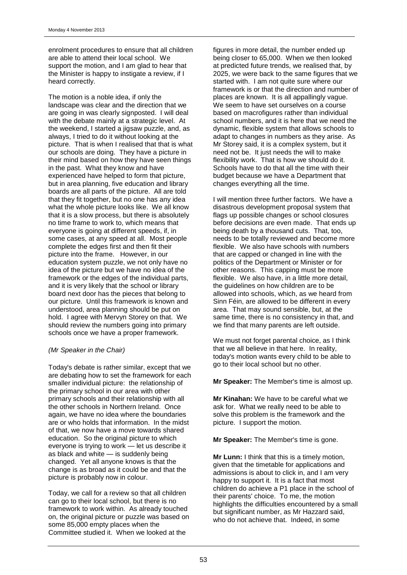enrolment procedures to ensure that all children are able to attend their local school. We support the motion, and I am glad to hear that the Minister is happy to instigate a review, if I heard correctly.

The motion is a noble idea, if only the landscape was clear and the direction that we are going in was clearly signposted. I will deal with the debate mainly at a strategic level. At the weekend, I started a jigsaw puzzle, and, as always, I tried to do it without looking at the picture. That is when I realised that that is what our schools are doing. They have a picture in their mind based on how they have seen things in the past. What they know and have experienced have helped to form that picture, but in area planning, five education and library boards are all parts of the picture. All are told that they fit together, but no one has any idea what the whole picture looks like. We all know that it is a slow process, but there is absolutely no time frame to work to, which means that everyone is going at different speeds, if, in some cases, at any speed at all. Most people complete the edges first and then fit their picture into the frame. However, in our education system puzzle, we not only have no idea of the picture but we have no idea of the framework or the edges of the individual parts, and it is very likely that the school or library board next door has the pieces that belong to our picture. Until this framework is known and understood, area planning should be put on hold. I agree with Mervyn Storey on that. We should review the numbers going into primary schools once we have a proper framework.

#### *(Mr Speaker in the Chair)*

Today's debate is rather similar, except that we are debating how to set the framework for each smaller individual picture: the relationship of the primary school in our area with other primary schools and their relationship with all the other schools in Northern Ireland. Once again, we have no idea where the boundaries are or who holds that information. In the midst of that, we now have a move towards shared education. So the original picture to which everyone is trying to work — let us describe it as black and white — is suddenly being changed. Yet all anyone knows is that the change is as broad as it could be and that the picture is probably now in colour.

Today, we call for a review so that all children can go to their local school, but there is no framework to work within. As already touched on, the original picture or puzzle was based on some 85,000 empty places when the Committee studied it. When we looked at the

figures in more detail, the number ended up being closer to 65,000. When we then looked at predicted future trends, we realised that, by 2025, we were back to the same figures that we started with. I am not quite sure where our framework is or that the direction and number of places are known. It is all appallingly vague. We seem to have set ourselves on a course based on macrofigures rather than individual school numbers, and it is here that we need the dynamic, flexible system that allows schools to adapt to changes in numbers as they arise. As Mr Storey said, it is a complex system, but it need not be. It just needs the will to make flexibility work. That is how we should do it. Schools have to do that all the time with their budget because we have a Department that changes everything all the time.

I will mention three further factors. We have a disastrous development proposal system that flags up possible changes or school closures before decisions are even made. That ends up being death by a thousand cuts. That, too, needs to be totally reviewed and become more flexible. We also have schools with numbers that are capped or changed in line with the politics of the Department or Minister or for other reasons. This capping must be more flexible. We also have, in a little more detail, the guidelines on how children are to be allowed into schools, which, as we heard from Sinn Féin, are allowed to be different in every area. That may sound sensible, but, at the same time, there is no consistency in that, and we find that many parents are left outside.

We must not forget parental choice, as I think that we all believe in that here. In reality, today's motion wants every child to be able to go to their local school but no other.

**Mr Speaker:** The Member's time is almost up.

**Mr Kinahan:** We have to be careful what we ask for. What we really need to be able to solve this problem is the framework and the picture. I support the motion.

**Mr Speaker:** The Member's time is gone.

**Mr Lunn:** I think that this is a timely motion, given that the timetable for applications and admissions is about to click in, and I am very happy to support it. It is a fact that most children do achieve a P1 place in the school of their parents' choice. To me, the motion highlights the difficulties encountered by a small but significant number, as Mr Hazzard said, who do not achieve that. Indeed, in some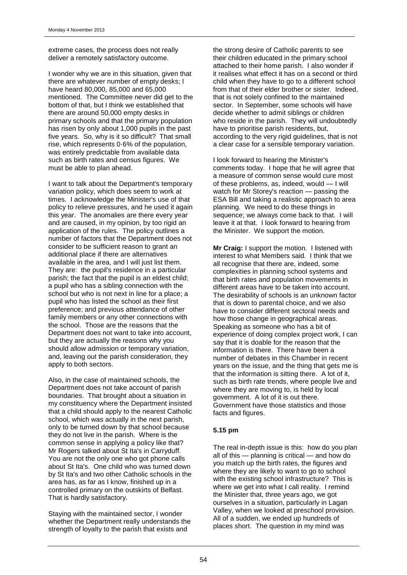extreme cases, the process does not really deliver a remotely satisfactory outcome.

I wonder why we are in this situation, given that there are whatever number of empty desks; I have heard 80,000, 85,000 and 65,000 mentioned. The Committee never did get to the bottom of that, but I think we established that there are around 50,000 empty desks in primary schools and that the primary population has risen by only about 1,000 pupils in the past five years. So, why is it so difficult? That small rise, which represents 0·6% of the population, was entirely predictable from available data such as birth rates and census figures. We must be able to plan ahead.

I want to talk about the Department's temporary variation policy, which does seem to work at times. I acknowledge the Minister's use of that policy to relieve pressures, and he used it again this year. The anomalies are there every year and are caused, in my opinion, by too rigid an application of the rules. The policy outlines a number of factors that the Department does not consider to be sufficient reason to grant an additional place if there are alternatives available in the area, and I will just list them. They are: the pupil's residence in a particular parish; the fact that the pupil is an eldest child; a pupil who has a sibling connection with the school but who is not next in line for a place; a pupil who has listed the school as their first preference; and previous attendance of other family members or any other connections with the school. Those are the reasons that the Department does not want to take into account, but they are actually the reasons why you should allow admission or temporary variation, and, leaving out the parish consideration, they apply to both sectors.

Also, in the case of maintained schools, the Department does not take account of parish boundaries. That brought about a situation in my constituency where the Department insisted that a child should apply to the nearest Catholic school, which was actually in the next parish, only to be turned down by that school because they do not live in the parish. Where is the common sense in applying a policy like that? Mr Rogers talked about St Ita's in Carryduff. You are not the only one who got phone calls about St Ita's. One child who was turned down by St Ita's and two other Catholic schools in the area has, as far as I know, finished up in a controlled primary on the outskirts of Belfast. That is hardly satisfactory.

Staying with the maintained sector, I wonder whether the Department really understands the strength of loyalty to the parish that exists and

the strong desire of Catholic parents to see their children educated in the primary school attached to their home parish. I also wonder if it realises what effect it has on a second or third child when they have to go to a different school from that of their elder brother or sister. Indeed, that is not solely confined to the maintained sector. In September, some schools will have decide whether to admit siblings or children who reside in the parish. They will undoubtedly have to prioritise parish residents, but, according to the very rigid guidelines, that is not a clear case for a sensible temporary variation.

I look forward to hearing the Minister's comments today. I hope that he will agree that a measure of common sense would cure most of these problems, as, indeed, would — I will watch for Mr Storey's reaction — passing the ESA Bill and taking a realistic approach to area planning. We need to do these things in sequence; we always come back to that. I will leave it at that. I look forward to hearing from the Minister. We support the motion.

**Mr Craig:** I support the motion. I listened with interest to what Members said. I think that we all recognise that there are, indeed, some complexities in planning school systems and that birth rates and population movements in different areas have to be taken into account. The desirability of schools is an unknown factor that is down to parental choice, and we also have to consider different sectoral needs and how those change in geographical areas. Speaking as someone who has a bit of experience of doing complex project work, I can say that it is doable for the reason that the information is there. There have been a number of debates in this Chamber in recent years on the issue, and the thing that gets me is that the information is sitting there. A lot of it, such as birth rate trends, where people live and where they are moving to, is held by local government. A lot of it is out there. Government have those statistics and those facts and figures.

### **5.15 pm**

The real in-depth issue is this: how do you plan all of this — planning is critical — and how do you match up the birth rates, the figures and where they are likely to want to go to school with the existing school infrastructure? This is where we get into what I call reality. I remind the Minister that, three years ago, we got ourselves in a situation, particularly in Lagan Valley, when we looked at preschool provision. All of a sudden, we ended up hundreds of places short. The question in my mind was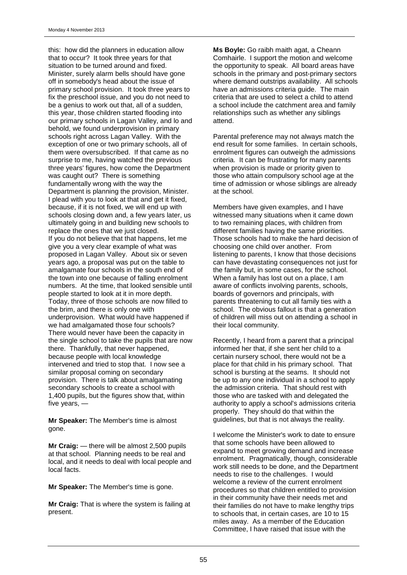this: how did the planners in education allow that to occur? It took three years for that situation to be turned around and fixed. Minister, surely alarm bells should have gone off in somebody's head about the issue of primary school provision. It took three years to fix the preschool issue, and you do not need to be a genius to work out that, all of a sudden, this year, those children started flooding into our primary schools in Lagan Valley, and lo and behold, we found underprovision in primary schools right across Lagan Valley. With the exception of one or two primary schools, all of them were oversubscribed. If that came as no surprise to me, having watched the previous three years' figures, how come the Department was caught out? There is something fundamentally wrong with the way the Department is planning the provision, Minister. I plead with you to look at that and get it fixed, because, if it is not fixed, we will end up with schools closing down and, a few years later, us ultimately going in and building new schools to replace the ones that we just closed. If you do not believe that that happens, let me give you a very clear example of what was proposed in Lagan Valley. About six or seven years ago, a proposal was put on the table to amalgamate four schools in the south end of the town into one because of falling enrolment numbers. At the time, that looked sensible until people started to look at it in more depth. Today, three of those schools are now filled to the brim, and there is only one with underprovision. What would have happened if we had amalgamated those four schools? There would never have been the capacity in the single school to take the pupils that are now there. Thankfully, that never happened, because people with local knowledge intervened and tried to stop that. I now see a similar proposal coming on secondary provision. There is talk about amalgamating secondary schools to create a school with 1,400 pupils, but the figures show that, within five years, —

**Mr Speaker:** The Member's time is almost gone.

**Mr Craig:** — there will be almost 2,500 pupils at that school. Planning needs to be real and local, and it needs to deal with local people and local facts.

**Mr Speaker:** The Member's time is gone.

**Mr Craig:** That is where the system is failing at present.

**Ms Boyle:** Go raibh maith agat, a Cheann Comhairle. I support the motion and welcome the opportunity to speak. All board areas have schools in the primary and post-primary sectors where demand outstrips availability. All schools have an admissions criteria guide. The main criteria that are used to select a child to attend a school include the catchment area and family relationships such as whether any siblings attend.

Parental preference may not always match the end result for some families. In certain schools, enrolment figures can outweigh the admissions criteria. It can be frustrating for many parents when provision is made or priority given to those who attain compulsory school age at the time of admission or whose siblings are already at the school.

Members have given examples, and I have witnessed many situations when it came down to two remaining places, with children from different families having the same priorities. Those schools had to make the hard decision of choosing one child over another. From listening to parents, I know that those decisions can have devastating consequences not just for the family but, in some cases, for the school. When a family has lost out on a place, I am aware of conflicts involving parents, schools, boards of governors and principals, with parents threatening to cut all family ties with a school. The obvious fallout is that a generation of children will miss out on attending a school in their local community.

Recently, I heard from a parent that a principal informed her that, if she sent her child to a certain nursery school, there would not be a place for that child in his primary school. That school is bursting at the seams. It should not be up to any one individual in a school to apply the admission criteria. That should rest with those who are tasked with and delegated the authority to apply a school's admissions criteria properly. They should do that within the guidelines, but that is not always the reality.

I welcome the Minister's work to date to ensure that some schools have been allowed to expand to meet growing demand and increase enrolment. Pragmatically, though, considerable work still needs to be done, and the Department needs to rise to the challenges. I would welcome a review of the current enrolment procedures so that children entitled to provision in their community have their needs met and their families do not have to make lengthy trips to schools that, in certain cases, are 10 to 15 miles away. As a member of the Education Committee, I have raised that issue with the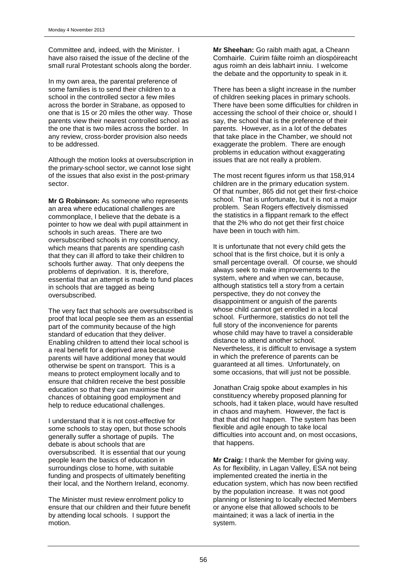Committee and, indeed, with the Minister. I have also raised the issue of the decline of the small rural Protestant schools along the border.

In my own area, the parental preference of some families is to send their children to a school in the controlled sector a few miles across the border in Strabane, as opposed to one that is 15 or 20 miles the other way. Those parents view their nearest controlled school as the one that is two miles across the border. In any review, cross-border provision also needs to be addressed.

Although the motion looks at oversubscription in the primary-school sector, we cannot lose sight of the issues that also exist in the post-primary sector.

**Mr G Robinson:** As someone who represents an area where educational challenges are commonplace, I believe that the debate is a pointer to how we deal with pupil attainment in schools in such areas. There are two oversubscribed schools in my constituency, which means that parents are spending cash that they can ill afford to take their children to schools further away. That only deepens the problems of deprivation. It is, therefore, essential that an attempt is made to fund places in schools that are tagged as being oversubscribed.

The very fact that schools are oversubscribed is proof that local people see them as an essential part of the community because of the high standard of education that they deliver. Enabling children to attend their local school is a real benefit for a deprived area because parents will have additional money that would otherwise be spent on transport. This is a means to protect employment locally and to ensure that children receive the best possible education so that they can maximise their chances of obtaining good employment and help to reduce educational challenges.

I understand that it is not cost-effective for some schools to stay open, but those schools generally suffer a shortage of pupils. The debate is about schools that are oversubscribed. It is essential that our young people learn the basics of education in surroundings close to home, with suitable funding and prospects of ultimately benefiting their local, and the Northern Ireland, economy.

The Minister must review enrolment policy to ensure that our children and their future benefit by attending local schools. I support the motion.

**Mr Sheehan:** Go raibh maith agat, a Cheann Comhairle. Cuirim fáilte roimh an díospóireacht agus roimh an deis labhairt inniu. I welcome the debate and the opportunity to speak in it.

There has been a slight increase in the number of children seeking places in primary schools. There have been some difficulties for children in accessing the school of their choice or, should I say, the school that is the preference of their parents. However, as in a lot of the debates that take place in the Chamber, we should not exaggerate the problem. There are enough problems in education without exaggerating issues that are not really a problem.

The most recent figures inform us that 158,914 children are in the primary education system. Of that number, 865 did not get their first-choice school. That is unfortunate, but it is not a major problem. Sean Rogers effectively dismissed the statistics in a flippant remark to the effect that the 2% who do not get their first choice have been in touch with him.

It is unfortunate that not every child gets the school that is the first choice, but it is only a small percentage overall. Of course, we should always seek to make improvements to the system, where and when we can, because, although statistics tell a story from a certain perspective, they do not convey the disappointment or anguish of the parents whose child cannot get enrolled in a local school. Furthermore, statistics do not tell the full story of the inconvenience for parents whose child may have to travel a considerable distance to attend another school. Nevertheless, it is difficult to envisage a system in which the preference of parents can be guaranteed at all times. Unfortunately, on some occasions, that will just not be possible.

Jonathan Craig spoke about examples in his constituency whereby proposed planning for schools, had it taken place, would have resulted in chaos and mayhem. However, the fact is that that did not happen. The system has been flexible and agile enough to take local difficulties into account and, on most occasions, that happens.

**Mr Craig:** I thank the Member for giving way. As for flexibility, in Lagan Valley, ESA not being implemented created the inertia in the education system, which has now been rectified by the population increase. It was not good planning or listening to locally elected Members or anyone else that allowed schools to be maintained; it was a lack of inertia in the system.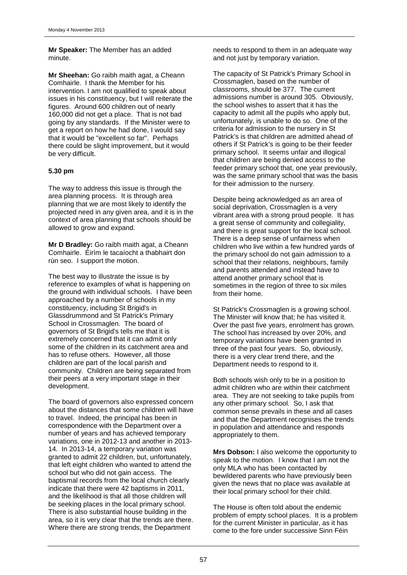### **Mr Speaker:** The Member has an added minute.

**Mr Sheehan:** Go raibh maith agat, a Cheann Comhairle. I thank the Member for his intervention. I am not qualified to speak about issues in his constituency, but I will reiterate the figures. Around 600 children out of nearly 160,000 did not get a place. That is not bad going by any standards. If the Minister were to get a report on how he had done, I would say that it would be "excellent so far". Perhaps there could be slight improvement, but it would be very difficult.

### **5.30 pm**

The way to address this issue is through the area planning process. It is through area planning that we are most likely to identify the projected need in any given area, and it is in the context of area planning that schools should be allowed to grow and expand.

**Mr D Bradley:** Go raibh maith agat, a Cheann Comhairle. Éirím le tacaíocht a thabhairt don rún seo. I support the motion.

The best way to illustrate the issue is by reference to examples of what is happening on the ground with individual schools. I have been approached by a number of schools in my constituency, including St Brigid's in Glassdrummond and St Patrick's Primary School in Crossmaglen. The board of governors of St Brigid's tells me that it is extremely concerned that it can admit only some of the children in its catchment area and has to refuse others. However, all those children are part of the local parish and community. Children are being separated from their peers at a very important stage in their development.

The board of governors also expressed concern about the distances that some children will have to travel. Indeed, the principal has been in correspondence with the Department over a number of years and has achieved temporary variations, one in 2012-13 and another in 2013- 14. In 2013-14, a temporary variation was granted to admit 22 children, but, unfortunately, that left eight children who wanted to attend the school but who did not gain access. The baptismal records from the local church clearly indicate that there were 42 baptisms in 2011, and the likelihood is that all those children will be seeking places in the local primary school. There is also substantial house building in the area, so it is very clear that the trends are there. Where there are strong trends, the Department

needs to respond to them in an adequate way and not just by temporary variation.

The capacity of St Patrick's Primary School in Crossmaglen, based on the number of classrooms, should be 377. The current admissions number is around 305. Obviously, the school wishes to assert that it has the capacity to admit all the pupils who apply but, unfortunately, is unable to do so. One of the criteria for admission to the nursery in St Patrick's is that children are admitted ahead of others if St Patrick's is going to be their feeder primary school. It seems unfair and illogical that children are being denied access to the feeder primary school that, one year previously, was the same primary school that was the basis for their admission to the nursery.

Despite being acknowledged as an area of social deprivation, Crossmaglen is a very vibrant area with a strong proud people. It has a great sense of community and collegiality, and there is great support for the local school. There is a deep sense of unfairness when children who live within a few hundred yards of the primary school do not gain admission to a school that their relations, neighbours, family and parents attended and instead have to attend another primary school that is sometimes in the region of three to six miles from their home.

St Patrick's Crossmaglen is a growing school. The Minister will know that; he has visited it. Over the past five years, enrolment has grown. The school has increased by over 20%, and temporary variations have been granted in three of the past four years. So, obviously, there is a very clear trend there, and the Department needs to respond to it.

Both schools wish only to be in a position to admit children who are within their catchment area. They are not seeking to take pupils from any other primary school. So, I ask that common sense prevails in these and all cases and that the Department recognises the trends in population and attendance and responds appropriately to them.

**Mrs Dobson:** I also welcome the opportunity to speak to the motion. I know that I am not the only MLA who has been contacted by bewildered parents who have previously been given the news that no place was available at their local primary school for their child.

The House is often told about the endemic problem of empty school places. It is a problem for the current Minister in particular, as it has come to the fore under successive Sinn Féin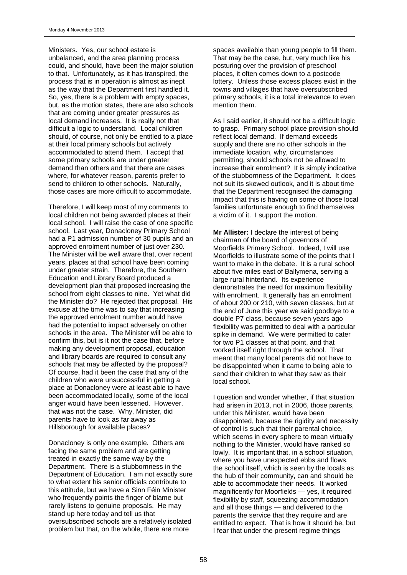Ministers. Yes, our school estate is unbalanced, and the area planning process could, and should, have been the major solution to that. Unfortunately, as it has transpired, the process that is in operation is almost as inept as the way that the Department first handled it. So, yes, there is a problem with empty spaces, but, as the motion states, there are also schools that are coming under greater pressures as local demand increases. It is really not that difficult a logic to understand. Local children should, of course, not only be entitled to a place at their local primary schools but actively accommodated to attend them. I accept that some primary schools are under greater demand than others and that there are cases where, for whatever reason, parents prefer to send to children to other schools. Naturally, those cases are more difficult to accommodate.

Therefore, I will keep most of my comments to local children not being awarded places at their local school. I will raise the case of one specific school. Last year, Donacloney Primary School had a P1 admission number of 30 pupils and an approved enrolment number of just over 230. The Minister will be well aware that, over recent years, places at that school have been coming under greater strain. Therefore, the Southern Education and Library Board produced a development plan that proposed increasing the school from eight classes to nine. Yet what did the Minister do? He rejected that proposal. His excuse at the time was to say that increasing the approved enrolment number would have had the potential to impact adversely on other schools in the area. The Minister will be able to confirm this, but is it not the case that, before making any development proposal, education and library boards are required to consult any schools that may be affected by the proposal? Of course, had it been the case that any of the children who were unsuccessful in getting a place at Donacloney were at least able to have been accommodated locally, some of the local anger would have been lessened. However, that was not the case. Why, Minister, did parents have to look as far away as Hillsborough for available places?

Donacloney is only one example. Others are facing the same problem and are getting treated in exactly the same way by the Department. There is a stubbornness in the Department of Education. I am not exactly sure to what extent his senior officials contribute to this attitude, but we have a Sinn Féin Minister who frequently points the finger of blame but rarely listens to genuine proposals. He may stand up here today and tell us that oversubscribed schools are a relatively isolated problem but that, on the whole, there are more

spaces available than young people to fill them. That may be the case, but, very much like his posturing over the provision of preschool places, it often comes down to a postcode lottery. Unless those excess places exist in the towns and villages that have oversubscribed primary schools, it is a total irrelevance to even mention them.

As I said earlier, it should not be a difficult logic to grasp. Primary school place provision should reflect local demand. If demand exceeds supply and there are no other schools in the immediate location, why, circumstances permitting, should schools not be allowed to increase their enrolment? It is simply indicative of the stubbornness of the Department. It does not suit its skewed outlook, and it is about time that the Department recognised the damaging impact that this is having on some of those local families unfortunate enough to find themselves a victim of it. I support the motion.

**Mr Allister:** I declare the interest of being chairman of the board of governors of Moorfields Primary School. Indeed, I will use Moorfields to illustrate some of the points that I want to make in the debate. It is a rural school about five miles east of Ballymena, serving a large rural hinterland. Its experience demonstrates the need for maximum flexibility with enrolment. It generally has an enrolment of about 200 or 210, with seven classes, but at the end of June this year we said goodbye to a double P7 class, because seven years ago flexibility was permitted to deal with a particular spike in demand. We were permitted to cater for two P1 classes at that point, and that worked itself right through the school. That meant that many local parents did not have to be disappointed when it came to being able to send their children to what they saw as their local school.

I question and wonder whether, if that situation had arisen in 2013, not in 2006, those parents, under this Minister, would have been disappointed, because the rigidity and necessity of control is such that their parental choice, which seems in every sphere to mean virtually nothing to the Minister, would have ranked so lowly. It is important that, in a school situation, where you have unexpected ebbs and flows, the school itself, which is seen by the locals as the hub of their community, can and should be able to accommodate their needs. It worked magnificently for Moorfields — yes, it required flexibility by staff, squeezing accommodation and all those things — and delivered to the parents the service that they require and are entitled to expect. That is how it should be, but I fear that under the present regime things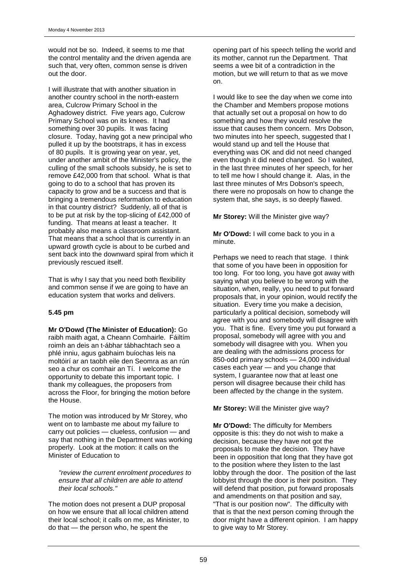would not be so. Indeed, it seems to me that the control mentality and the driven agenda are such that, very often, common sense is driven out the door.

I will illustrate that with another situation in another country school in the north-eastern area, Culcrow Primary School in the Aghadowey district. Five years ago, Culcrow Primary School was on its knees. It had something over 30 pupils. It was facing closure. Today, having got a new principal who pulled it up by the bootstraps, it has in excess of 80 pupils. It is growing year on year, yet, under another ambit of the Minister's policy, the culling of the small schools subsidy, he is set to remove £42,000 from that school. What is that going to do to a school that has proven its capacity to grow and be a success and that is bringing a tremendous reformation to education in that country district? Suddenly, all of that is to be put at risk by the top-slicing of £42,000 of funding. That means at least a teacher. It probably also means a classroom assistant. That means that a school that is currently in an upward growth cycle is about to be curbed and sent back into the downward spiral from which it previously rescued itself.

That is why I say that you need both flexibility and common sense if we are going to have an education system that works and delivers.

### **5.45 pm**

**Mr O'Dowd (The Minister of Education):** Go raibh maith agat, a Cheann Comhairle. Fáiltím roimh an deis an t-ábhar tábhachtach seo a phlé inniu, agus gabhaim buíochas leis na moltóirí ar an taobh eile den Seomra as an rún seo a chur os comhair an Tí. I welcome the opportunity to debate this important topic. I thank my colleagues, the proposers from across the Floor, for bringing the motion before the House.

The motion was introduced by Mr Storey, who went on to lambaste me about my failure to carry out policies — clueless, confusion — and say that nothing in the Department was working properly. Look at the motion: it calls on the Minister of Education to

*"review the current enrolment procedures to ensure that all children are able to attend their local schools."*

The motion does not present a DUP proposal on how we ensure that all local children attend their local school; it calls on me, as Minister, to do that — the person who, he spent the

opening part of his speech telling the world and its mother, cannot run the Department. That seems a wee bit of a contradiction in the motion, but we will return to that as we move on.

I would like to see the day when we come into the Chamber and Members propose motions that actually set out a proposal on how to do something and how they would resolve the issue that causes them concern. Mrs Dobson, two minutes into her speech, suggested that I would stand up and tell the House that everything was OK and did not need changed even though it did need changed. So I waited, in the last three minutes of her speech, for her to tell me how I should change it. Alas, in the last three minutes of Mrs Dobson's speech, there were no proposals on how to change the system that, she says, is so deeply flawed.

**Mr Storey:** Will the Minister give way?

**Mr O'Dowd:** I will come back to you in a minute.

Perhaps we need to reach that stage. I think that some of you have been in opposition for too long. For too long, you have got away with saying what you believe to be wrong with the situation, when, really, you need to put forward proposals that, in your opinion, would rectify the situation. Every time you make a decision, particularly a political decision, somebody will agree with you and somebody will disagree with you. That is fine. Every time you put forward a proposal, somebody will agree with you and somebody will disagree with you. When you are dealing with the admissions process for 850-odd primary schools — 24,000 individual cases each year — and you change that system, I guarantee now that at least one person will disagree because their child has been affected by the change in the system.

**Mr Storey:** Will the Minister give way?

**Mr O'Dowd:** The difficulty for Members opposite is this: they do not wish to make a decision, because they have not got the proposals to make the decision. They have been in opposition that long that they have got to the position where they listen to the last lobby through the door. The position of the last lobbyist through the door is their position. They will defend that position, put forward proposals and amendments on that position and say, "That is our position now". The difficulty with that is that the next person coming through the door might have a different opinion. I am happy to give way to Mr Storey.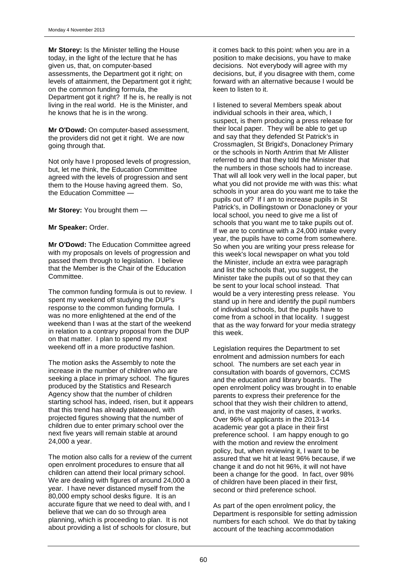**Mr Storey:** Is the Minister telling the House today, in the light of the lecture that he has given us, that, on computer-based assessments, the Department got it right; on levels of attainment, the Department got it right; on the common funding formula, the Department got it right? If he is, he really is not living in the real world. He is the Minister, and he knows that he is in the wrong.

**Mr O'Dowd:** On computer-based assessment, the providers did not get it right. We are now going through that.

Not only have I proposed levels of progression, but, let me think, the Education Committee agreed with the levels of progression and sent them to the House having agreed them. So, the Education Committee —

**Mr Storey:** You brought them —

**Mr Speaker:** Order.

**Mr O'Dowd:** The Education Committee agreed with my proposals on levels of progression and passed them through to legislation. I believe that the Member is the Chair of the Education Committee.

The common funding formula is out to review. I spent my weekend off studying the DUP's response to the common funding formula. I was no more enlightened at the end of the weekend than I was at the start of the weekend in relation to a contrary proposal from the DUP on that matter. I plan to spend my next weekend off in a more productive fashion.

The motion asks the Assembly to note the increase in the number of children who are seeking a place in primary school. The figures produced by the Statistics and Research Agency show that the number of children starting school has, indeed, risen, but it appears that this trend has already plateaued, with projected figures showing that the number of children due to enter primary school over the next five years will remain stable at around 24,000 a year.

The motion also calls for a review of the current open enrolment procedures to ensure that all children can attend their local primary school. We are dealing with figures of around 24,000 a year. I have never distanced myself from the 80,000 empty school desks figure. It is an accurate figure that we need to deal with, and I believe that we can do so through area planning, which is proceeding to plan. It is not about providing a list of schools for closure, but

it comes back to this point: when you are in a position to make decisions, you have to make decisions. Not everybody will agree with my decisions, but, if you disagree with them, come forward with an alternative because I would be keen to listen to it.

I listened to several Members speak about individual schools in their area, which, I suspect, is them producing a press release for their local paper. They will be able to get up and say that they defended St Patrick's in Crossmaglen, St Brigid's, Donacloney Primary or the schools in North Antrim that Mr Allister referred to and that they told the Minister that the numbers in those schools had to increase. That will all look very well in the local paper, but what you did not provide me with was this: what schools in your area do you want me to take the pupils out of? If I am to increase pupils in St Patrick's, in Dollingstown or Donacloney or your local school, you need to give me a list of schools that you want me to take pupils out of. If we are to continue with a 24,000 intake every year, the pupils have to come from somewhere. So when you are writing your press release for this week's local newspaper on what you told the Minister, include an extra wee paragraph and list the schools that, you suggest, the Minister take the pupils out of so that they can be sent to your local school instead. That would be a very interesting press release. You stand up in here and identify the pupil numbers of individual schools, but the pupils have to come from a school in that locality. I suggest that as the way forward for your media strategy this week.

Legislation requires the Department to set enrolment and admission numbers for each school. The numbers are set each year in consultation with boards of governors, CCMS and the education and library boards. The open enrolment policy was brought in to enable parents to express their preference for the school that they wish their children to attend, and, in the vast majority of cases, it works. Over 96% of applicants in the 2013-14 academic year got a place in their first preference school. I am happy enough to go with the motion and review the enrolment policy, but, when reviewing it, I want to be assured that we hit at least 96% because, if we change it and do not hit 96%, it will not have been a change for the good. In fact, over 98% of children have been placed in their first, second or third preference school.

As part of the open enrolment policy, the Department is responsible for setting admission numbers for each school. We do that by taking account of the teaching accommodation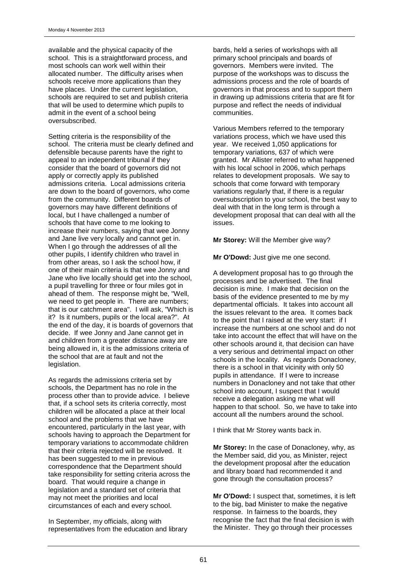available and the physical capacity of the school. This is a straightforward process, and most schools can work well within their allocated number. The difficulty arises when schools receive more applications than they have places. Under the current legislation, schools are required to set and publish criteria that will be used to determine which pupils to admit in the event of a school being oversubscribed.

Setting criteria is the responsibility of the school. The criteria must be clearly defined and defensible because parents have the right to appeal to an independent tribunal if they consider that the board of governors did not apply or correctly apply its published admissions criteria. Local admissions criteria are down to the board of governors, who come from the community. Different boards of governors may have different definitions of local, but I have challenged a number of schools that have come to me looking to increase their numbers, saying that wee Jonny and Jane live very locally and cannot get in. When I go through the addresses of all the other pupils, I identify children who travel in from other areas, so I ask the school how, if one of their main criteria is that wee Jonny and Jane who live locally should get into the school, a pupil travelling for three or four miles got in ahead of them. The response might be, "Well, we need to get people in. There are numbers; that is our catchment area". I will ask, "Which is it? Is it numbers, pupils or the local area?". At the end of the day, it is boards of governors that decide. If wee Jonny and Jane cannot get in and children from a greater distance away are being allowed in, it is the admissions criteria of the school that are at fault and not the legislation.

As regards the admissions criteria set by schools, the Department has no role in the process other than to provide advice. I believe that, if a school sets its criteria correctly, most children will be allocated a place at their local school and the problems that we have encountered, particularly in the last year, with schools having to approach the Department for temporary variations to accommodate children that their criteria rejected will be resolved. It has been suggested to me in previous correspondence that the Department should take responsibility for setting criteria across the board. That would require a change in legislation and a standard set of criteria that may not meet the priorities and local circumstances of each and every school.

In September, my officials, along with representatives from the education and library bards, held a series of workshops with all primary school principals and boards of governors. Members were invited. The purpose of the workshops was to discuss the admissions process and the role of boards of governors in that process and to support them in drawing up admissions criteria that are fit for purpose and reflect the needs of individual communities.

Various Members referred to the temporary variations process, which we have used this year. We received 1,050 applications for temporary variations, 637 of which were granted. Mr Allister referred to what happened with his local school in 2006, which perhaps relates to development proposals. We say to schools that come forward with temporary variations regularly that, if there is a regular oversubscription to your school, the best way to deal with that in the long term is through a development proposal that can deal with all the issues.

**Mr Storey:** Will the Member give way?

**Mr O'Dowd:** Just give me one second.

A development proposal has to go through the processes and be advertised. The final decision is mine. I make that decision on the basis of the evidence presented to me by my departmental officials. It takes into account all the issues relevant to the area. It comes back to the point that I raised at the very start: if I increase the numbers at one school and do not take into account the effect that will have on the other schools around it, that decision can have a very serious and detrimental impact on other schools in the locality. As regards Donacloney, there is a school in that vicinity with only 50 pupils in attendance. If I were to increase numbers in Donacloney and not take that other school into account, I suspect that I would receive a delegation asking me what will happen to that school. So, we have to take into account all the numbers around the school.

I think that Mr Storey wants back in.

**Mr Storey:** In the case of Donacloney, why, as the Member said, did you, as Minister, reject the development proposal after the education and library board had recommended it and gone through the consultation process?

**Mr O'Dowd:** I suspect that, sometimes, it is left to the big, bad Minister to make the negative response. In fairness to the boards, they recognise the fact that the final decision is with the Minister. They go through their processes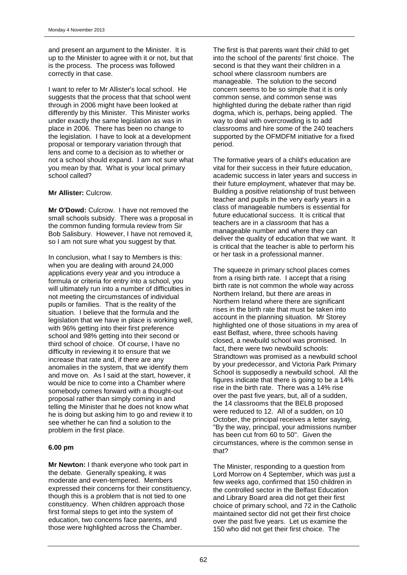and present an argument to the Minister. It is up to the Minister to agree with it or not, but that is the process. The process was followed correctly in that case.

I want to refer to Mr Allister's local school. He suggests that the process that that school went through in 2006 might have been looked at differently by this Minister. This Minister works under exactly the same legislation as was in place in 2006. There has been no change to the legislation. I have to look at a development proposal or temporary variation through that lens and come to a decision as to whether or not a school should expand. I am not sure what you mean by that. What is your local primary school called?

#### **Mr Allister:** Culcrow.

**Mr O'Dowd:** Culcrow. I have not removed the small schools subsidy. There was a proposal in the common funding formula review from Sir Bob Salisbury. However, I have not removed it, so I am not sure what you suggest by that.

In conclusion, what I say to Members is this: when you are dealing with around 24,000 applications every year and you introduce a formula or criteria for entry into a school, you will ultimately run into a number of difficulties in not meeting the circumstances of individual pupils or families. That is the reality of the situation. I believe that the formula and the legislation that we have in place is working well, with 96% getting into their first preference school and 98% getting into their second or third school of choice. Of course, I have no difficulty in reviewing it to ensure that we increase that rate and, if there are any anomalies in the system, that we identify them and move on. As I said at the start, however, it would be nice to come into a Chamber where somebody comes forward with a thought-out proposal rather than simply coming in and telling the Minister that he does not know what he is doing but asking him to go and review it to see whether he can find a solution to the problem in the first place.

#### **6.00 pm**

**Mr Newton:** I thank everyone who took part in the debate. Generally speaking, it was moderate and even-tempered. Members expressed their concerns for their constituency, though this is a problem that is not tied to one constituency. When children approach those first formal steps to get into the system of education, two concerns face parents, and those were highlighted across the Chamber.

The first is that parents want their child to get into the school of the parents' first choice. The second is that they want their children in a school where classroom numbers are manageable. The solution to the second concern seems to be so simple that it is only common sense, and common sense was highlighted during the debate rather than rigid dogma, which is, perhaps, being applied. The way to deal with overcrowding is to add classrooms and hire some of the 240 teachers supported by the OFMDFM initiative for a fixed period.

The formative years of a child's education are vital for their success in their future education, academic success in later years and success in their future employment, whatever that may be. Building a positive relationship of trust between teacher and pupils in the very early years in a class of manageable numbers is essential for future educational success. It is critical that teachers are in a classroom that has a manageable number and where they can deliver the quality of education that we want. It is critical that the teacher is able to perform his or her task in a professional manner.

The squeeze in primary school places comes from a rising birth rate. I accept that a rising birth rate is not common the whole way across Northern Ireland, but there are areas in Northern Ireland where there are significant rises in the birth rate that must be taken into account in the planning situation. Mr Storey highlighted one of those situations in my area of east Belfast, where, three schools having closed, a newbuild school was promised. In fact, there were two newbuild schools: Strandtown was promised as a newbuild school by your predecessor, and Victoria Park Primary School is supposedly a newbuild school. All the figures indicate that there is going to be a 14% rise in the birth rate. There was a 14% rise over the past five years, but, all of a sudden, the 14 classrooms that the BELB proposed were reduced to 12. All of a sudden, on 10 October, the principal receives a letter saying, "By the way, principal, your admissions number has been cut from 60 to 50". Given the circumstances, where is the common sense in that?

The Minister, responding to a question from Lord Morrow on 4 September, which was just a few weeks ago, confirmed that 150 children in the controlled sector in the Belfast Education and Library Board area did not get their first choice of primary school, and 72 in the Catholic maintained sector did not get their first choice over the past five years. Let us examine the 150 who did not get their first choice. The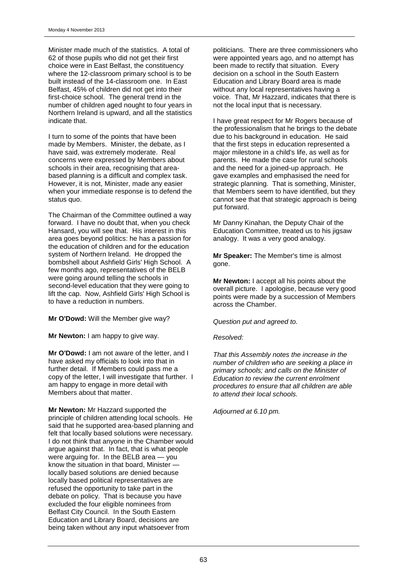Minister made much of the statistics. A total of 62 of those pupils who did not get their first choice were in East Belfast, the constituency where the 12-classroom primary school is to be built instead of the 14-classroom one. In East Belfast, 45% of children did not get into their first-choice school. The general trend in the number of children aged nought to four years in Northern Ireland is upward, and all the statistics indicate that.

I turn to some of the points that have been made by Members. Minister, the debate, as I have said, was extremely moderate. Real concerns were expressed by Members about schools in their area, recognising that areabased planning is a difficult and complex task. However, it is not, Minister, made any easier when your immediate response is to defend the status quo.

The Chairman of the Committee outlined a way forward. I have no doubt that, when you check Hansard, you will see that. His interest in this area goes beyond politics: he has a passion for the education of children and for the education system of Northern Ireland. He dropped the bombshell about Ashfield Girls' High School. A few months ago, representatives of the BELB were going around telling the schools in second-level education that they were going to lift the cap. Now, Ashfield Girls' High School is to have a reduction in numbers.

**Mr O'Dowd:** Will the Member give way?

**Mr Newton: I am happy to give way.** 

**Mr O'Dowd:** I am not aware of the letter, and I have asked my officials to look into that in further detail. If Members could pass me a copy of the letter, I will investigate that further. I am happy to engage in more detail with Members about that matter.

**Mr Newton:** Mr Hazzard supported the principle of children attending local schools. He said that he supported area-based planning and felt that locally based solutions were necessary. I do not think that anyone in the Chamber would argue against that. In fact, that is what people were arguing for. In the BELB area — you know the situation in that board, Minister locally based solutions are denied because locally based political representatives are refused the opportunity to take part in the debate on policy. That is because you have excluded the four eligible nominees from Belfast City Council. In the South Eastern Education and Library Board, decisions are being taken without any input whatsoever from

politicians. There are three commissioners who were appointed years ago, and no attempt has been made to rectify that situation. Every decision on a school in the South Eastern Education and Library Board area is made without any local representatives having a voice. That, Mr Hazzard, indicates that there is not the local input that is necessary.

I have great respect for Mr Rogers because of the professionalism that he brings to the debate due to his background in education. He said that the first steps in education represented a major milestone in a child's life, as well as for parents. He made the case for rural schools and the need for a joined-up approach. He gave examples and emphasised the need for strategic planning. That is something, Minister, that Members seem to have identified, but they cannot see that that strategic approach is being put forward.

Mr Danny Kinahan, the Deputy Chair of the Education Committee, treated us to his jigsaw analogy. It was a very good analogy.

**Mr Speaker:** The Member's time is almost gone.

**Mr Newton:** I accept all his points about the overall picture. I apologise, because very good points were made by a succession of Members across the Chamber.

*Question put and agreed to.*

#### *Resolved:*

*That this Assembly notes the increase in the number of children who are seeking a place in primary schools; and calls on the Minister of Education to review the current enrolment procedures to ensure that all children are able to attend their local schools.*

*Adjourned at 6.10 pm.*